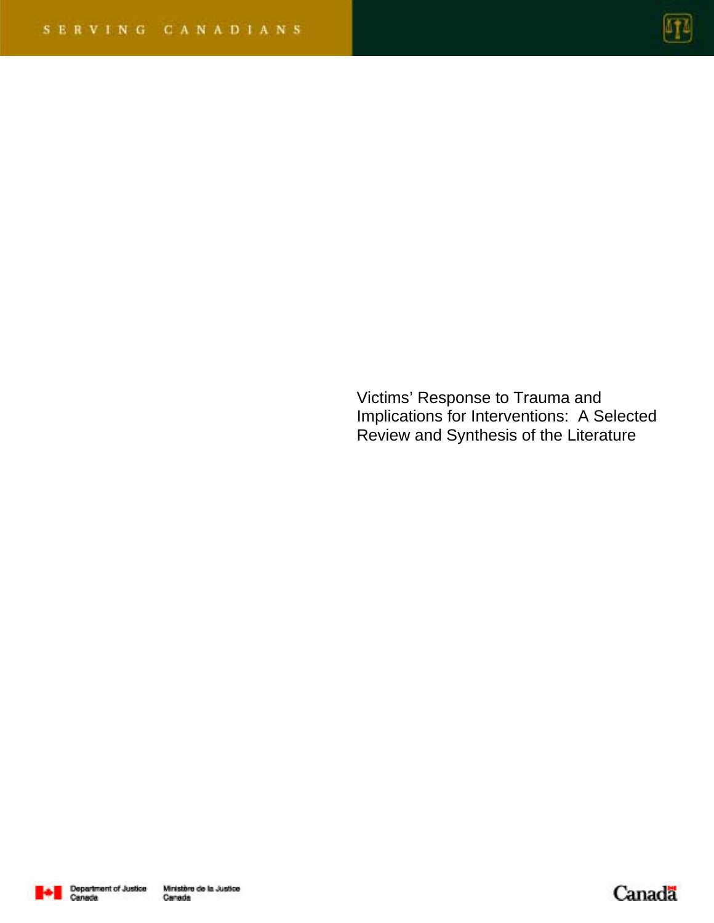

Victims' Response to Trauma and Implications for Interventions: A Selected Review and Synthesis of the Literature



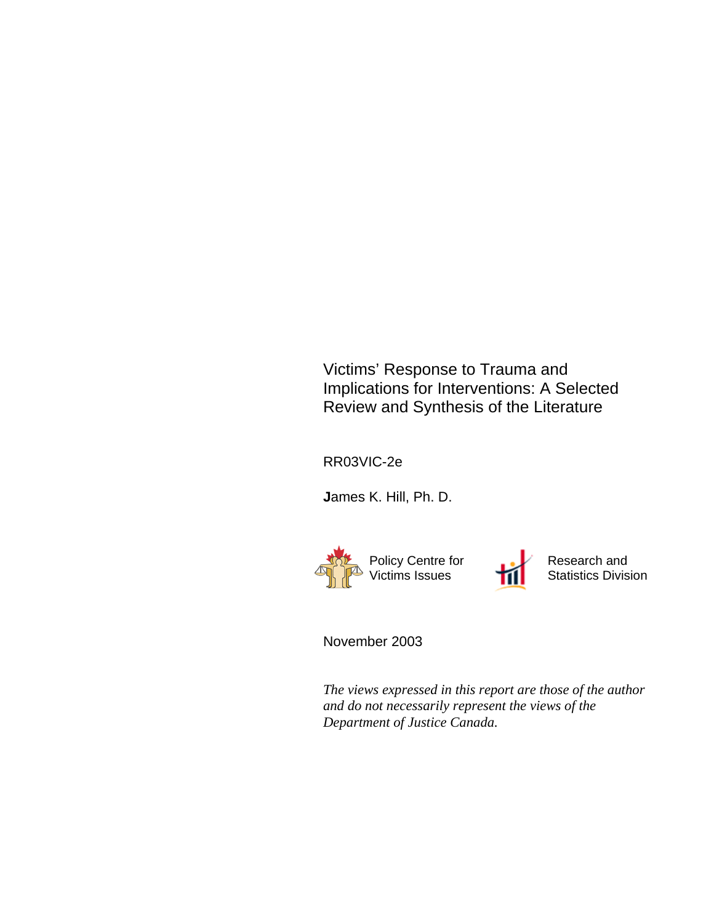Victims' Response to Trauma and Implications for Interventions: A Selected Review and Synthesis of the Literature

RR03VIC-2e

**J**ames K. Hill, Ph. D.



Research and Statistics Division

November 2003

*The views expressed in this report are those of the author and do not necessarily represent the views of the Department of Justice Canada.*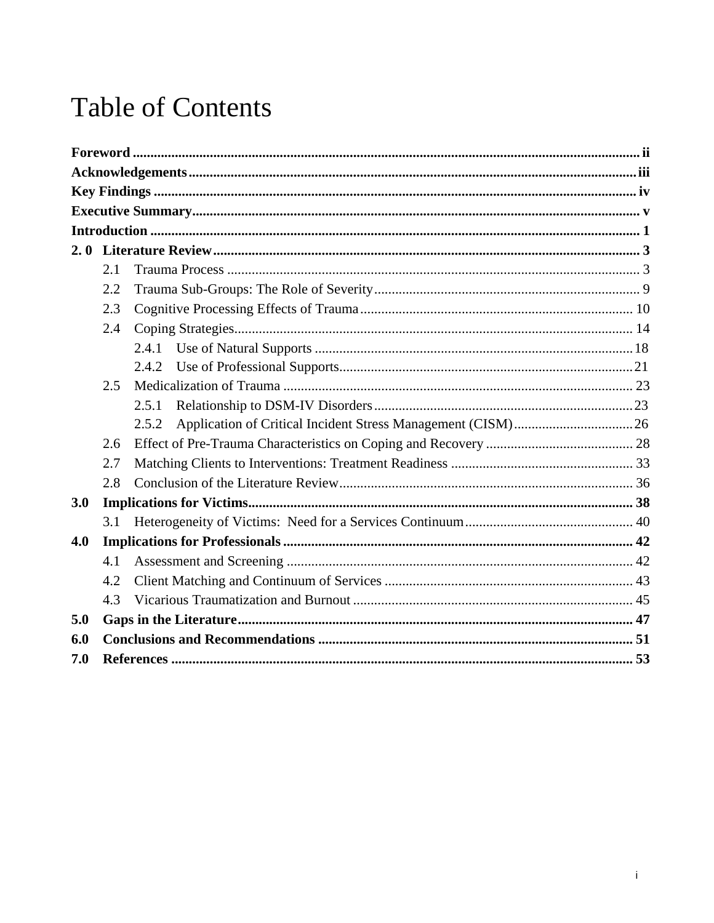# **Table of Contents**

|     | 2.1 |       |  |
|-----|-----|-------|--|
|     | 2.2 |       |  |
|     | 2.3 |       |  |
|     | 2.4 |       |  |
|     |     | 2.4.1 |  |
|     |     | 2.4.2 |  |
|     | 2.5 |       |  |
|     |     | 2.5.1 |  |
|     |     | 2.5.2 |  |
|     | 2.6 |       |  |
|     | 2.7 |       |  |
|     | 2.8 |       |  |
| 3.0 |     |       |  |
|     | 3.1 |       |  |
| 4.0 |     |       |  |
|     | 4.1 |       |  |
|     | 4.2 |       |  |
|     | 4.3 |       |  |
| 5.0 |     |       |  |
| 6.0 |     |       |  |
| 7.0 |     |       |  |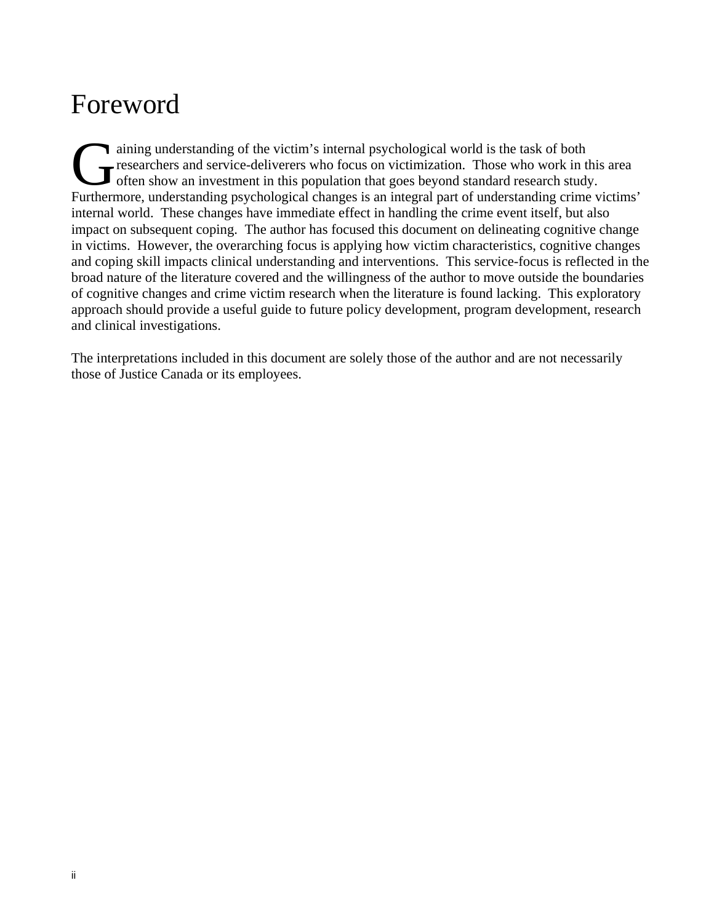# Foreword

ining understanding of the victim's internal psychological world is the task of both researchers and service-deliverers who focus on victimization. Those who work in this area often show an investment in this population that goes beyond standard research study. Furthermore, understanding psychological changes is an integral part of understanding crime victims' internal world. These changes have immediate effect in handling the crime event itself, but also impact on subsequent coping. The author has focused this document on delineating cognitive change in victims. However, the overarching focus is applying how victim characteristics, cognitive changes and coping skill impacts clinical understanding and interventions. This service-focus is reflected in the broad nature of the literature covered and the willingness of the author to move outside the boundaries of cognitive changes and crime victim research when the literature is found lacking. This exploratory approach should provide a useful guide to future policy development, program development, research and clinical investigations. Grain<br>Gress<br>Eurthorme

The interpretations included in this document are solely those of the author and are not necessarily those of Justice Canada or its employees.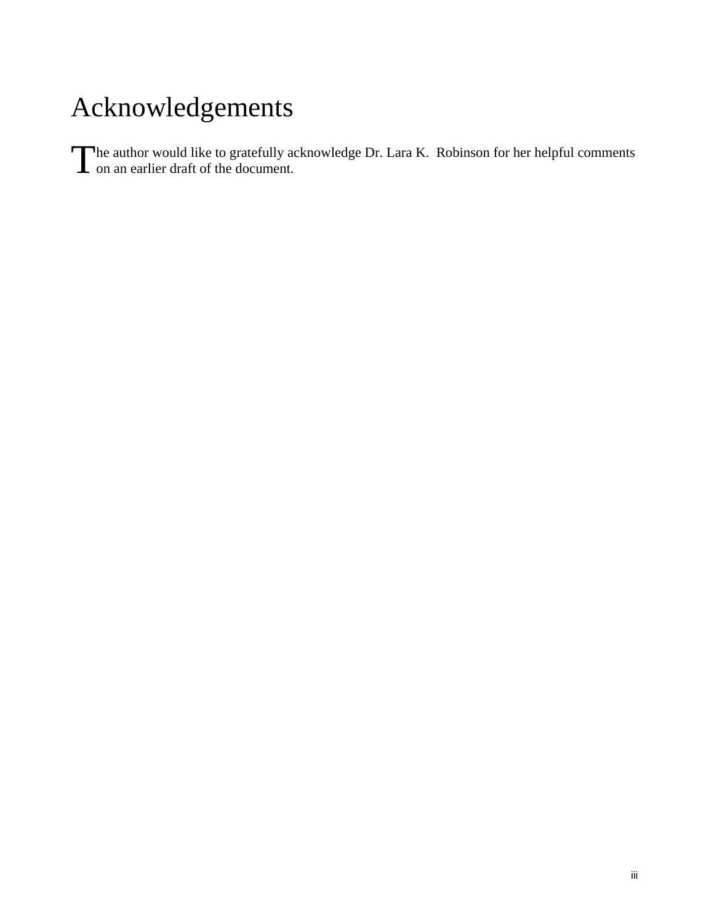# Acknowledgements

The author would like to gratefully acknowledge Dr. Lara K. Robinson for her helpful comments on an earlier draft of the document.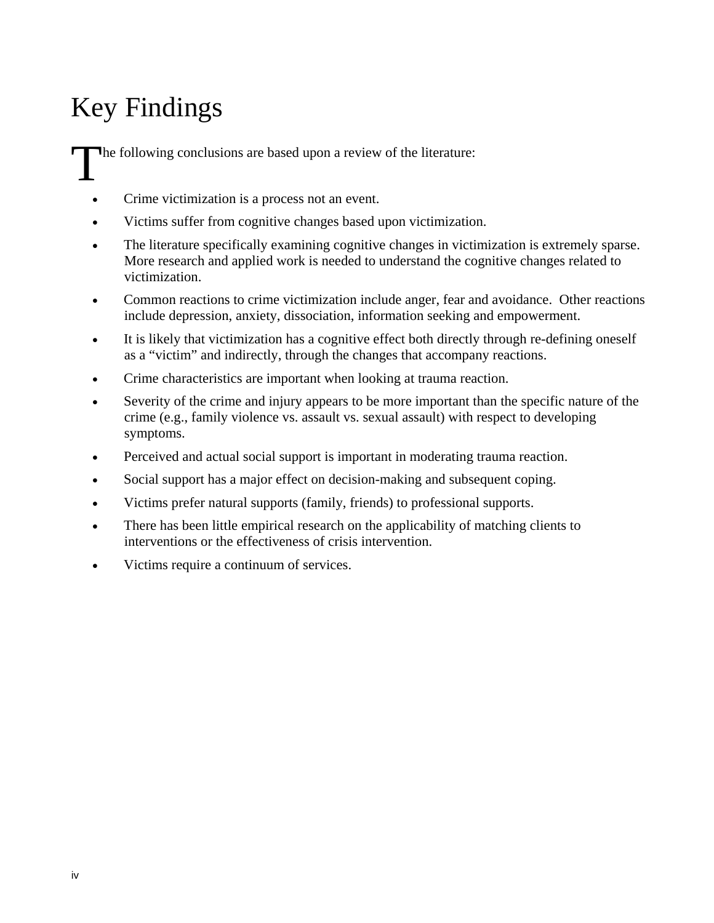# Key Findings

The following conclusions are based upon a review of the literature:

- Crime victimization is a process not an event.
- Victims suffer from cognitive changes based upon victimization.
- The literature specifically examining cognitive changes in victimization is extremely sparse. More research and applied work is needed to understand the cognitive changes related to victimization.
- Common reactions to crime victimization include anger, fear and avoidance. Other reactions include depression, anxiety, dissociation, information seeking and empowerment.
- It is likely that victimization has a cognitive effect both directly through re-defining oneself as a "victim" and indirectly, through the changes that accompany reactions.
- Crime characteristics are important when looking at trauma reaction.
- Severity of the crime and injury appears to be more important than the specific nature of the crime (e.g., family violence vs. assault vs. sexual assault) with respect to developing symptoms.
- Perceived and actual social support is important in moderating trauma reaction.
- Social support has a major effect on decision-making and subsequent coping.
- Victims prefer natural supports (family, friends) to professional supports.
- There has been little empirical research on the applicability of matching clients to interventions or the effectiveness of crisis intervention.
- Victims require a continuum of services.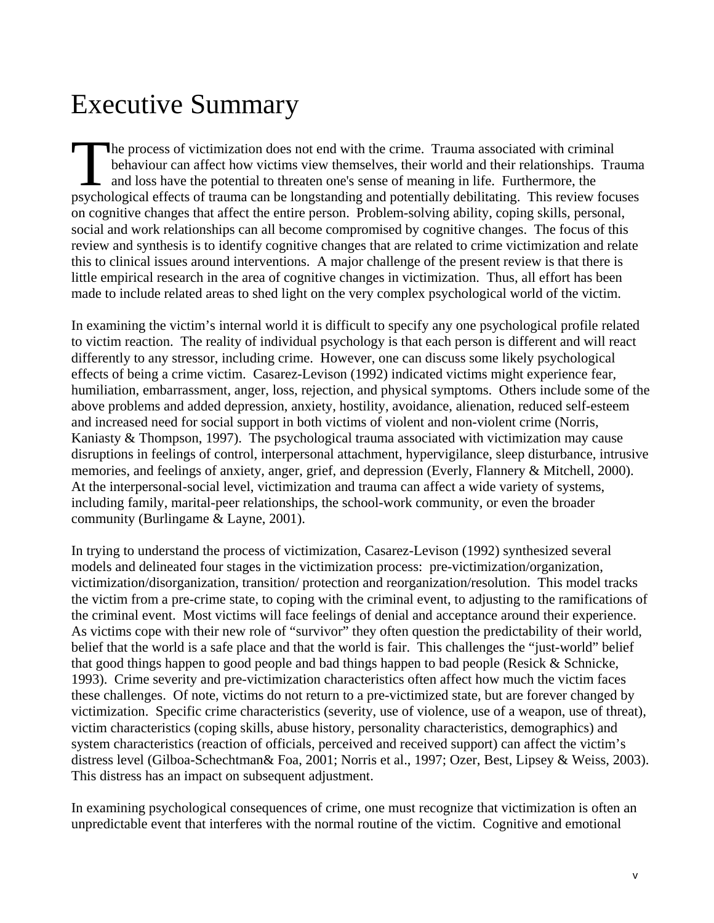# Executive Summary

he process of victimization does not end with the crime. Trauma associated with criminal behaviour can affect how victims view themselves, their world and their relationships. Trauma and loss have the potential to threaten one's sense of meaning in life. Furthermore, the The process of victimization does not end with the crime. Trauma associated with criminal behaviour can affect how victims view themselves, their world and their relationships. Trauma and loss have the potential to threate on cognitive changes that affect the entire person. Problem-solving ability, coping skills, personal, social and work relationships can all become compromised by cognitive changes. The focus of this review and synthesis is to identify cognitive changes that are related to crime victimization and relate this to clinical issues around interventions. A major challenge of the present review is that there is little empirical research in the area of cognitive changes in victimization. Thus, all effort has been made to include related areas to shed light on the very complex psychological world of the victim.

In examining the victim's internal world it is difficult to specify any one psychological profile related to victim reaction. The reality of individual psychology is that each person is different and will react differently to any stressor, including crime. However, one can discuss some likely psychological effects of being a crime victim. Casarez-Levison (1992) indicated victims might experience fear, humiliation, embarrassment, anger, loss, rejection, and physical symptoms. Others include some of the above problems and added depression, anxiety, hostility, avoidance, alienation, reduced self-esteem and increased need for social support in both victims of violent and non-violent crime (Norris, Kaniasty & Thompson, 1997). The psychological trauma associated with victimization may cause disruptions in feelings of control, interpersonal attachment, hypervigilance, sleep disturbance, intrusive memories, and feelings of anxiety, anger, grief, and depression (Everly, Flannery & Mitchell, 2000). At the interpersonal-social level, victimization and trauma can affect a wide variety of systems, including family, marital-peer relationships, the school-work community, or even the broader community (Burlingame & Layne, 2001).

In trying to understand the process of victimization, Casarez-Levison (1992) synthesized several models and delineated four stages in the victimization process: pre-victimization/organization, victimization/disorganization, transition/ protection and reorganization/resolution. This model tracks the victim from a pre-crime state, to coping with the criminal event, to adjusting to the ramifications of the criminal event. Most victims will face feelings of denial and acceptance around their experience. As victims cope with their new role of "survivor" they often question the predictability of their world, belief that the world is a safe place and that the world is fair. This challenges the "just-world" belief that good things happen to good people and bad things happen to bad people (Resick & Schnicke, 1993). Crime severity and pre-victimization characteristics often affect how much the victim faces these challenges. Of note, victims do not return to a pre-victimized state, but are forever changed by victimization. Specific crime characteristics (severity, use of violence, use of a weapon, use of threat), victim characteristics (coping skills, abuse history, personality characteristics, demographics) and system characteristics (reaction of officials, perceived and received support) can affect the victim's distress level (Gilboa-Schechtman& Foa, 2001; Norris et al., 1997; Ozer, Best, Lipsey & Weiss, 2003). This distress has an impact on subsequent adjustment.

In examining psychological consequences of crime, one must recognize that victimization is often an unpredictable event that interferes with the normal routine of the victim. Cognitive and emotional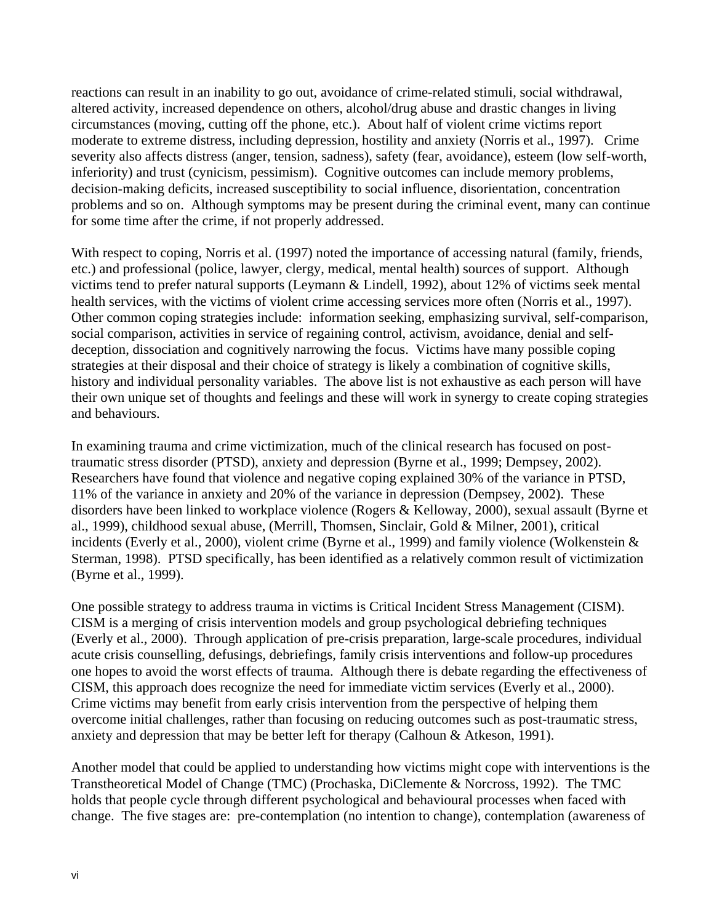reactions can result in an inability to go out, avoidance of crime-related stimuli, social withdrawal, altered activity, increased dependence on others, alcohol/drug abuse and drastic changes in living circumstances (moving, cutting off the phone, etc.). About half of violent crime victims report moderate to extreme distress, including depression, hostility and anxiety (Norris et al., 1997). Crime severity also affects distress (anger, tension, sadness), safety (fear, avoidance), esteem (low self-worth, inferiority) and trust (cynicism, pessimism). Cognitive outcomes can include memory problems, decision-making deficits, increased susceptibility to social influence, disorientation, concentration problems and so on. Although symptoms may be present during the criminal event, many can continue for some time after the crime, if not properly addressed.

With respect to coping, Norris et al. (1997) noted the importance of accessing natural (family, friends, etc.) and professional (police, lawyer, clergy, medical, mental health) sources of support. Although victims tend to prefer natural supports (Leymann & Lindell, 1992), about 12% of victims seek mental health services, with the victims of violent crime accessing services more often (Norris et al., 1997). Other common coping strategies include: information seeking, emphasizing survival, self-comparison, social comparison, activities in service of regaining control, activism, avoidance, denial and selfdeception, dissociation and cognitively narrowing the focus. Victims have many possible coping strategies at their disposal and their choice of strategy is likely a combination of cognitive skills, history and individual personality variables. The above list is not exhaustive as each person will have their own unique set of thoughts and feelings and these will work in synergy to create coping strategies and behaviours.

In examining trauma and crime victimization, much of the clinical research has focused on posttraumatic stress disorder (PTSD), anxiety and depression (Byrne et al., 1999; Dempsey, 2002). Researchers have found that violence and negative coping explained 30% of the variance in PTSD, 11% of the variance in anxiety and 20% of the variance in depression (Dempsey, 2002). These disorders have been linked to workplace violence (Rogers & Kelloway, 2000), sexual assault (Byrne et al., 1999), childhood sexual abuse, (Merrill, Thomsen, Sinclair, Gold & Milner, 2001), critical incidents (Everly et al., 2000), violent crime (Byrne et al., 1999) and family violence (Wolkenstein & Sterman, 1998). PTSD specifically, has been identified as a relatively common result of victimization (Byrne et al., 1999).

One possible strategy to address trauma in victims is Critical Incident Stress Management (CISM). CISM is a merging of crisis intervention models and group psychological debriefing techniques (Everly et al., 2000). Through application of pre-crisis preparation, large-scale procedures, individual acute crisis counselling, defusings, debriefings, family crisis interventions and follow-up procedures one hopes to avoid the worst effects of trauma. Although there is debate regarding the effectiveness of CISM, this approach does recognize the need for immediate victim services (Everly et al., 2000). Crime victims may benefit from early crisis intervention from the perspective of helping them overcome initial challenges, rather than focusing on reducing outcomes such as post-traumatic stress, anxiety and depression that may be better left for therapy (Calhoun & Atkeson, 1991).

Another model that could be applied to understanding how victims might cope with interventions is the Transtheoretical Model of Change (TMC) (Prochaska, DiClemente & Norcross, 1992). The TMC holds that people cycle through different psychological and behavioural processes when faced with change. The five stages are: pre-contemplation (no intention to change), contemplation (awareness of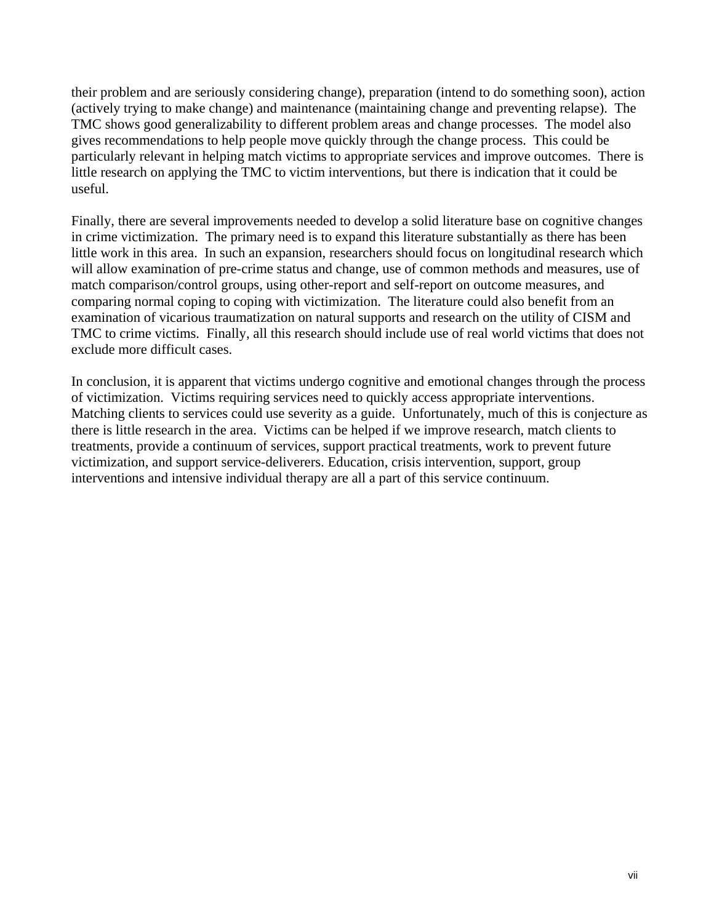their problem and are seriously considering change), preparation (intend to do something soon), action (actively trying to make change) and maintenance (maintaining change and preventing relapse). The TMC shows good generalizability to different problem areas and change processes. The model also gives recommendations to help people move quickly through the change process. This could be particularly relevant in helping match victims to appropriate services and improve outcomes. There is little research on applying the TMC to victim interventions, but there is indication that it could be useful.

Finally, there are several improvements needed to develop a solid literature base on cognitive changes in crime victimization. The primary need is to expand this literature substantially as there has been little work in this area. In such an expansion, researchers should focus on longitudinal research which will allow examination of pre-crime status and change, use of common methods and measures, use of match comparison/control groups, using other-report and self-report on outcome measures, and comparing normal coping to coping with victimization. The literature could also benefit from an examination of vicarious traumatization on natural supports and research on the utility of CISM and TMC to crime victims. Finally, all this research should include use of real world victims that does not exclude more difficult cases.

In conclusion, it is apparent that victims undergo cognitive and emotional changes through the process of victimization. Victims requiring services need to quickly access appropriate interventions. Matching clients to services could use severity as a guide. Unfortunately, much of this is conjecture as there is little research in the area. Victims can be helped if we improve research, match clients to treatments, provide a continuum of services, support practical treatments, work to prevent future victimization, and support service-deliverers. Education, crisis intervention, support, group interventions and intensive individual therapy are all a part of this service continuum.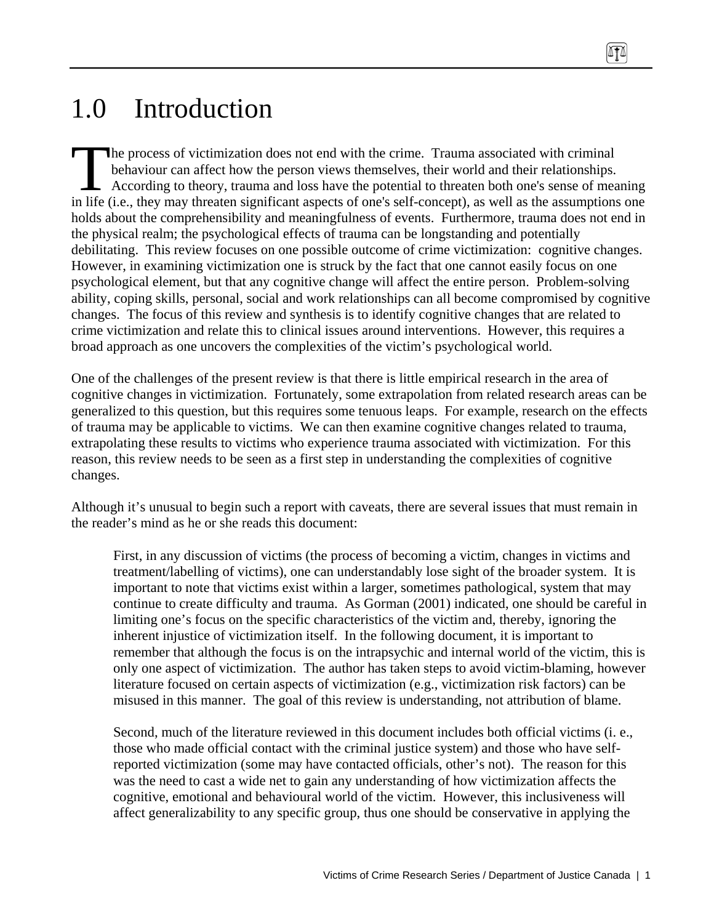# 1.0 Introduction

he process of victimization does not end with the crime. Trauma associated with criminal behaviour can affect how the person views themselves, their world and their relationships. According to theory, trauma and loss have the potential to threaten both one's sense of meaning in life (i.e., they may threaten significant aspects of one's self-concept), as well as the assumptions one holds about the comprehensibility and meaningfulness of events. Furthermore, trauma does not end in the physical realm; the psychological effects of trauma can be longstanding and potentially debilitating. This review focuses on one possible outcome of crime victimization: cognitive changes. However, in examining victimization one is struck by the fact that one cannot easily focus on one psychological element, but that any cognitive change will affect the entire person. Problem-solving ability, coping skills, personal, social and work relationships can all become compromised by cognitive changes. The focus of this review and synthesis is to identify cognitive changes that are related to crime victimization and relate this to clinical issues around interventions. However, this requires a broad approach as one uncovers the complexities of the victim's psychological world. The<br>bel<br>in life (i.e.

One of the challenges of the present review is that there is little empirical research in the area of cognitive changes in victimization. Fortunately, some extrapolation from related research areas can be generalized to this question, but this requires some tenuous leaps. For example, research on the effects of trauma may be applicable to victims. We can then examine cognitive changes related to trauma, extrapolating these results to victims who experience trauma associated with victimization. For this reason, this review needs to be seen as a first step in understanding the complexities of cognitive changes.

Although it's unusual to begin such a report with caveats, there are several issues that must remain in the reader's mind as he or she reads this document:

First, in any discussion of victims (the process of becoming a victim, changes in victims and treatment/labelling of victims), one can understandably lose sight of the broader system. It is important to note that victims exist within a larger, sometimes pathological, system that may continue to create difficulty and trauma. As Gorman (2001) indicated, one should be careful in limiting one's focus on the specific characteristics of the victim and, thereby, ignoring the inherent injustice of victimization itself. In the following document, it is important to remember that although the focus is on the intrapsychic and internal world of the victim, this is only one aspect of victimization. The author has taken steps to avoid victim-blaming, however literature focused on certain aspects of victimization (e.g., victimization risk factors) can be misused in this manner. The goal of this review is understanding, not attribution of blame.

Second, much of the literature reviewed in this document includes both official victims (i. e., those who made official contact with the criminal justice system) and those who have selfreported victimization (some may have contacted officials, other's not). The reason for this was the need to cast a wide net to gain any understanding of how victimization affects the cognitive, emotional and behavioural world of the victim. However, this inclusiveness will affect generalizability to any specific group, thus one should be conservative in applying the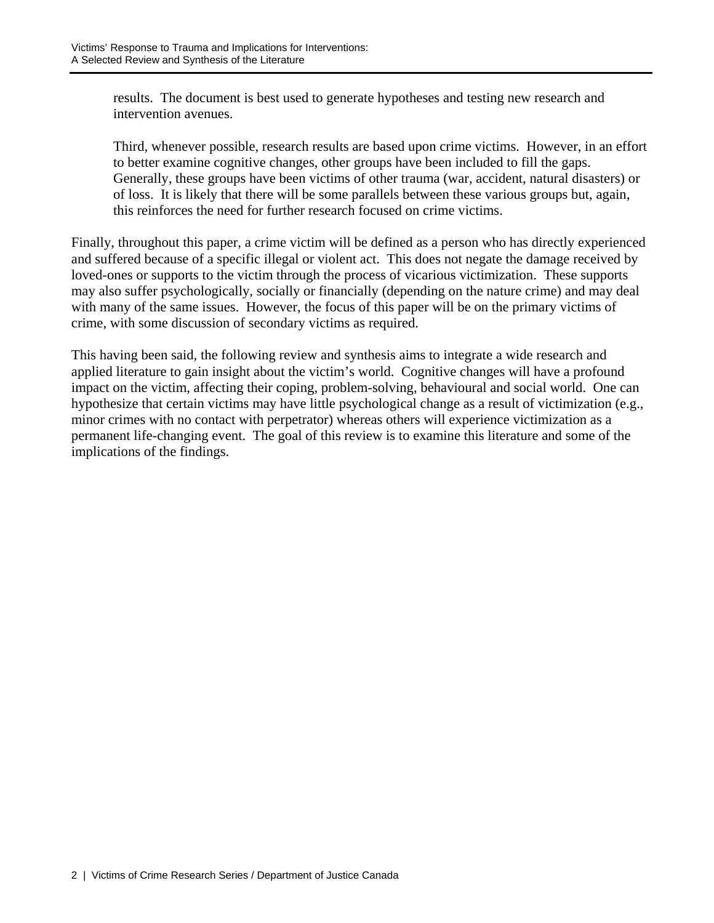results. The document is best used to generate hypotheses and testing new research and intervention avenues.

Third, whenever possible, research results are based upon crime victims. However, in an effort to better examine cognitive changes, other groups have been included to fill the gaps. Generally, these groups have been victims of other trauma (war, accident, natural disasters) or of loss. It is likely that there will be some parallels between these various groups but, again, this reinforces the need for further research focused on crime victims.

Finally, throughout this paper, a crime victim will be defined as a person who has directly experienced and suffered because of a specific illegal or violent act. This does not negate the damage received by loved-ones or supports to the victim through the process of vicarious victimization. These supports may also suffer psychologically, socially or financially (depending on the nature crime) and may deal with many of the same issues. However, the focus of this paper will be on the primary victims of crime, with some discussion of secondary victims as required.

This having been said, the following review and synthesis aims to integrate a wide research and applied literature to gain insight about the victim's world. Cognitive changes will have a profound impact on the victim, affecting their coping, problem-solving, behavioural and social world. One can hypothesize that certain victims may have little psychological change as a result of victimization (e.g., minor crimes with no contact with perpetrator) whereas others will experience victimization as a permanent life-changing event. The goal of this review is to examine this literature and some of the implications of the findings.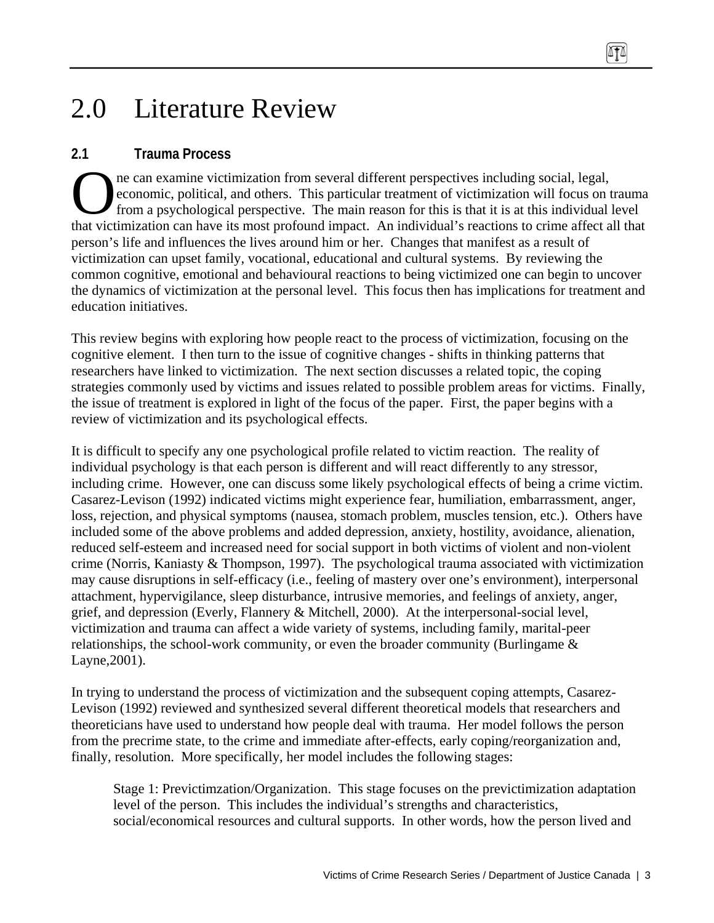# 2.0 Literature Review

## **2.1 Trauma Process**

ne can examine victimization from several different perspectives including social, legal, economic, political, and others. This particular treatment of victimization will focus on trauma from a psychological perspective. The main reason for this is that it is at this individual level The can examine victimization from several different perspectives including social, legal, economic, political, and others. This particular treatment of victimization will focus on trauma from a psychological perspective. person's life and influences the lives around him or her. Changes that manifest as a result of victimization can upset family, vocational, educational and cultural systems. By reviewing the common cognitive, emotional and behavioural reactions to being victimized one can begin to uncover the dynamics of victimization at the personal level. This focus then has implications for treatment and education initiatives.

This review begins with exploring how people react to the process of victimization, focusing on the cognitive element. I then turn to the issue of cognitive changes - shifts in thinking patterns that researchers have linked to victimization. The next section discusses a related topic, the coping strategies commonly used by victims and issues related to possible problem areas for victims. Finally, the issue of treatment is explored in light of the focus of the paper. First, the paper begins with a review of victimization and its psychological effects.

It is difficult to specify any one psychological profile related to victim reaction. The reality of individual psychology is that each person is different and will react differently to any stressor, including crime. However, one can discuss some likely psychological effects of being a crime victim. Casarez-Levison (1992) indicated victims might experience fear, humiliation, embarrassment, anger, loss, rejection, and physical symptoms (nausea, stomach problem, muscles tension, etc.). Others have included some of the above problems and added depression, anxiety, hostility, avoidance, alienation, reduced self-esteem and increased need for social support in both victims of violent and non-violent crime (Norris, Kaniasty & Thompson, 1997). The psychological trauma associated with victimization may cause disruptions in self-efficacy (i.e., feeling of mastery over one's environment), interpersonal attachment, hypervigilance, sleep disturbance, intrusive memories, and feelings of anxiety, anger, grief, and depression (Everly, Flannery & Mitchell, 2000). At the interpersonal-social level, victimization and trauma can affect a wide variety of systems, including family, marital-peer relationships, the school-work community, or even the broader community (Burlingame & Layne,2001).

In trying to understand the process of victimization and the subsequent coping attempts, Casarez-Levison (1992) reviewed and synthesized several different theoretical models that researchers and theoreticians have used to understand how people deal with trauma. Her model follows the person from the precrime state, to the crime and immediate after-effects, early coping/reorganization and, finally, resolution. More specifically, her model includes the following stages:

Stage 1: Previctimzation/Organization. This stage focuses on the previctimization adaptation level of the person. This includes the individual's strengths and characteristics, social/economical resources and cultural supports. In other words, how the person lived and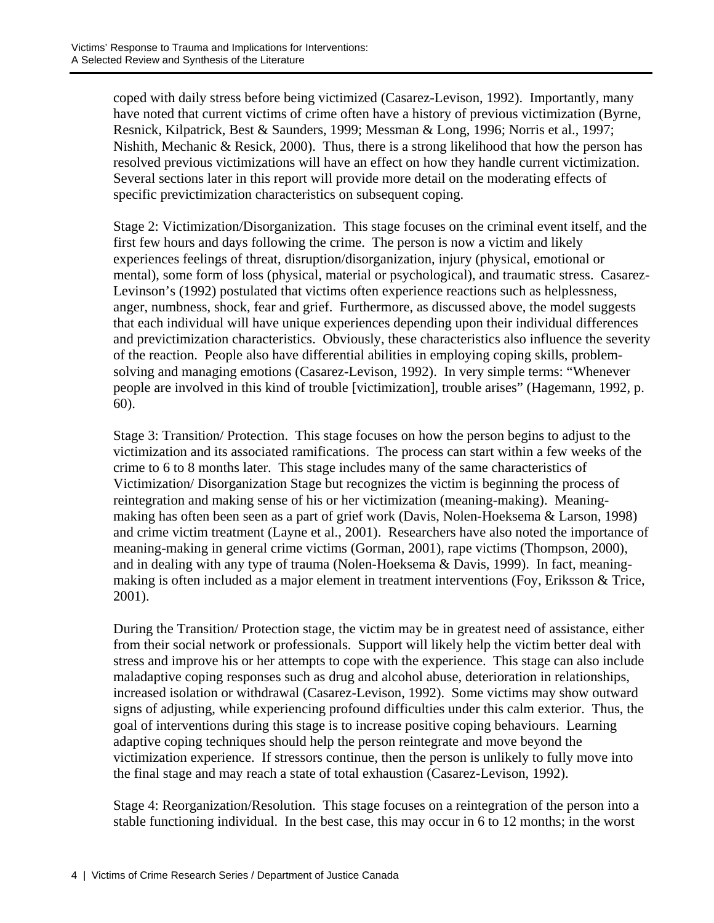coped with daily stress before being victimized (Casarez-Levison, 1992). Importantly, many have noted that current victims of crime often have a history of previous victimization (Byrne, Resnick, Kilpatrick, Best & Saunders, 1999; Messman & Long, 1996; Norris et al., 1997; Nishith, Mechanic & Resick, 2000). Thus, there is a strong likelihood that how the person has resolved previous victimizations will have an effect on how they handle current victimization. Several sections later in this report will provide more detail on the moderating effects of specific previctimization characteristics on subsequent coping.

Stage 2: Victimization/Disorganization. This stage focuses on the criminal event itself, and the first few hours and days following the crime. The person is now a victim and likely experiences feelings of threat, disruption/disorganization, injury (physical, emotional or mental), some form of loss (physical, material or psychological), and traumatic stress. Casarez-Levinson's (1992) postulated that victims often experience reactions such as helplessness, anger, numbness, shock, fear and grief. Furthermore, as discussed above, the model suggests that each individual will have unique experiences depending upon their individual differences and previctimization characteristics. Obviously, these characteristics also influence the severity of the reaction. People also have differential abilities in employing coping skills, problemsolving and managing emotions (Casarez-Levison, 1992). In very simple terms: "Whenever people are involved in this kind of trouble [victimization], trouble arises" (Hagemann, 1992, p. 60).

Stage 3: Transition/ Protection. This stage focuses on how the person begins to adjust to the victimization and its associated ramifications. The process can start within a few weeks of the crime to 6 to 8 months later. This stage includes many of the same characteristics of Victimization/ Disorganization Stage but recognizes the victim is beginning the process of reintegration and making sense of his or her victimization (meaning-making). Meaningmaking has often been seen as a part of grief work (Davis, Nolen-Hoeksema & Larson, 1998) and crime victim treatment (Layne et al., 2001). Researchers have also noted the importance of meaning-making in general crime victims (Gorman, 2001), rape victims (Thompson, 2000), and in dealing with any type of trauma (Nolen-Hoeksema & Davis, 1999). In fact, meaningmaking is often included as a major element in treatment interventions (Foy, Eriksson & Trice, 2001).

During the Transition/ Protection stage, the victim may be in greatest need of assistance, either from their social network or professionals. Support will likely help the victim better deal with stress and improve his or her attempts to cope with the experience. This stage can also include maladaptive coping responses such as drug and alcohol abuse, deterioration in relationships, increased isolation or withdrawal (Casarez-Levison, 1992). Some victims may show outward signs of adjusting, while experiencing profound difficulties under this calm exterior. Thus, the goal of interventions during this stage is to increase positive coping behaviours. Learning adaptive coping techniques should help the person reintegrate and move beyond the victimization experience. If stressors continue, then the person is unlikely to fully move into the final stage and may reach a state of total exhaustion (Casarez-Levison, 1992).

Stage 4: Reorganization/Resolution. This stage focuses on a reintegration of the person into a stable functioning individual. In the best case, this may occur in 6 to 12 months; in the worst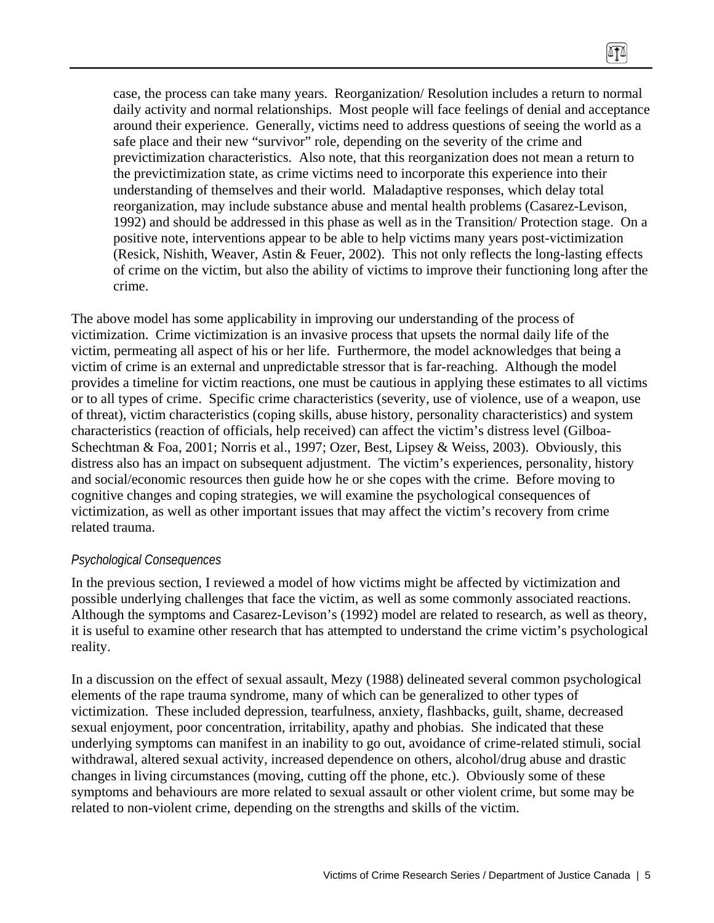case, the process can take many years. Reorganization/ Resolution includes a return to normal daily activity and normal relationships. Most people will face feelings of denial and acceptance around their experience. Generally, victims need to address questions of seeing the world as a safe place and their new "survivor" role, depending on the severity of the crime and previctimization characteristics. Also note, that this reorganization does not mean a return to the previctimization state, as crime victims need to incorporate this experience into their understanding of themselves and their world. Maladaptive responses, which delay total reorganization, may include substance abuse and mental health problems (Casarez-Levison, 1992) and should be addressed in this phase as well as in the Transition/ Protection stage. On a positive note, interventions appear to be able to help victims many years post-victimization (Resick, Nishith, Weaver, Astin & Feuer, 2002). This not only reflects the long-lasting effects of crime on the victim, but also the ability of victims to improve their functioning long after the crime.

 $\sqrt{11}$ 

The above model has some applicability in improving our understanding of the process of victimization. Crime victimization is an invasive process that upsets the normal daily life of the victim, permeating all aspect of his or her life. Furthermore, the model acknowledges that being a victim of crime is an external and unpredictable stressor that is far-reaching. Although the model provides a timeline for victim reactions, one must be cautious in applying these estimates to all victims or to all types of crime. Specific crime characteristics (severity, use of violence, use of a weapon, use of threat), victim characteristics (coping skills, abuse history, personality characteristics) and system characteristics (reaction of officials, help received) can affect the victim's distress level (Gilboa-Schechtman & Foa, 2001; Norris et al., 1997; Ozer, Best, Lipsey & Weiss, 2003). Obviously, this distress also has an impact on subsequent adjustment. The victim's experiences, personality, history and social/economic resources then guide how he or she copes with the crime. Before moving to cognitive changes and coping strategies, we will examine the psychological consequences of victimization, as well as other important issues that may affect the victim's recovery from crime related trauma.

### *Psychological Consequences*

In the previous section, I reviewed a model of how victims might be affected by victimization and possible underlying challenges that face the victim, as well as some commonly associated reactions. Although the symptoms and Casarez-Levison's (1992) model are related to research, as well as theory, it is useful to examine other research that has attempted to understand the crime victim's psychological reality.

In a discussion on the effect of sexual assault, Mezy (1988) delineated several common psychological elements of the rape trauma syndrome, many of which can be generalized to other types of victimization. These included depression, tearfulness, anxiety, flashbacks, guilt, shame, decreased sexual enjoyment, poor concentration, irritability, apathy and phobias. She indicated that these underlying symptoms can manifest in an inability to go out, avoidance of crime-related stimuli, social withdrawal, altered sexual activity, increased dependence on others, alcohol/drug abuse and drastic changes in living circumstances (moving, cutting off the phone, etc.). Obviously some of these symptoms and behaviours are more related to sexual assault or other violent crime, but some may be related to non-violent crime, depending on the strengths and skills of the victim.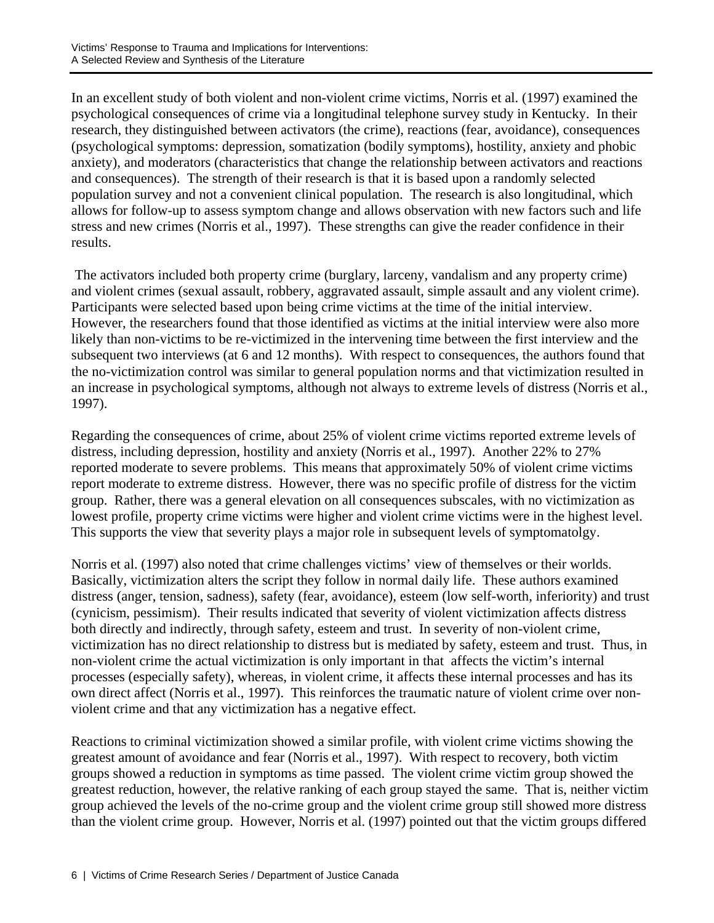In an excellent study of both violent and non-violent crime victims, Norris et al. (1997) examined the psychological consequences of crime via a longitudinal telephone survey study in Kentucky. In their research, they distinguished between activators (the crime), reactions (fear, avoidance), consequences (psychological symptoms: depression, somatization (bodily symptoms), hostility, anxiety and phobic anxiety), and moderators (characteristics that change the relationship between activators and reactions and consequences). The strength of their research is that it is based upon a randomly selected population survey and not a convenient clinical population. The research is also longitudinal, which allows for follow-up to assess symptom change and allows observation with new factors such and life stress and new crimes (Norris et al., 1997). These strengths can give the reader confidence in their results.

 The activators included both property crime (burglary, larceny, vandalism and any property crime) and violent crimes (sexual assault, robbery, aggravated assault, simple assault and any violent crime). Participants were selected based upon being crime victims at the time of the initial interview. However, the researchers found that those identified as victims at the initial interview were also more likely than non-victims to be re-victimized in the intervening time between the first interview and the subsequent two interviews (at 6 and 12 months). With respect to consequences, the authors found that the no-victimization control was similar to general population norms and that victimization resulted in an increase in psychological symptoms, although not always to extreme levels of distress (Norris et al., 1997).

Regarding the consequences of crime, about 25% of violent crime victims reported extreme levels of distress, including depression, hostility and anxiety (Norris et al., 1997). Another 22% to 27% reported moderate to severe problems. This means that approximately 50% of violent crime victims report moderate to extreme distress. However, there was no specific profile of distress for the victim group. Rather, there was a general elevation on all consequences subscales, with no victimization as lowest profile, property crime victims were higher and violent crime victims were in the highest level. This supports the view that severity plays a major role in subsequent levels of symptomatolgy.

Norris et al. (1997) also noted that crime challenges victims' view of themselves or their worlds. Basically, victimization alters the script they follow in normal daily life. These authors examined distress (anger, tension, sadness), safety (fear, avoidance), esteem (low self-worth, inferiority) and trust (cynicism, pessimism). Their results indicated that severity of violent victimization affects distress both directly and indirectly, through safety, esteem and trust. In severity of non-violent crime, victimization has no direct relationship to distress but is mediated by safety, esteem and trust. Thus, in non-violent crime the actual victimization is only important in that affects the victim's internal processes (especially safety), whereas, in violent crime, it affects these internal processes and has its own direct affect (Norris et al., 1997). This reinforces the traumatic nature of violent crime over nonviolent crime and that any victimization has a negative effect.

Reactions to criminal victimization showed a similar profile, with violent crime victims showing the greatest amount of avoidance and fear (Norris et al., 1997). With respect to recovery, both victim groups showed a reduction in symptoms as time passed. The violent crime victim group showed the greatest reduction, however, the relative ranking of each group stayed the same. That is, neither victim group achieved the levels of the no-crime group and the violent crime group still showed more distress than the violent crime group. However, Norris et al. (1997) pointed out that the victim groups differed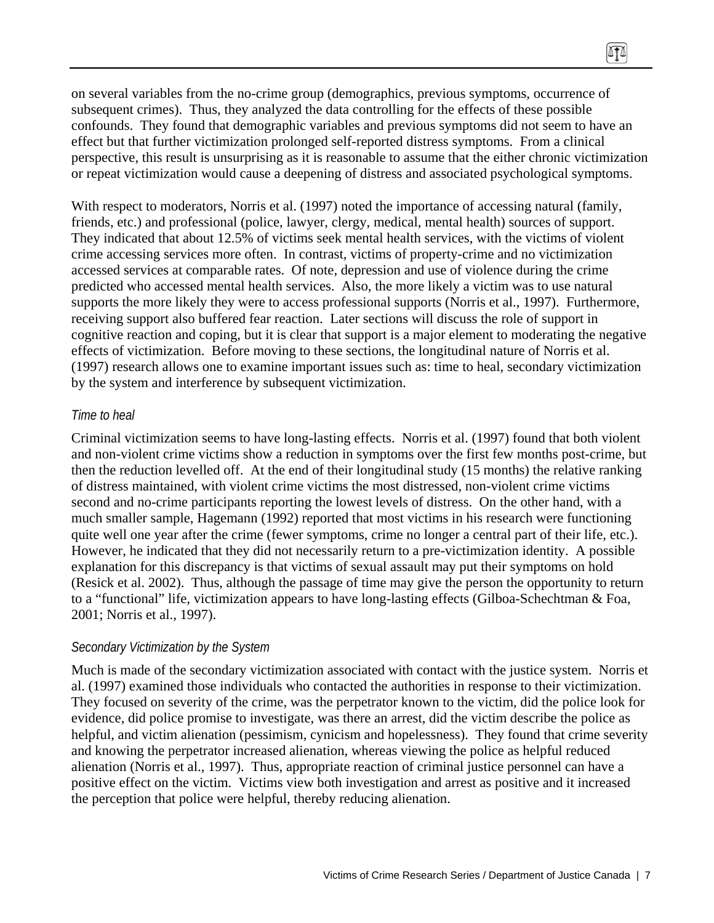on several variables from the no-crime group (demographics, previous symptoms, occurrence of subsequent crimes). Thus, they analyzed the data controlling for the effects of these possible confounds. They found that demographic variables and previous symptoms did not seem to have an effect but that further victimization prolonged self-reported distress symptoms. From a clinical perspective, this result is unsurprising as it is reasonable to assume that the either chronic victimization or repeat victimization would cause a deepening of distress and associated psychological symptoms.

With respect to moderators, Norris et al. (1997) noted the importance of accessing natural (family, friends, etc.) and professional (police, lawyer, clergy, medical, mental health) sources of support. They indicated that about 12.5% of victims seek mental health services, with the victims of violent crime accessing services more often. In contrast, victims of property-crime and no victimization accessed services at comparable rates. Of note, depression and use of violence during the crime predicted who accessed mental health services. Also, the more likely a victim was to use natural supports the more likely they were to access professional supports (Norris et al., 1997). Furthermore, receiving support also buffered fear reaction. Later sections will discuss the role of support in cognitive reaction and coping, but it is clear that support is a major element to moderating the negative effects of victimization. Before moving to these sections, the longitudinal nature of Norris et al. (1997) research allows one to examine important issues such as: time to heal, secondary victimization by the system and interference by subsequent victimization.

#### *Time to heal*

Criminal victimization seems to have long-lasting effects. Norris et al. (1997) found that both violent and non-violent crime victims show a reduction in symptoms over the first few months post-crime, but then the reduction levelled off. At the end of their longitudinal study (15 months) the relative ranking of distress maintained, with violent crime victims the most distressed, non-violent crime victims second and no-crime participants reporting the lowest levels of distress. On the other hand, with a much smaller sample, Hagemann (1992) reported that most victims in his research were functioning quite well one year after the crime (fewer symptoms, crime no longer a central part of their life, etc.). However, he indicated that they did not necessarily return to a pre-victimization identity. A possible explanation for this discrepancy is that victims of sexual assault may put their symptoms on hold (Resick et al. 2002). Thus, although the passage of time may give the person the opportunity to return to a "functional" life, victimization appears to have long-lasting effects (Gilboa-Schechtman & Foa, 2001; Norris et al., 1997).

#### *Secondary Victimization by the System*

Much is made of the secondary victimization associated with contact with the justice system. Norris et al. (1997) examined those individuals who contacted the authorities in response to their victimization. They focused on severity of the crime, was the perpetrator known to the victim, did the police look for evidence, did police promise to investigate, was there an arrest, did the victim describe the police as helpful, and victim alienation (pessimism, cynicism and hopelessness). They found that crime severity and knowing the perpetrator increased alienation, whereas viewing the police as helpful reduced alienation (Norris et al., 1997). Thus, appropriate reaction of criminal justice personnel can have a positive effect on the victim. Victims view both investigation and arrest as positive and it increased the perception that police were helpful, thereby reducing alienation.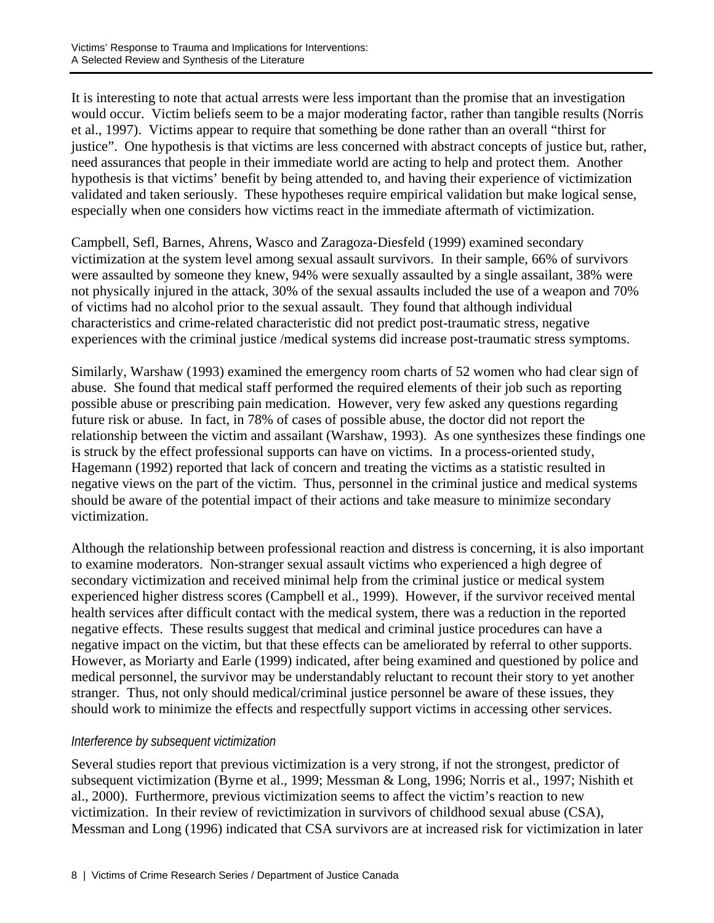It is interesting to note that actual arrests were less important than the promise that an investigation would occur. Victim beliefs seem to be a major moderating factor, rather than tangible results (Norris et al., 1997). Victims appear to require that something be done rather than an overall "thirst for justice". One hypothesis is that victims are less concerned with abstract concepts of justice but, rather, need assurances that people in their immediate world are acting to help and protect them. Another hypothesis is that victims' benefit by being attended to, and having their experience of victimization validated and taken seriously. These hypotheses require empirical validation but make logical sense, especially when one considers how victims react in the immediate aftermath of victimization.

Campbell, Sefl, Barnes, Ahrens, Wasco and Zaragoza-Diesfeld (1999) examined secondary victimization at the system level among sexual assault survivors. In their sample, 66% of survivors were assaulted by someone they knew, 94% were sexually assaulted by a single assailant, 38% were not physically injured in the attack, 30% of the sexual assaults included the use of a weapon and 70% of victims had no alcohol prior to the sexual assault. They found that although individual characteristics and crime-related characteristic did not predict post-traumatic stress, negative experiences with the criminal justice /medical systems did increase post-traumatic stress symptoms.

Similarly, Warshaw (1993) examined the emergency room charts of 52 women who had clear sign of abuse. She found that medical staff performed the required elements of their job such as reporting possible abuse or prescribing pain medication. However, very few asked any questions regarding future risk or abuse. In fact, in 78% of cases of possible abuse, the doctor did not report the relationship between the victim and assailant (Warshaw, 1993). As one synthesizes these findings one is struck by the effect professional supports can have on victims. In a process-oriented study, Hagemann (1992) reported that lack of concern and treating the victims as a statistic resulted in negative views on the part of the victim. Thus, personnel in the criminal justice and medical systems should be aware of the potential impact of their actions and take measure to minimize secondary victimization.

Although the relationship between professional reaction and distress is concerning, it is also important to examine moderators. Non-stranger sexual assault victims who experienced a high degree of secondary victimization and received minimal help from the criminal justice or medical system experienced higher distress scores (Campbell et al., 1999). However, if the survivor received mental health services after difficult contact with the medical system, there was a reduction in the reported negative effects. These results suggest that medical and criminal justice procedures can have a negative impact on the victim, but that these effects can be ameliorated by referral to other supports. However, as Moriarty and Earle (1999) indicated, after being examined and questioned by police and medical personnel, the survivor may be understandably reluctant to recount their story to yet another stranger. Thus, not only should medical/criminal justice personnel be aware of these issues, they should work to minimize the effects and respectfully support victims in accessing other services.

## *Interference by subsequent victimization*

Several studies report that previous victimization is a very strong, if not the strongest, predictor of subsequent victimization (Byrne et al., 1999; Messman & Long, 1996; Norris et al., 1997; Nishith et al., 2000). Furthermore, previous victimization seems to affect the victim's reaction to new victimization. In their review of revictimization in survivors of childhood sexual abuse (CSA), Messman and Long (1996) indicated that CSA survivors are at increased risk for victimization in later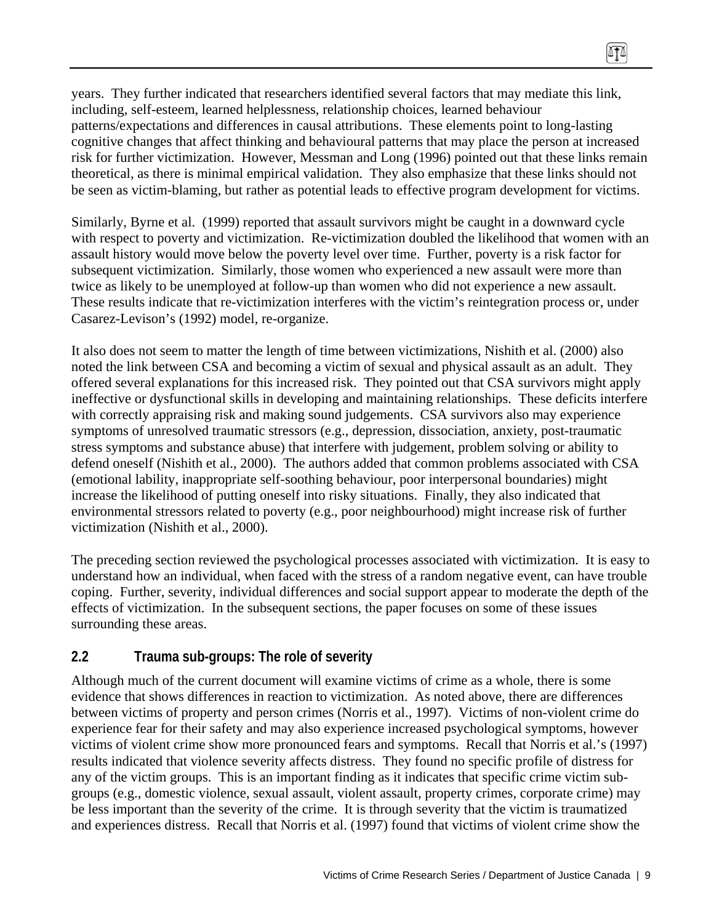years. They further indicated that researchers identified several factors that may mediate this link, including, self-esteem, learned helplessness, relationship choices, learned behaviour patterns/expectations and differences in causal attributions. These elements point to long-lasting cognitive changes that affect thinking and behavioural patterns that may place the person at increased risk for further victimization. However, Messman and Long (1996) pointed out that these links remain theoretical, as there is minimal empirical validation. They also emphasize that these links should not be seen as victim-blaming, but rather as potential leads to effective program development for victims.

Similarly, Byrne et al. (1999) reported that assault survivors might be caught in a downward cycle with respect to poverty and victimization. Re-victimization doubled the likelihood that women with an assault history would move below the poverty level over time. Further, poverty is a risk factor for subsequent victimization. Similarly, those women who experienced a new assault were more than twice as likely to be unemployed at follow-up than women who did not experience a new assault. These results indicate that re-victimization interferes with the victim's reintegration process or, under Casarez-Levison's (1992) model, re-organize.

It also does not seem to matter the length of time between victimizations, Nishith et al. (2000) also noted the link between CSA and becoming a victim of sexual and physical assault as an adult. They offered several explanations for this increased risk. They pointed out that CSA survivors might apply ineffective or dysfunctional skills in developing and maintaining relationships. These deficits interfere with correctly appraising risk and making sound judgements. CSA survivors also may experience symptoms of unresolved traumatic stressors (e.g., depression, dissociation, anxiety, post-traumatic stress symptoms and substance abuse) that interfere with judgement, problem solving or ability to defend oneself (Nishith et al., 2000). The authors added that common problems associated with CSA (emotional lability, inappropriate self-soothing behaviour, poor interpersonal boundaries) might increase the likelihood of putting oneself into risky situations. Finally, they also indicated that environmental stressors related to poverty (e.g., poor neighbourhood) might increase risk of further victimization (Nishith et al., 2000).

The preceding section reviewed the psychological processes associated with victimization. It is easy to understand how an individual, when faced with the stress of a random negative event, can have trouble coping. Further, severity, individual differences and social support appear to moderate the depth of the effects of victimization. In the subsequent sections, the paper focuses on some of these issues surrounding these areas.

## **2.2 Trauma sub-groups: The role of severity**

Although much of the current document will examine victims of crime as a whole, there is some evidence that shows differences in reaction to victimization. As noted above, there are differences between victims of property and person crimes (Norris et al., 1997). Victims of non-violent crime do experience fear for their safety and may also experience increased psychological symptoms, however victims of violent crime show more pronounced fears and symptoms. Recall that Norris et al.'s (1997) results indicated that violence severity affects distress. They found no specific profile of distress for any of the victim groups. This is an important finding as it indicates that specific crime victim subgroups (e.g., domestic violence, sexual assault, violent assault, property crimes, corporate crime) may be less important than the severity of the crime. It is through severity that the victim is traumatized and experiences distress. Recall that Norris et al. (1997) found that victims of violent crime show the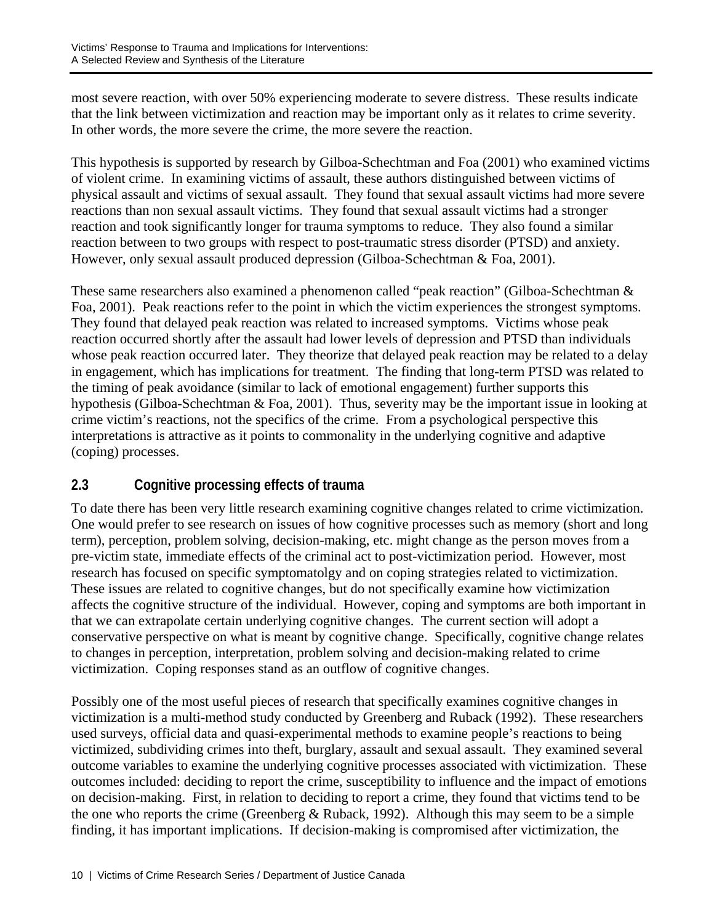most severe reaction, with over 50% experiencing moderate to severe distress. These results indicate that the link between victimization and reaction may be important only as it relates to crime severity. In other words, the more severe the crime, the more severe the reaction.

This hypothesis is supported by research by Gilboa-Schechtman and Foa (2001) who examined victims of violent crime. In examining victims of assault, these authors distinguished between victims of physical assault and victims of sexual assault. They found that sexual assault victims had more severe reactions than non sexual assault victims. They found that sexual assault victims had a stronger reaction and took significantly longer for trauma symptoms to reduce. They also found a similar reaction between to two groups with respect to post-traumatic stress disorder (PTSD) and anxiety. However, only sexual assault produced depression (Gilboa-Schechtman & Foa, 2001).

These same researchers also examined a phenomenon called "peak reaction" (Gilboa-Schechtman & Foa, 2001). Peak reactions refer to the point in which the victim experiences the strongest symptoms. They found that delayed peak reaction was related to increased symptoms. Victims whose peak reaction occurred shortly after the assault had lower levels of depression and PTSD than individuals whose peak reaction occurred later. They theorize that delayed peak reaction may be related to a delay in engagement, which has implications for treatment. The finding that long-term PTSD was related to the timing of peak avoidance (similar to lack of emotional engagement) further supports this hypothesis (Gilboa-Schechtman & Foa, 2001). Thus, severity may be the important issue in looking at crime victim's reactions, not the specifics of the crime. From a psychological perspective this interpretations is attractive as it points to commonality in the underlying cognitive and adaptive (coping) processes.

# **2.3 Cognitive processing effects of trauma**

To date there has been very little research examining cognitive changes related to crime victimization. One would prefer to see research on issues of how cognitive processes such as memory (short and long term), perception, problem solving, decision-making, etc. might change as the person moves from a pre-victim state, immediate effects of the criminal act to post-victimization period. However, most research has focused on specific symptomatolgy and on coping strategies related to victimization. These issues are related to cognitive changes, but do not specifically examine how victimization affects the cognitive structure of the individual. However, coping and symptoms are both important in that we can extrapolate certain underlying cognitive changes. The current section will adopt a conservative perspective on what is meant by cognitive change. Specifically, cognitive change relates to changes in perception, interpretation, problem solving and decision-making related to crime victimization. Coping responses stand as an outflow of cognitive changes.

Possibly one of the most useful pieces of research that specifically examines cognitive changes in victimization is a multi-method study conducted by Greenberg and Ruback (1992). These researchers used surveys, official data and quasi-experimental methods to examine people's reactions to being victimized, subdividing crimes into theft, burglary, assault and sexual assault. They examined several outcome variables to examine the underlying cognitive processes associated with victimization. These outcomes included: deciding to report the crime, susceptibility to influence and the impact of emotions on decision-making. First, in relation to deciding to report a crime, they found that victims tend to be the one who reports the crime (Greenberg  $& Ruback, 1992)$ . Although this may seem to be a simple finding, it has important implications. If decision-making is compromised after victimization, the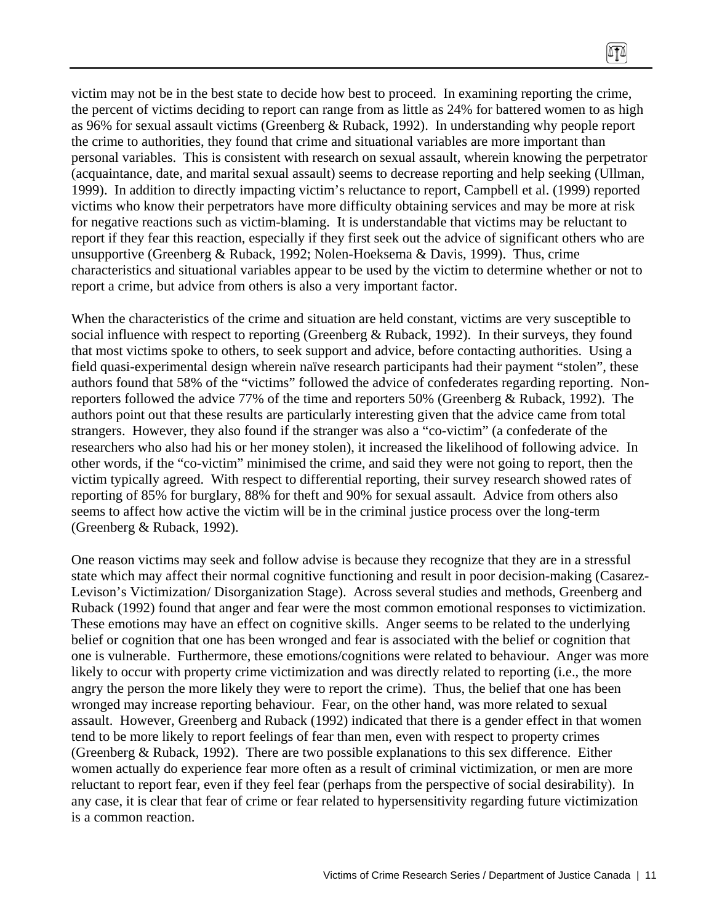victim may not be in the best state to decide how best to proceed. In examining reporting the crime, the percent of victims deciding to report can range from as little as 24% for battered women to as high as 96% for sexual assault victims (Greenberg & Ruback, 1992). In understanding why people report the crime to authorities, they found that crime and situational variables are more important than personal variables. This is consistent with research on sexual assault, wherein knowing the perpetrator (acquaintance, date, and marital sexual assault) seems to decrease reporting and help seeking (Ullman, 1999). In addition to directly impacting victim's reluctance to report, Campbell et al. (1999) reported victims who know their perpetrators have more difficulty obtaining services and may be more at risk for negative reactions such as victim-blaming. It is understandable that victims may be reluctant to report if they fear this reaction, especially if they first seek out the advice of significant others who are unsupportive (Greenberg & Ruback, 1992; Nolen-Hoeksema & Davis, 1999). Thus, crime characteristics and situational variables appear to be used by the victim to determine whether or not to report a crime, but advice from others is also a very important factor.

When the characteristics of the crime and situation are held constant, victims are very susceptible to social influence with respect to reporting (Greenberg & Ruback, 1992). In their surveys, they found that most victims spoke to others, to seek support and advice, before contacting authorities. Using a field quasi-experimental design wherein naïve research participants had their payment "stolen", these authors found that 58% of the "victims" followed the advice of confederates regarding reporting. Nonreporters followed the advice 77% of the time and reporters 50% (Greenberg & Ruback, 1992). The authors point out that these results are particularly interesting given that the advice came from total strangers. However, they also found if the stranger was also a "co-victim" (a confederate of the researchers who also had his or her money stolen), it increased the likelihood of following advice. In other words, if the "co-victim" minimised the crime, and said they were not going to report, then the victim typically agreed. With respect to differential reporting, their survey research showed rates of reporting of 85% for burglary, 88% for theft and 90% for sexual assault. Advice from others also seems to affect how active the victim will be in the criminal justice process over the long-term (Greenberg & Ruback, 1992).

One reason victims may seek and follow advise is because they recognize that they are in a stressful state which may affect their normal cognitive functioning and result in poor decision-making (Casarez-Levison's Victimization/ Disorganization Stage). Across several studies and methods, Greenberg and Ruback (1992) found that anger and fear were the most common emotional responses to victimization. These emotions may have an effect on cognitive skills. Anger seems to be related to the underlying belief or cognition that one has been wronged and fear is associated with the belief or cognition that one is vulnerable. Furthermore, these emotions/cognitions were related to behaviour. Anger was more likely to occur with property crime victimization and was directly related to reporting (i.e., the more angry the person the more likely they were to report the crime). Thus, the belief that one has been wronged may increase reporting behaviour. Fear, on the other hand, was more related to sexual assault. However, Greenberg and Ruback (1992) indicated that there is a gender effect in that women tend to be more likely to report feelings of fear than men, even with respect to property crimes (Greenberg & Ruback, 1992). There are two possible explanations to this sex difference. Either women actually do experience fear more often as a result of criminal victimization, or men are more reluctant to report fear, even if they feel fear (perhaps from the perspective of social desirability). In any case, it is clear that fear of crime or fear related to hypersensitivity regarding future victimization is a common reaction.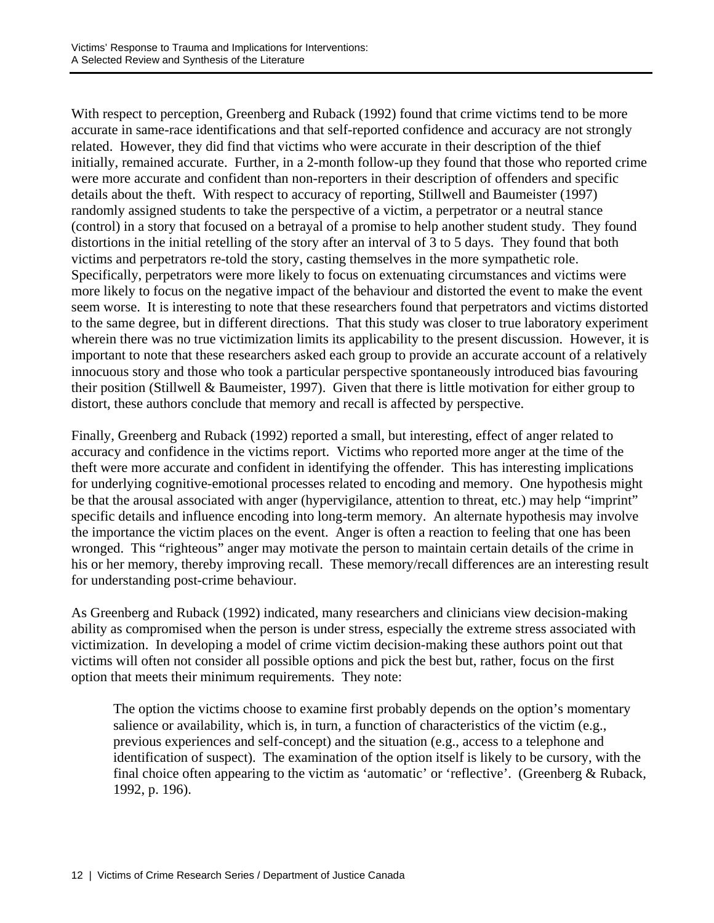With respect to perception, Greenberg and Ruback (1992) found that crime victims tend to be more accurate in same-race identifications and that self-reported confidence and accuracy are not strongly related. However, they did find that victims who were accurate in their description of the thief initially, remained accurate. Further, in a 2-month follow-up they found that those who reported crime were more accurate and confident than non-reporters in their description of offenders and specific details about the theft. With respect to accuracy of reporting, Stillwell and Baumeister (1997) randomly assigned students to take the perspective of a victim, a perpetrator or a neutral stance (control) in a story that focused on a betrayal of a promise to help another student study. They found distortions in the initial retelling of the story after an interval of 3 to 5 days. They found that both victims and perpetrators re-told the story, casting themselves in the more sympathetic role. Specifically, perpetrators were more likely to focus on extenuating circumstances and victims were more likely to focus on the negative impact of the behaviour and distorted the event to make the event seem worse. It is interesting to note that these researchers found that perpetrators and victims distorted to the same degree, but in different directions. That this study was closer to true laboratory experiment wherein there was no true victimization limits its applicability to the present discussion. However, it is important to note that these researchers asked each group to provide an accurate account of a relatively innocuous story and those who took a particular perspective spontaneously introduced bias favouring their position (Stillwell & Baumeister, 1997). Given that there is little motivation for either group to distort, these authors conclude that memory and recall is affected by perspective.

Finally, Greenberg and Ruback (1992) reported a small, but interesting, effect of anger related to accuracy and confidence in the victims report. Victims who reported more anger at the time of the theft were more accurate and confident in identifying the offender. This has interesting implications for underlying cognitive-emotional processes related to encoding and memory. One hypothesis might be that the arousal associated with anger (hypervigilance, attention to threat, etc.) may help "imprint" specific details and influence encoding into long-term memory. An alternate hypothesis may involve the importance the victim places on the event. Anger is often a reaction to feeling that one has been wronged. This "righteous" anger may motivate the person to maintain certain details of the crime in his or her memory, thereby improving recall. These memory/recall differences are an interesting result for understanding post-crime behaviour.

As Greenberg and Ruback (1992) indicated, many researchers and clinicians view decision-making ability as compromised when the person is under stress, especially the extreme stress associated with victimization. In developing a model of crime victim decision-making these authors point out that victims will often not consider all possible options and pick the best but, rather, focus on the first option that meets their minimum requirements. They note:

The option the victims choose to examine first probably depends on the option's momentary salience or availability, which is, in turn, a function of characteristics of the victim (e.g., previous experiences and self-concept) and the situation (e.g., access to a telephone and identification of suspect). The examination of the option itself is likely to be cursory, with the final choice often appearing to the victim as 'automatic' or 'reflective'. (Greenberg & Ruback, 1992, p. 196).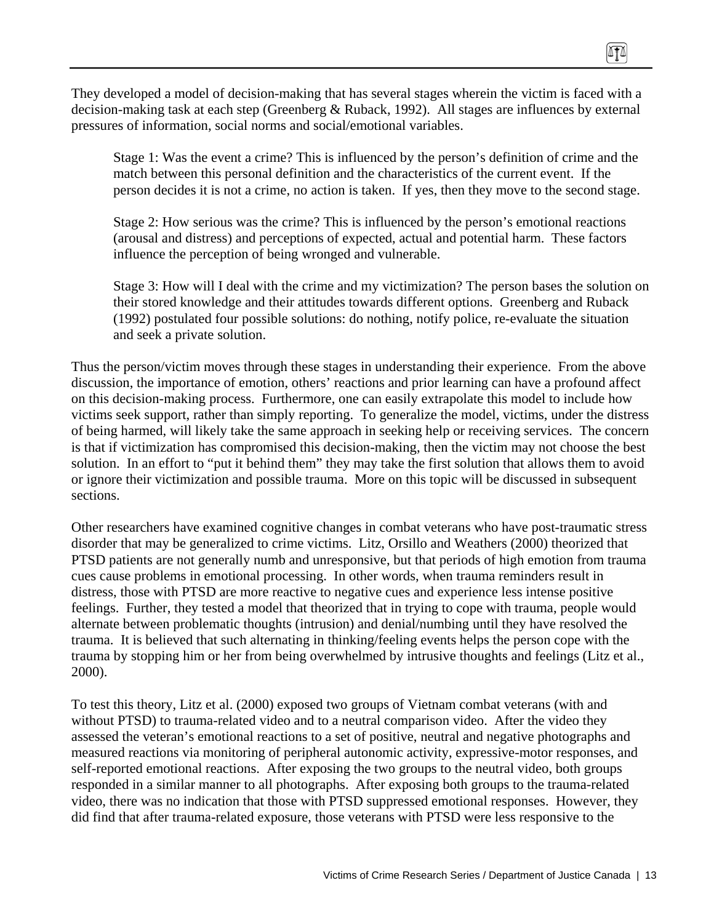They developed a model of decision-making that has several stages wherein the victim is faced with a decision-making task at each step (Greenberg & Ruback, 1992). All stages are influences by external pressures of information, social norms and social/emotional variables.

Stage 1: Was the event a crime? This is influenced by the person's definition of crime and the match between this personal definition and the characteristics of the current event. If the person decides it is not a crime, no action is taken. If yes, then they move to the second stage.

Stage 2: How serious was the crime? This is influenced by the person's emotional reactions (arousal and distress) and perceptions of expected, actual and potential harm. These factors influence the perception of being wronged and vulnerable.

Stage 3: How will I deal with the crime and my victimization? The person bases the solution on their stored knowledge and their attitudes towards different options. Greenberg and Ruback (1992) postulated four possible solutions: do nothing, notify police, re-evaluate the situation and seek a private solution.

Thus the person/victim moves through these stages in understanding their experience. From the above discussion, the importance of emotion, others' reactions and prior learning can have a profound affect on this decision-making process. Furthermore, one can easily extrapolate this model to include how victims seek support, rather than simply reporting. To generalize the model, victims, under the distress of being harmed, will likely take the same approach in seeking help or receiving services. The concern is that if victimization has compromised this decision-making, then the victim may not choose the best solution. In an effort to "put it behind them" they may take the first solution that allows them to avoid or ignore their victimization and possible trauma. More on this topic will be discussed in subsequent sections.

Other researchers have examined cognitive changes in combat veterans who have post-traumatic stress disorder that may be generalized to crime victims. Litz, Orsillo and Weathers (2000) theorized that PTSD patients are not generally numb and unresponsive, but that periods of high emotion from trauma cues cause problems in emotional processing. In other words, when trauma reminders result in distress, those with PTSD are more reactive to negative cues and experience less intense positive feelings. Further, they tested a model that theorized that in trying to cope with trauma, people would alternate between problematic thoughts (intrusion) and denial/numbing until they have resolved the trauma. It is believed that such alternating in thinking/feeling events helps the person cope with the trauma by stopping him or her from being overwhelmed by intrusive thoughts and feelings (Litz et al., 2000).

To test this theory, Litz et al. (2000) exposed two groups of Vietnam combat veterans (with and without PTSD) to trauma-related video and to a neutral comparison video. After the video they assessed the veteran's emotional reactions to a set of positive, neutral and negative photographs and measured reactions via monitoring of peripheral autonomic activity, expressive-motor responses, and self-reported emotional reactions. After exposing the two groups to the neutral video, both groups responded in a similar manner to all photographs. After exposing both groups to the trauma-related video, there was no indication that those with PTSD suppressed emotional responses. However, they did find that after trauma-related exposure, those veterans with PTSD were less responsive to the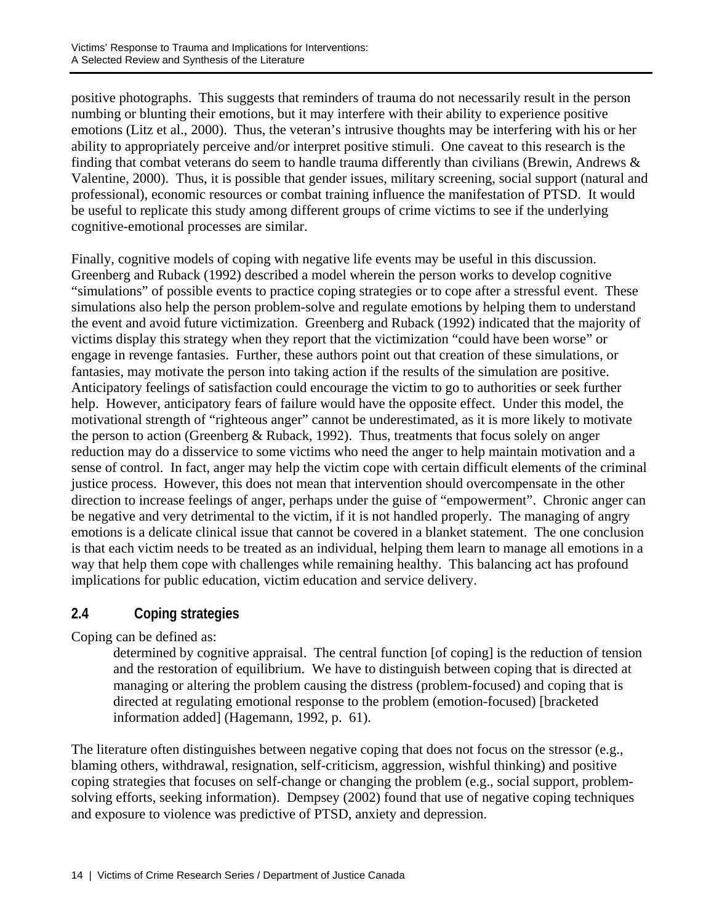positive photographs. This suggests that reminders of trauma do not necessarily result in the person numbing or blunting their emotions, but it may interfere with their ability to experience positive emotions (Litz et al., 2000). Thus, the veteran's intrusive thoughts may be interfering with his or her ability to appropriately perceive and/or interpret positive stimuli. One caveat to this research is the finding that combat veterans do seem to handle trauma differently than civilians (Brewin, Andrews & Valentine, 2000). Thus, it is possible that gender issues, military screening, social support (natural and professional), economic resources or combat training influence the manifestation of PTSD. It would be useful to replicate this study among different groups of crime victims to see if the underlying cognitive-emotional processes are similar.

Finally, cognitive models of coping with negative life events may be useful in this discussion. Greenberg and Ruback (1992) described a model wherein the person works to develop cognitive "simulations" of possible events to practice coping strategies or to cope after a stressful event. These simulations also help the person problem-solve and regulate emotions by helping them to understand the event and avoid future victimization. Greenberg and Ruback (1992) indicated that the majority of victims display this strategy when they report that the victimization "could have been worse" or engage in revenge fantasies. Further, these authors point out that creation of these simulations, or fantasies, may motivate the person into taking action if the results of the simulation are positive. Anticipatory feelings of satisfaction could encourage the victim to go to authorities or seek further help. However, anticipatory fears of failure would have the opposite effect. Under this model, the motivational strength of "righteous anger" cannot be underestimated, as it is more likely to motivate the person to action (Greenberg  $& Ruback, 1992)$ . Thus, treatments that focus solely on anger reduction may do a disservice to some victims who need the anger to help maintain motivation and a sense of control. In fact, anger may help the victim cope with certain difficult elements of the criminal justice process. However, this does not mean that intervention should overcompensate in the other direction to increase feelings of anger, perhaps under the guise of "empowerment". Chronic anger can be negative and very detrimental to the victim, if it is not handled properly. The managing of angry emotions is a delicate clinical issue that cannot be covered in a blanket statement. The one conclusion is that each victim needs to be treated as an individual, helping them learn to manage all emotions in a way that help them cope with challenges while remaining healthy. This balancing act has profound implications for public education, victim education and service delivery.

# **2.4 Coping strategies**

Coping can be defined as:

determined by cognitive appraisal. The central function [of coping] is the reduction of tension and the restoration of equilibrium. We have to distinguish between coping that is directed at managing or altering the problem causing the distress (problem-focused) and coping that is directed at regulating emotional response to the problem (emotion-focused) [bracketed information added] (Hagemann, 1992, p. 61).

The literature often distinguishes between negative coping that does not focus on the stressor (e.g., blaming others, withdrawal, resignation, self-criticism, aggression, wishful thinking) and positive coping strategies that focuses on self-change or changing the problem (e.g., social support, problemsolving efforts, seeking information). Dempsey (2002) found that use of negative coping techniques and exposure to violence was predictive of PTSD, anxiety and depression.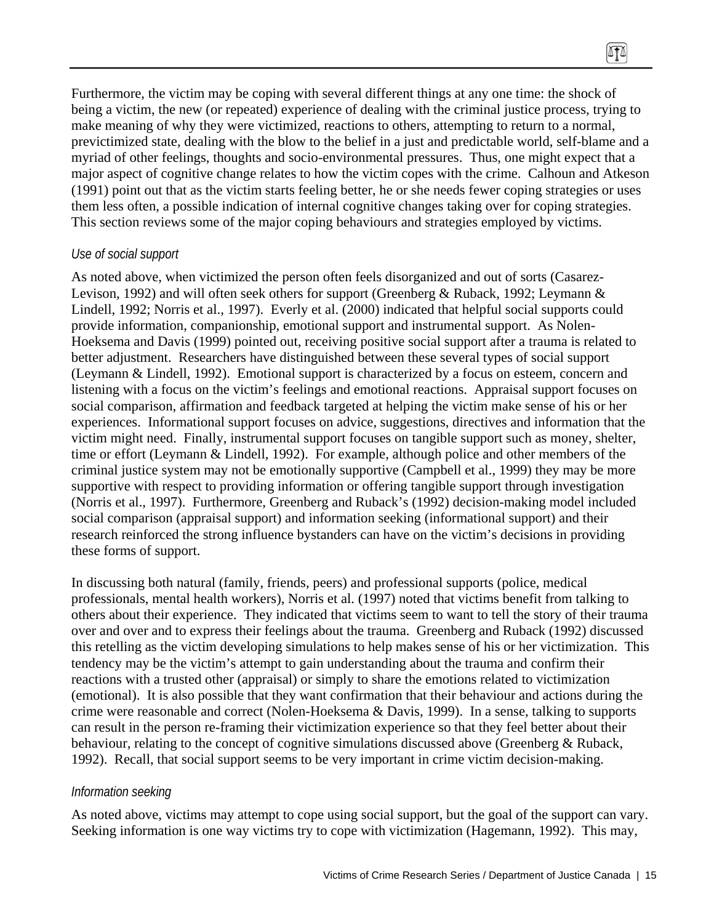Furthermore, the victim may be coping with several different things at any one time: the shock of being a victim, the new (or repeated) experience of dealing with the criminal justice process, trying to make meaning of why they were victimized, reactions to others, attempting to return to a normal, previctimized state, dealing with the blow to the belief in a just and predictable world, self-blame and a myriad of other feelings, thoughts and socio-environmental pressures. Thus, one might expect that a major aspect of cognitive change relates to how the victim copes with the crime. Calhoun and Atkeson (1991) point out that as the victim starts feeling better, he or she needs fewer coping strategies or uses them less often, a possible indication of internal cognitive changes taking over for coping strategies. This section reviews some of the major coping behaviours and strategies employed by victims.

#### *Use of social support*

As noted above, when victimized the person often feels disorganized and out of sorts (Casarez-Levison, 1992) and will often seek others for support (Greenberg & Ruback, 1992; Leymann & Lindell, 1992; Norris et al., 1997). Everly et al. (2000) indicated that helpful social supports could provide information, companionship, emotional support and instrumental support. As Nolen-Hoeksema and Davis (1999) pointed out, receiving positive social support after a trauma is related to better adjustment. Researchers have distinguished between these several types of social support (Leymann & Lindell, 1992). Emotional support is characterized by a focus on esteem, concern and listening with a focus on the victim's feelings and emotional reactions. Appraisal support focuses on social comparison, affirmation and feedback targeted at helping the victim make sense of his or her experiences. Informational support focuses on advice, suggestions, directives and information that the victim might need. Finally, instrumental support focuses on tangible support such as money, shelter, time or effort (Leymann & Lindell, 1992). For example, although police and other members of the criminal justice system may not be emotionally supportive (Campbell et al., 1999) they may be more supportive with respect to providing information or offering tangible support through investigation (Norris et al., 1997). Furthermore, Greenberg and Ruback's (1992) decision-making model included social comparison (appraisal support) and information seeking (informational support) and their research reinforced the strong influence bystanders can have on the victim's decisions in providing these forms of support.

In discussing both natural (family, friends, peers) and professional supports (police, medical professionals, mental health workers), Norris et al. (1997) noted that victims benefit from talking to others about their experience. They indicated that victims seem to want to tell the story of their trauma over and over and to express their feelings about the trauma. Greenberg and Ruback (1992) discussed this retelling as the victim developing simulations to help makes sense of his or her victimization. This tendency may be the victim's attempt to gain understanding about the trauma and confirm their reactions with a trusted other (appraisal) or simply to share the emotions related to victimization (emotional). It is also possible that they want confirmation that their behaviour and actions during the crime were reasonable and correct (Nolen-Hoeksema & Davis, 1999). In a sense, talking to supports can result in the person re-framing their victimization experience so that they feel better about their behaviour, relating to the concept of cognitive simulations discussed above (Greenberg & Ruback, 1992). Recall, that social support seems to be very important in crime victim decision-making.

### *Information seeking*

As noted above, victims may attempt to cope using social support, but the goal of the support can vary. Seeking information is one way victims try to cope with victimization (Hagemann, 1992). This may,

 $\sqrt{11}$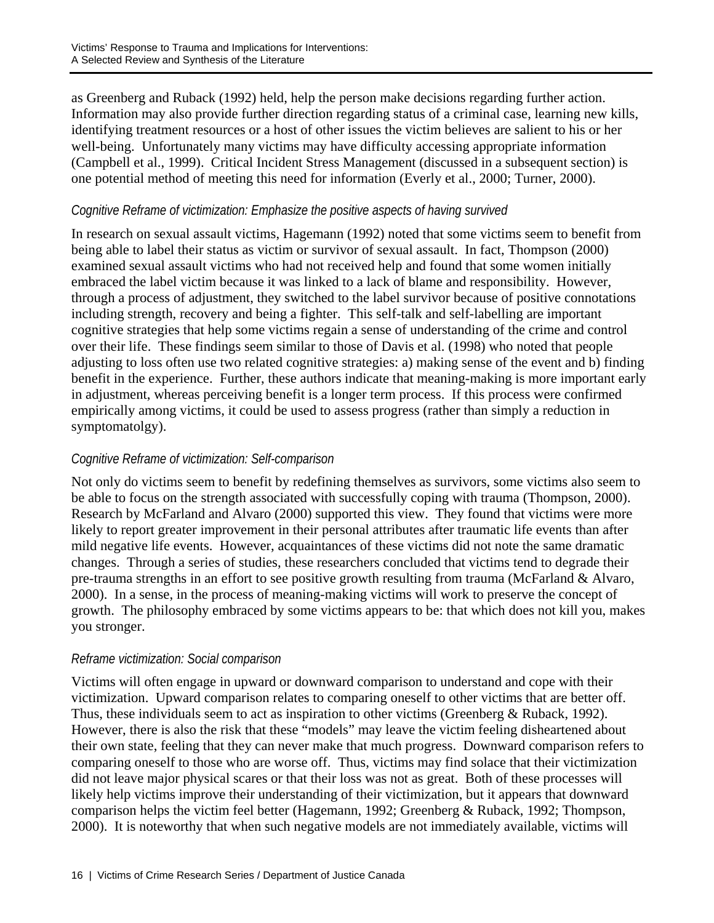as Greenberg and Ruback (1992) held, help the person make decisions regarding further action. Information may also provide further direction regarding status of a criminal case, learning new kills, identifying treatment resources or a host of other issues the victim believes are salient to his or her well-being. Unfortunately many victims may have difficulty accessing appropriate information (Campbell et al., 1999). Critical Incident Stress Management (discussed in a subsequent section) is one potential method of meeting this need for information (Everly et al., 2000; Turner, 2000).

## *Cognitive Reframe of victimization: Emphasize the positive aspects of having survived*

In research on sexual assault victims, Hagemann (1992) noted that some victims seem to benefit from being able to label their status as victim or survivor of sexual assault. In fact, Thompson (2000) examined sexual assault victims who had not received help and found that some women initially embraced the label victim because it was linked to a lack of blame and responsibility. However, through a process of adjustment, they switched to the label survivor because of positive connotations including strength, recovery and being a fighter. This self-talk and self-labelling are important cognitive strategies that help some victims regain a sense of understanding of the crime and control over their life. These findings seem similar to those of Davis et al. (1998) who noted that people adjusting to loss often use two related cognitive strategies: a) making sense of the event and b) finding benefit in the experience. Further, these authors indicate that meaning-making is more important early in adjustment, whereas perceiving benefit is a longer term process. If this process were confirmed empirically among victims, it could be used to assess progress (rather than simply a reduction in symptomatolgy).

## *Cognitive Reframe of victimization: Self-comparison*

Not only do victims seem to benefit by redefining themselves as survivors, some victims also seem to be able to focus on the strength associated with successfully coping with trauma (Thompson, 2000). Research by McFarland and Alvaro (2000) supported this view. They found that victims were more likely to report greater improvement in their personal attributes after traumatic life events than after mild negative life events. However, acquaintances of these victims did not note the same dramatic changes. Through a series of studies, these researchers concluded that victims tend to degrade their pre-trauma strengths in an effort to see positive growth resulting from trauma (McFarland & Alvaro, 2000). In a sense, in the process of meaning-making victims will work to preserve the concept of growth. The philosophy embraced by some victims appears to be: that which does not kill you, makes you stronger.

## *Reframe victimization: Social comparison*

Victims will often engage in upward or downward comparison to understand and cope with their victimization. Upward comparison relates to comparing oneself to other victims that are better off. Thus, these individuals seem to act as inspiration to other victims (Greenberg & Ruback, 1992). However, there is also the risk that these "models" may leave the victim feeling disheartened about their own state, feeling that they can never make that much progress. Downward comparison refers to comparing oneself to those who are worse off. Thus, victims may find solace that their victimization did not leave major physical scares or that their loss was not as great. Both of these processes will likely help victims improve their understanding of their victimization, but it appears that downward comparison helps the victim feel better (Hagemann, 1992; Greenberg & Ruback, 1992; Thompson, 2000). It is noteworthy that when such negative models are not immediately available, victims will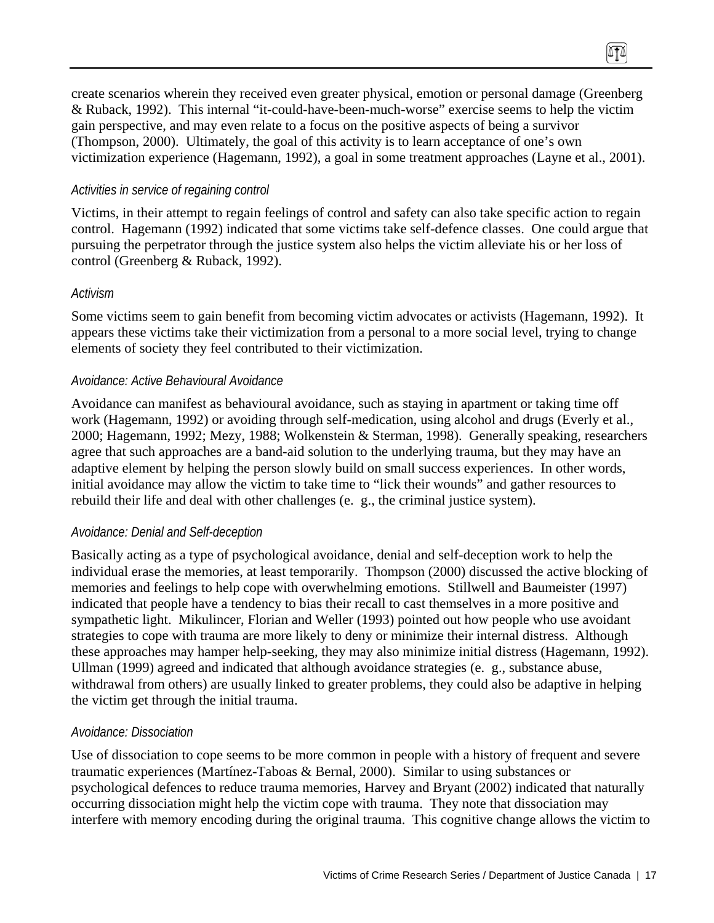create scenarios wherein they received even greater physical, emotion or personal damage (Greenberg & Ruback, 1992). This internal "it-could-have-been-much-worse" exercise seems to help the victim gain perspective, and may even relate to a focus on the positive aspects of being a survivor (Thompson, 2000). Ultimately, the goal of this activity is to learn acceptance of one's own victimization experience (Hagemann, 1992), a goal in some treatment approaches (Layne et al., 2001).

 $\sqrt{11}$ 

### *Activities in service of regaining control*

Victims, in their attempt to regain feelings of control and safety can also take specific action to regain control. Hagemann (1992) indicated that some victims take self-defence classes. One could argue that pursuing the perpetrator through the justice system also helps the victim alleviate his or her loss of control (Greenberg & Ruback, 1992).

### *Activism*

Some victims seem to gain benefit from becoming victim advocates or activists (Hagemann, 1992). It appears these victims take their victimization from a personal to a more social level, trying to change elements of society they feel contributed to their victimization.

### *Avoidance: Active Behavioural Avoidance*

Avoidance can manifest as behavioural avoidance, such as staying in apartment or taking time off work (Hagemann, 1992) or avoiding through self-medication, using alcohol and drugs (Everly et al., 2000; Hagemann, 1992; Mezy, 1988; Wolkenstein & Sterman, 1998). Generally speaking, researchers agree that such approaches are a band-aid solution to the underlying trauma, but they may have an adaptive element by helping the person slowly build on small success experiences. In other words, initial avoidance may allow the victim to take time to "lick their wounds" and gather resources to rebuild their life and deal with other challenges (e. g., the criminal justice system).

## *Avoidance: Denial and Self-deception*

Basically acting as a type of psychological avoidance, denial and self-deception work to help the individual erase the memories, at least temporarily. Thompson (2000) discussed the active blocking of memories and feelings to help cope with overwhelming emotions. Stillwell and Baumeister (1997) indicated that people have a tendency to bias their recall to cast themselves in a more positive and sympathetic light. Mikulincer, Florian and Weller (1993) pointed out how people who use avoidant strategies to cope with trauma are more likely to deny or minimize their internal distress. Although these approaches may hamper help-seeking, they may also minimize initial distress (Hagemann, 1992). Ullman (1999) agreed and indicated that although avoidance strategies (e. g., substance abuse, withdrawal from others) are usually linked to greater problems, they could also be adaptive in helping the victim get through the initial trauma.

## *Avoidance: Dissociation*

Use of dissociation to cope seems to be more common in people with a history of frequent and severe traumatic experiences (Martínez-Taboas & Bernal, 2000). Similar to using substances or psychological defences to reduce trauma memories, Harvey and Bryant (2002) indicated that naturally occurring dissociation might help the victim cope with trauma. They note that dissociation may interfere with memory encoding during the original trauma. This cognitive change allows the victim to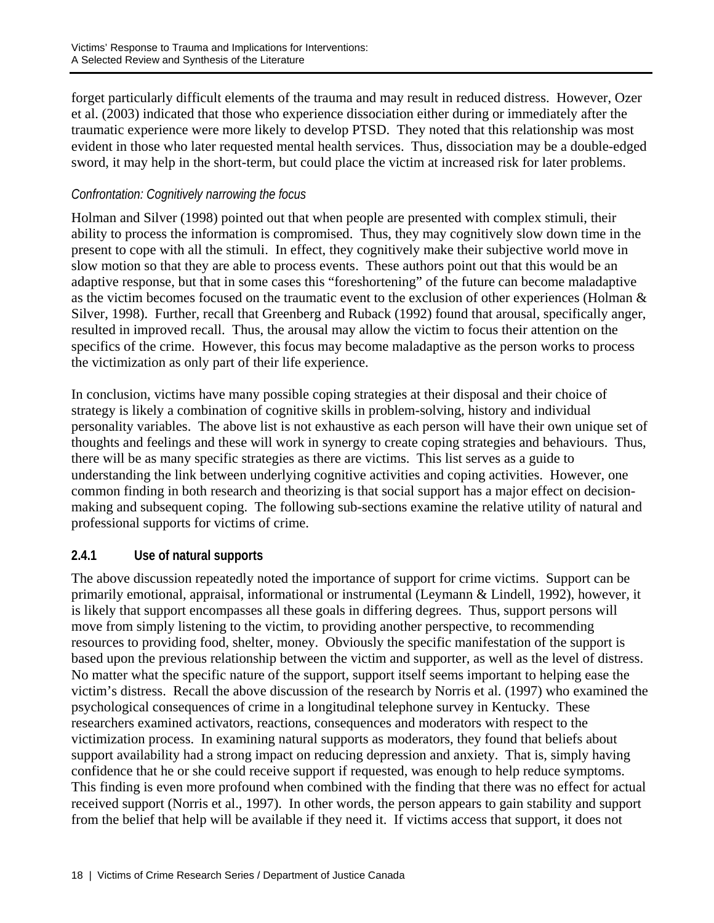forget particularly difficult elements of the trauma and may result in reduced distress. However, Ozer et al. (2003) indicated that those who experience dissociation either during or immediately after the traumatic experience were more likely to develop PTSD. They noted that this relationship was most evident in those who later requested mental health services. Thus, dissociation may be a double-edged sword, it may help in the short-term, but could place the victim at increased risk for later problems.

# *Confrontation: Cognitively narrowing the focus*

Holman and Silver (1998) pointed out that when people are presented with complex stimuli, their ability to process the information is compromised. Thus, they may cognitively slow down time in the present to cope with all the stimuli. In effect, they cognitively make their subjective world move in slow motion so that they are able to process events. These authors point out that this would be an adaptive response, but that in some cases this "foreshortening" of the future can become maladaptive as the victim becomes focused on the traumatic event to the exclusion of other experiences (Holman & Silver, 1998). Further, recall that Greenberg and Ruback (1992) found that arousal, specifically anger, resulted in improved recall. Thus, the arousal may allow the victim to focus their attention on the specifics of the crime. However, this focus may become maladaptive as the person works to process the victimization as only part of their life experience.

In conclusion, victims have many possible coping strategies at their disposal and their choice of strategy is likely a combination of cognitive skills in problem-solving, history and individual personality variables. The above list is not exhaustive as each person will have their own unique set of thoughts and feelings and these will work in synergy to create coping strategies and behaviours. Thus, there will be as many specific strategies as there are victims. This list serves as a guide to understanding the link between underlying cognitive activities and coping activities. However, one common finding in both research and theorizing is that social support has a major effect on decisionmaking and subsequent coping. The following sub-sections examine the relative utility of natural and professional supports for victims of crime.

## **2.4.1 Use of natural supports**

The above discussion repeatedly noted the importance of support for crime victims. Support can be primarily emotional, appraisal, informational or instrumental (Leymann & Lindell, 1992), however, it is likely that support encompasses all these goals in differing degrees. Thus, support persons will move from simply listening to the victim, to providing another perspective, to recommending resources to providing food, shelter, money. Obviously the specific manifestation of the support is based upon the previous relationship between the victim and supporter, as well as the level of distress. No matter what the specific nature of the support, support itself seems important to helping ease the victim's distress. Recall the above discussion of the research by Norris et al. (1997) who examined the psychological consequences of crime in a longitudinal telephone survey in Kentucky. These researchers examined activators, reactions, consequences and moderators with respect to the victimization process. In examining natural supports as moderators, they found that beliefs about support availability had a strong impact on reducing depression and anxiety. That is, simply having confidence that he or she could receive support if requested, was enough to help reduce symptoms. This finding is even more profound when combined with the finding that there was no effect for actual received support (Norris et al., 1997). In other words, the person appears to gain stability and support from the belief that help will be available if they need it. If victims access that support, it does not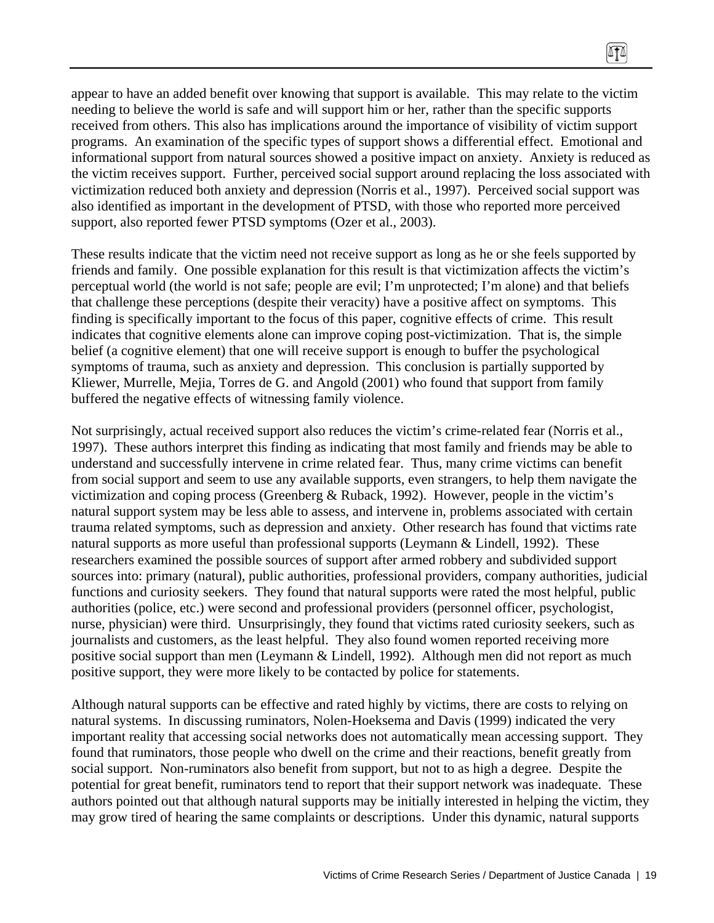appear to have an added benefit over knowing that support is available. This may relate to the victim needing to believe the world is safe and will support him or her, rather than the specific supports received from others. This also has implications around the importance of visibility of victim support programs. An examination of the specific types of support shows a differential effect. Emotional and informational support from natural sources showed a positive impact on anxiety. Anxiety is reduced as the victim receives support. Further, perceived social support around replacing the loss associated with victimization reduced both anxiety and depression (Norris et al., 1997). Perceived social support was also identified as important in the development of PTSD, with those who reported more perceived support, also reported fewer PTSD symptoms (Ozer et al., 2003).

These results indicate that the victim need not receive support as long as he or she feels supported by friends and family. One possible explanation for this result is that victimization affects the victim's perceptual world (the world is not safe; people are evil; I'm unprotected; I'm alone) and that beliefs that challenge these perceptions (despite their veracity) have a positive affect on symptoms. This finding is specifically important to the focus of this paper, cognitive effects of crime. This result indicates that cognitive elements alone can improve coping post-victimization. That is, the simple belief (a cognitive element) that one will receive support is enough to buffer the psychological symptoms of trauma, such as anxiety and depression. This conclusion is partially supported by Kliewer, Murrelle, Mejia, Torres de G. and Angold (2001) who found that support from family buffered the negative effects of witnessing family violence.

Not surprisingly, actual received support also reduces the victim's crime-related fear (Norris et al., 1997). These authors interpret this finding as indicating that most family and friends may be able to understand and successfully intervene in crime related fear. Thus, many crime victims can benefit from social support and seem to use any available supports, even strangers, to help them navigate the victimization and coping process (Greenberg & Ruback, 1992). However, people in the victim's natural support system may be less able to assess, and intervene in, problems associated with certain trauma related symptoms, such as depression and anxiety. Other research has found that victims rate natural supports as more useful than professional supports (Leymann & Lindell, 1992). These researchers examined the possible sources of support after armed robbery and subdivided support sources into: primary (natural), public authorities, professional providers, company authorities, judicial functions and curiosity seekers. They found that natural supports were rated the most helpful, public authorities (police, etc.) were second and professional providers (personnel officer, psychologist, nurse, physician) were third. Unsurprisingly, they found that victims rated curiosity seekers, such as journalists and customers, as the least helpful. They also found women reported receiving more positive social support than men (Leymann & Lindell, 1992). Although men did not report as much positive support, they were more likely to be contacted by police for statements.

Although natural supports can be effective and rated highly by victims, there are costs to relying on natural systems. In discussing ruminators, Nolen-Hoeksema and Davis (1999) indicated the very important reality that accessing social networks does not automatically mean accessing support. They found that ruminators, those people who dwell on the crime and their reactions, benefit greatly from social support. Non-ruminators also benefit from support, but not to as high a degree. Despite the potential for great benefit, ruminators tend to report that their support network was inadequate. These authors pointed out that although natural supports may be initially interested in helping the victim, they may grow tired of hearing the same complaints or descriptions. Under this dynamic, natural supports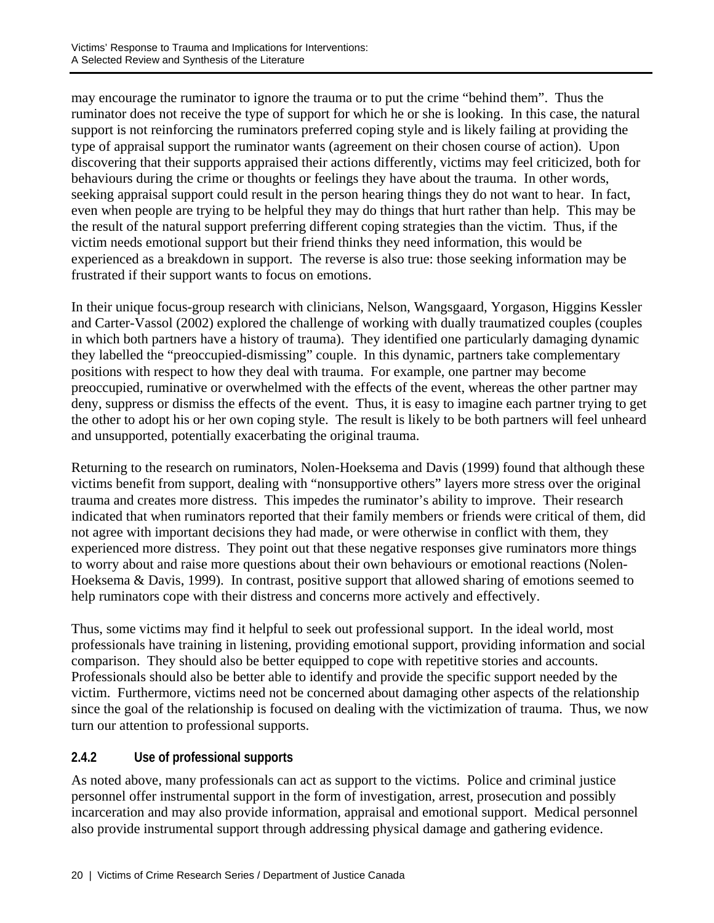may encourage the ruminator to ignore the trauma or to put the crime "behind them". Thus the ruminator does not receive the type of support for which he or she is looking. In this case, the natural support is not reinforcing the ruminators preferred coping style and is likely failing at providing the type of appraisal support the ruminator wants (agreement on their chosen course of action). Upon discovering that their supports appraised their actions differently, victims may feel criticized, both for behaviours during the crime or thoughts or feelings they have about the trauma. In other words, seeking appraisal support could result in the person hearing things they do not want to hear. In fact, even when people are trying to be helpful they may do things that hurt rather than help. This may be the result of the natural support preferring different coping strategies than the victim. Thus, if the victim needs emotional support but their friend thinks they need information, this would be experienced as a breakdown in support. The reverse is also true: those seeking information may be frustrated if their support wants to focus on emotions.

In their unique focus-group research with clinicians, Nelson, Wangsgaard, Yorgason, Higgins Kessler and Carter-Vassol (2002) explored the challenge of working with dually traumatized couples (couples in which both partners have a history of trauma). They identified one particularly damaging dynamic they labelled the "preoccupied-dismissing" couple. In this dynamic, partners take complementary positions with respect to how they deal with trauma. For example, one partner may become preoccupied, ruminative or overwhelmed with the effects of the event, whereas the other partner may deny, suppress or dismiss the effects of the event. Thus, it is easy to imagine each partner trying to get the other to adopt his or her own coping style. The result is likely to be both partners will feel unheard and unsupported, potentially exacerbating the original trauma.

Returning to the research on ruminators, Nolen-Hoeksema and Davis (1999) found that although these victims benefit from support, dealing with "nonsupportive others" layers more stress over the original trauma and creates more distress. This impedes the ruminator's ability to improve. Their research indicated that when ruminators reported that their family members or friends were critical of them, did not agree with important decisions they had made, or were otherwise in conflict with them, they experienced more distress. They point out that these negative responses give ruminators more things to worry about and raise more questions about their own behaviours or emotional reactions (Nolen-Hoeksema & Davis, 1999). In contrast, positive support that allowed sharing of emotions seemed to help ruminators cope with their distress and concerns more actively and effectively.

Thus, some victims may find it helpful to seek out professional support. In the ideal world, most professionals have training in listening, providing emotional support, providing information and social comparison. They should also be better equipped to cope with repetitive stories and accounts. Professionals should also be better able to identify and provide the specific support needed by the victim. Furthermore, victims need not be concerned about damaging other aspects of the relationship since the goal of the relationship is focused on dealing with the victimization of trauma. Thus, we now turn our attention to professional supports.

# **2.4.2 Use of professional supports**

As noted above, many professionals can act as support to the victims. Police and criminal justice personnel offer instrumental support in the form of investigation, arrest, prosecution and possibly incarceration and may also provide information, appraisal and emotional support. Medical personnel also provide instrumental support through addressing physical damage and gathering evidence.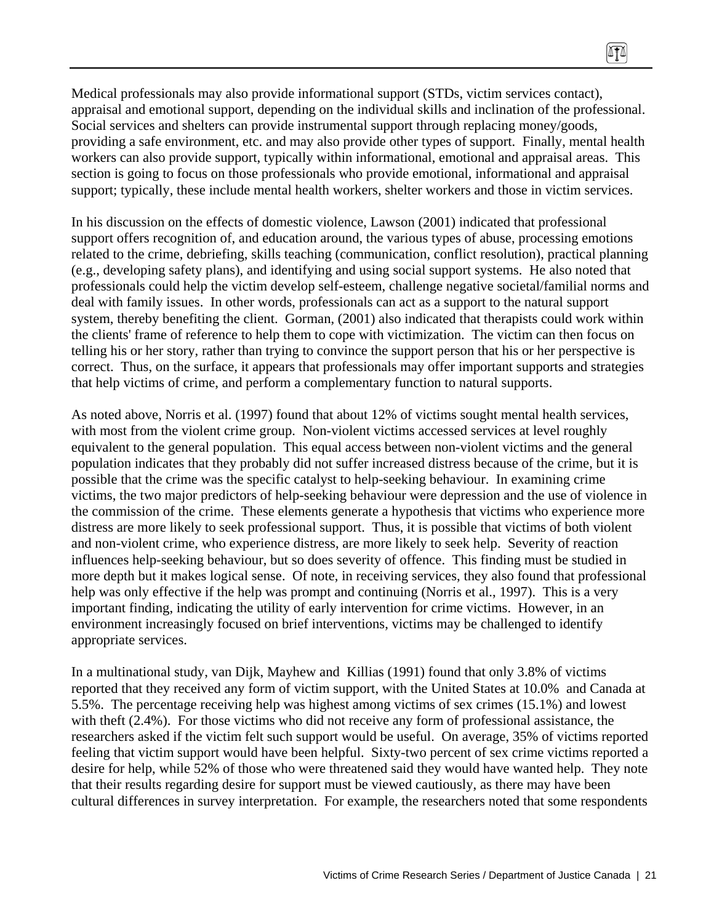Medical professionals may also provide informational support (STDs, victim services contact), appraisal and emotional support, depending on the individual skills and inclination of the professional. Social services and shelters can provide instrumental support through replacing money/goods, providing a safe environment, etc. and may also provide other types of support. Finally, mental health workers can also provide support, typically within informational, emotional and appraisal areas. This section is going to focus on those professionals who provide emotional, informational and appraisal support; typically, these include mental health workers, shelter workers and those in victim services.

 $\sqrt{11}$ 

In his discussion on the effects of domestic violence, Lawson (2001) indicated that professional support offers recognition of, and education around, the various types of abuse, processing emotions related to the crime, debriefing, skills teaching (communication, conflict resolution), practical planning (e.g., developing safety plans), and identifying and using social support systems. He also noted that professionals could help the victim develop self-esteem, challenge negative societal/familial norms and deal with family issues. In other words, professionals can act as a support to the natural support system, thereby benefiting the client. Gorman, (2001) also indicated that therapists could work within the clients' frame of reference to help them to cope with victimization. The victim can then focus on telling his or her story, rather than trying to convince the support person that his or her perspective is correct. Thus, on the surface, it appears that professionals may offer important supports and strategies that help victims of crime, and perform a complementary function to natural supports.

As noted above, Norris et al. (1997) found that about 12% of victims sought mental health services, with most from the violent crime group. Non-violent victims accessed services at level roughly equivalent to the general population. This equal access between non-violent victims and the general population indicates that they probably did not suffer increased distress because of the crime, but it is possible that the crime was the specific catalyst to help-seeking behaviour. In examining crime victims, the two major predictors of help-seeking behaviour were depression and the use of violence in the commission of the crime. These elements generate a hypothesis that victims who experience more distress are more likely to seek professional support. Thus, it is possible that victims of both violent and non-violent crime, who experience distress, are more likely to seek help. Severity of reaction influences help-seeking behaviour, but so does severity of offence. This finding must be studied in more depth but it makes logical sense. Of note, in receiving services, they also found that professional help was only effective if the help was prompt and continuing (Norris et al., 1997). This is a very important finding, indicating the utility of early intervention for crime victims. However, in an environment increasingly focused on brief interventions, victims may be challenged to identify appropriate services.

In a multinational study, van Dijk, Mayhew and Killias (1991) found that only 3.8% of victims reported that they received any form of victim support, with the United States at 10.0% and Canada at 5.5%. The percentage receiving help was highest among victims of sex crimes (15.1%) and lowest with theft (2.4%). For those victims who did not receive any form of professional assistance, the researchers asked if the victim felt such support would be useful. On average, 35% of victims reported feeling that victim support would have been helpful. Sixty-two percent of sex crime victims reported a desire for help, while 52% of those who were threatened said they would have wanted help. They note that their results regarding desire for support must be viewed cautiously, as there may have been cultural differences in survey interpretation. For example, the researchers noted that some respondents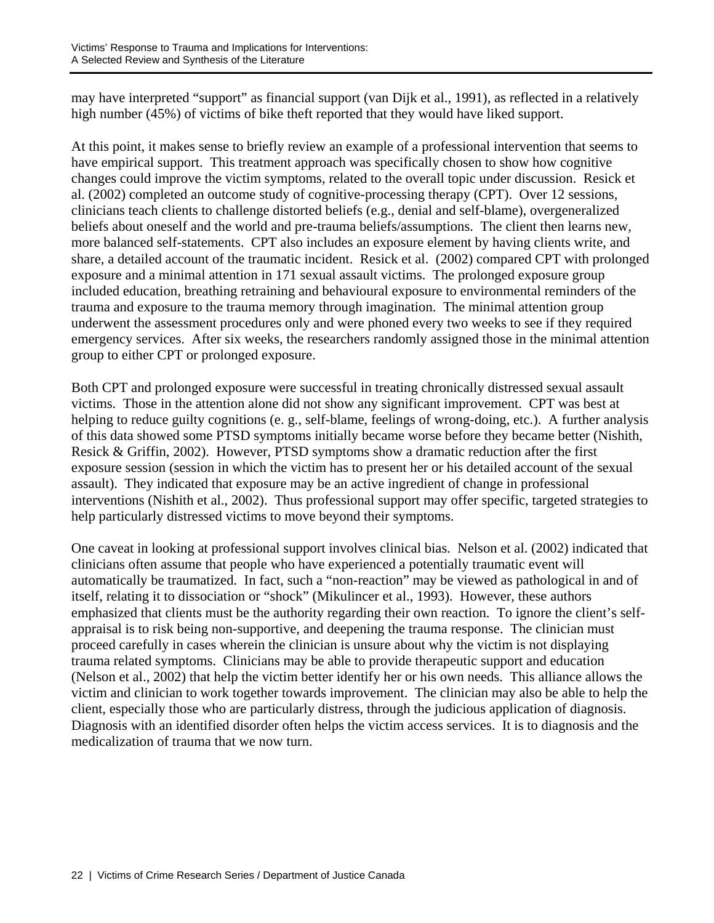may have interpreted "support" as financial support (van Dijk et al., 1991), as reflected in a relatively high number (45%) of victims of bike theft reported that they would have liked support.

At this point, it makes sense to briefly review an example of a professional intervention that seems to have empirical support. This treatment approach was specifically chosen to show how cognitive changes could improve the victim symptoms, related to the overall topic under discussion. Resick et al. (2002) completed an outcome study of cognitive-processing therapy (CPT). Over 12 sessions, clinicians teach clients to challenge distorted beliefs (e.g., denial and self-blame), overgeneralized beliefs about oneself and the world and pre-trauma beliefs/assumptions. The client then learns new, more balanced self-statements. CPT also includes an exposure element by having clients write, and share, a detailed account of the traumatic incident. Resick et al. (2002) compared CPT with prolonged exposure and a minimal attention in 171 sexual assault victims. The prolonged exposure group included education, breathing retraining and behavioural exposure to environmental reminders of the trauma and exposure to the trauma memory through imagination. The minimal attention group underwent the assessment procedures only and were phoned every two weeks to see if they required emergency services. After six weeks, the researchers randomly assigned those in the minimal attention group to either CPT or prolonged exposure.

Both CPT and prolonged exposure were successful in treating chronically distressed sexual assault victims. Those in the attention alone did not show any significant improvement. CPT was best at helping to reduce guilty cognitions (e. g., self-blame, feelings of wrong-doing, etc.). A further analysis of this data showed some PTSD symptoms initially became worse before they became better (Nishith, Resick & Griffin, 2002). However, PTSD symptoms show a dramatic reduction after the first exposure session (session in which the victim has to present her or his detailed account of the sexual assault). They indicated that exposure may be an active ingredient of change in professional interventions (Nishith et al., 2002). Thus professional support may offer specific, targeted strategies to help particularly distressed victims to move beyond their symptoms.

One caveat in looking at professional support involves clinical bias. Nelson et al. (2002) indicated that clinicians often assume that people who have experienced a potentially traumatic event will automatically be traumatized. In fact, such a "non-reaction" may be viewed as pathological in and of itself, relating it to dissociation or "shock" (Mikulincer et al., 1993). However, these authors emphasized that clients must be the authority regarding their own reaction. To ignore the client's selfappraisal is to risk being non-supportive, and deepening the trauma response. The clinician must proceed carefully in cases wherein the clinician is unsure about why the victim is not displaying trauma related symptoms. Clinicians may be able to provide therapeutic support and education (Nelson et al., 2002) that help the victim better identify her or his own needs. This alliance allows the victim and clinician to work together towards improvement. The clinician may also be able to help the client, especially those who are particularly distress, through the judicious application of diagnosis. Diagnosis with an identified disorder often helps the victim access services. It is to diagnosis and the medicalization of trauma that we now turn.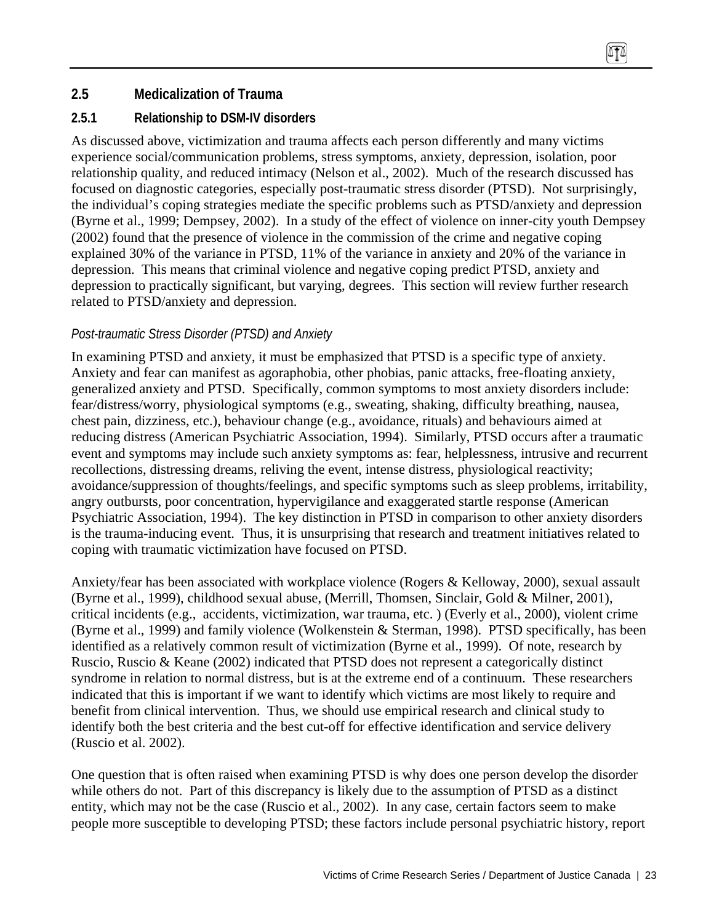# **2.5 Medicalization of Trauma**

## **2.5.1 Relationship to DSM-IV disorders**

As discussed above, victimization and trauma affects each person differently and many victims experience social/communication problems, stress symptoms, anxiety, depression, isolation, poor relationship quality, and reduced intimacy (Nelson et al., 2002). Much of the research discussed has focused on diagnostic categories, especially post-traumatic stress disorder (PTSD). Not surprisingly, the individual's coping strategies mediate the specific problems such as PTSD/anxiety and depression (Byrne et al., 1999; Dempsey, 2002). In a study of the effect of violence on inner-city youth Dempsey (2002) found that the presence of violence in the commission of the crime and negative coping explained 30% of the variance in PTSD, 11% of the variance in anxiety and 20% of the variance in depression. This means that criminal violence and negative coping predict PTSD, anxiety and depression to practically significant, but varying, degrees. This section will review further research related to PTSD/anxiety and depression.

## *Post-traumatic Stress Disorder (PTSD) and Anxiety*

In examining PTSD and anxiety, it must be emphasized that PTSD is a specific type of anxiety. Anxiety and fear can manifest as agoraphobia, other phobias, panic attacks, free-floating anxiety, generalized anxiety and PTSD. Specifically, common symptoms to most anxiety disorders include: fear/distress/worry, physiological symptoms (e.g., sweating, shaking, difficulty breathing, nausea, chest pain, dizziness, etc.), behaviour change (e.g., avoidance, rituals) and behaviours aimed at reducing distress (American Psychiatric Association, 1994). Similarly, PTSD occurs after a traumatic event and symptoms may include such anxiety symptoms as: fear, helplessness, intrusive and recurrent recollections, distressing dreams, reliving the event, intense distress, physiological reactivity; avoidance/suppression of thoughts/feelings, and specific symptoms such as sleep problems, irritability, angry outbursts, poor concentration, hypervigilance and exaggerated startle response (American Psychiatric Association, 1994). The key distinction in PTSD in comparison to other anxiety disorders is the trauma-inducing event. Thus, it is unsurprising that research and treatment initiatives related to coping with traumatic victimization have focused on PTSD.

Anxiety/fear has been associated with workplace violence (Rogers & Kelloway, 2000), sexual assault (Byrne et al., 1999), childhood sexual abuse, (Merrill, Thomsen, Sinclair, Gold & Milner, 2001), critical incidents (e.g., accidents, victimization, war trauma, etc. ) (Everly et al., 2000), violent crime (Byrne et al., 1999) and family violence (Wolkenstein & Sterman, 1998). PTSD specifically, has been identified as a relatively common result of victimization (Byrne et al., 1999). Of note, research by Ruscio, Ruscio & Keane (2002) indicated that PTSD does not represent a categorically distinct syndrome in relation to normal distress, but is at the extreme end of a continuum. These researchers indicated that this is important if we want to identify which victims are most likely to require and benefit from clinical intervention. Thus, we should use empirical research and clinical study to identify both the best criteria and the best cut-off for effective identification and service delivery (Ruscio et al. 2002).

One question that is often raised when examining PTSD is why does one person develop the disorder while others do not. Part of this discrepancy is likely due to the assumption of PTSD as a distinct entity, which may not be the case (Ruscio et al., 2002). In any case, certain factors seem to make people more susceptible to developing PTSD; these factors include personal psychiatric history, report

(TT)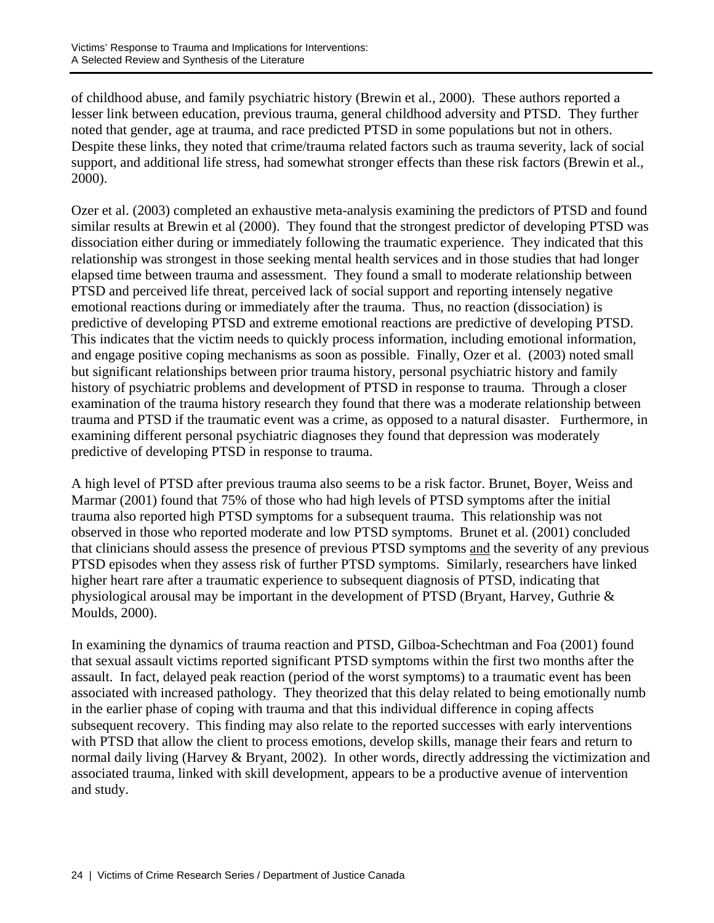of childhood abuse, and family psychiatric history (Brewin et al., 2000). These authors reported a lesser link between education, previous trauma, general childhood adversity and PTSD. They further noted that gender, age at trauma, and race predicted PTSD in some populations but not in others. Despite these links, they noted that crime/trauma related factors such as trauma severity, lack of social support, and additional life stress, had somewhat stronger effects than these risk factors (Brewin et al., 2000).

Ozer et al. (2003) completed an exhaustive meta-analysis examining the predictors of PTSD and found similar results at Brewin et al (2000). They found that the strongest predictor of developing PTSD was dissociation either during or immediately following the traumatic experience. They indicated that this relationship was strongest in those seeking mental health services and in those studies that had longer elapsed time between trauma and assessment. They found a small to moderate relationship between PTSD and perceived life threat, perceived lack of social support and reporting intensely negative emotional reactions during or immediately after the trauma. Thus, no reaction (dissociation) is predictive of developing PTSD and extreme emotional reactions are predictive of developing PTSD. This indicates that the victim needs to quickly process information, including emotional information, and engage positive coping mechanisms as soon as possible. Finally, Ozer et al. (2003) noted small but significant relationships between prior trauma history, personal psychiatric history and family history of psychiatric problems and development of PTSD in response to trauma. Through a closer examination of the trauma history research they found that there was a moderate relationship between trauma and PTSD if the traumatic event was a crime, as opposed to a natural disaster. Furthermore, in examining different personal psychiatric diagnoses they found that depression was moderately predictive of developing PTSD in response to trauma.

A high level of PTSD after previous trauma also seems to be a risk factor. Brunet, Boyer, Weiss and Marmar (2001) found that 75% of those who had high levels of PTSD symptoms after the initial trauma also reported high PTSD symptoms for a subsequent trauma. This relationship was not observed in those who reported moderate and low PTSD symptoms. Brunet et al. (2001) concluded that clinicians should assess the presence of previous PTSD symptoms and the severity of any previous PTSD episodes when they assess risk of further PTSD symptoms. Similarly, researchers have linked higher heart rare after a traumatic experience to subsequent diagnosis of PTSD, indicating that physiological arousal may be important in the development of PTSD (Bryant, Harvey, Guthrie & Moulds, 2000).

In examining the dynamics of trauma reaction and PTSD, Gilboa-Schechtman and Foa (2001) found that sexual assault victims reported significant PTSD symptoms within the first two months after the assault. In fact, delayed peak reaction (period of the worst symptoms) to a traumatic event has been associated with increased pathology. They theorized that this delay related to being emotionally numb in the earlier phase of coping with trauma and that this individual difference in coping affects subsequent recovery. This finding may also relate to the reported successes with early interventions with PTSD that allow the client to process emotions, develop skills, manage their fears and return to normal daily living (Harvey & Bryant, 2002). In other words, directly addressing the victimization and associated trauma, linked with skill development, appears to be a productive avenue of intervention and study.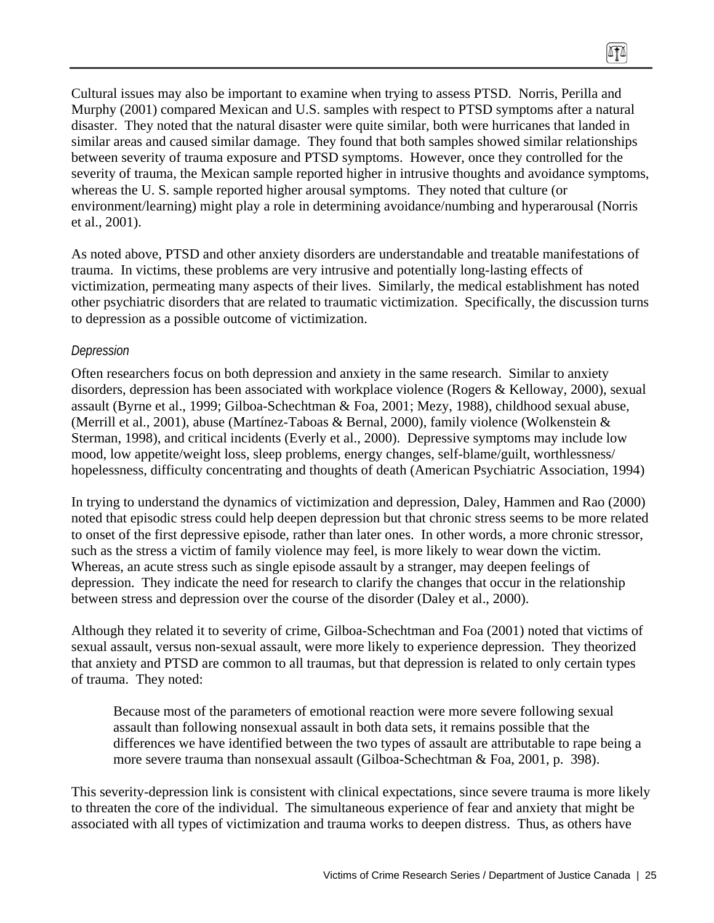Cultural issues may also be important to examine when trying to assess PTSD. Norris, Perilla and Murphy (2001) compared Mexican and U.S. samples with respect to PTSD symptoms after a natural disaster. They noted that the natural disaster were quite similar, both were hurricanes that landed in similar areas and caused similar damage. They found that both samples showed similar relationships between severity of trauma exposure and PTSD symptoms. However, once they controlled for the severity of trauma, the Mexican sample reported higher in intrusive thoughts and avoidance symptoms, whereas the U. S. sample reported higher arousal symptoms. They noted that culture (or environment/learning) might play a role in determining avoidance/numbing and hyperarousal (Norris et al., 2001).

 $\sqrt{10}$ 

As noted above, PTSD and other anxiety disorders are understandable and treatable manifestations of trauma. In victims, these problems are very intrusive and potentially long-lasting effects of victimization, permeating many aspects of their lives. Similarly, the medical establishment has noted other psychiatric disorders that are related to traumatic victimization. Specifically, the discussion turns to depression as a possible outcome of victimization.

### *Depression*

Often researchers focus on both depression and anxiety in the same research. Similar to anxiety disorders, depression has been associated with workplace violence (Rogers & Kelloway, 2000), sexual assault (Byrne et al., 1999; Gilboa-Schechtman & Foa, 2001; Mezy, 1988), childhood sexual abuse, (Merrill et al., 2001), abuse (Martínez-Taboas & Bernal, 2000), family violence (Wolkenstein & Sterman, 1998), and critical incidents (Everly et al., 2000). Depressive symptoms may include low mood, low appetite/weight loss, sleep problems, energy changes, self-blame/guilt, worthlessness/ hopelessness, difficulty concentrating and thoughts of death (American Psychiatric Association, 1994)

In trying to understand the dynamics of victimization and depression, Daley, Hammen and Rao (2000) noted that episodic stress could help deepen depression but that chronic stress seems to be more related to onset of the first depressive episode, rather than later ones. In other words, a more chronic stressor, such as the stress a victim of family violence may feel, is more likely to wear down the victim. Whereas, an acute stress such as single episode assault by a stranger, may deepen feelings of depression. They indicate the need for research to clarify the changes that occur in the relationship between stress and depression over the course of the disorder (Daley et al., 2000).

Although they related it to severity of crime, Gilboa-Schechtman and Foa (2001) noted that victims of sexual assault, versus non-sexual assault, were more likely to experience depression. They theorized that anxiety and PTSD are common to all traumas, but that depression is related to only certain types of trauma. They noted:

Because most of the parameters of emotional reaction were more severe following sexual assault than following nonsexual assault in both data sets, it remains possible that the differences we have identified between the two types of assault are attributable to rape being a more severe trauma than nonsexual assault (Gilboa-Schechtman & Foa, 2001, p. 398).

This severity-depression link is consistent with clinical expectations, since severe trauma is more likely to threaten the core of the individual. The simultaneous experience of fear and anxiety that might be associated with all types of victimization and trauma works to deepen distress. Thus, as others have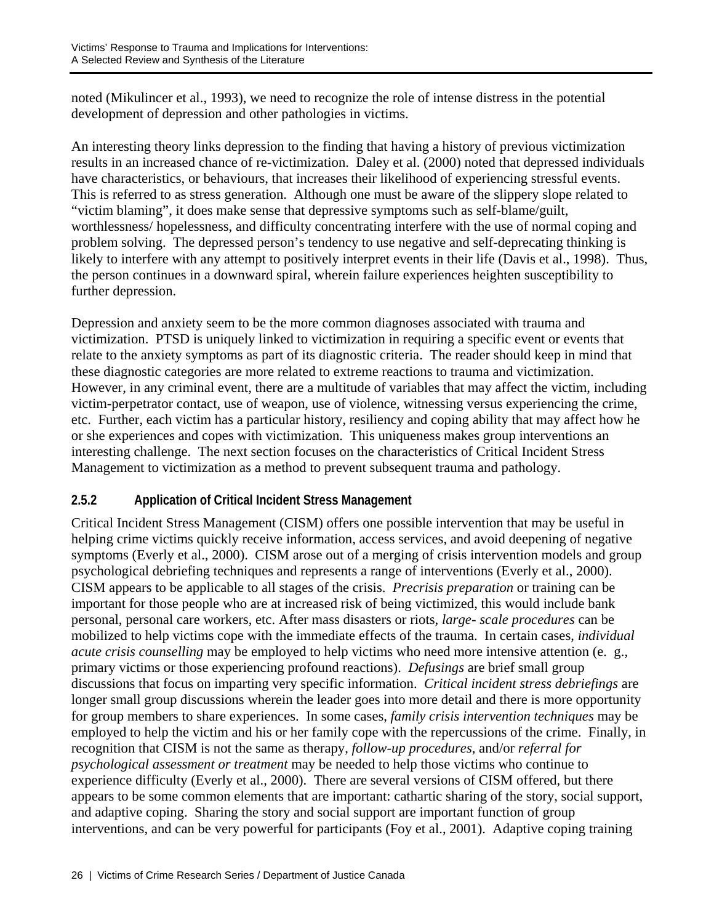noted (Mikulincer et al., 1993), we need to recognize the role of intense distress in the potential development of depression and other pathologies in victims.

An interesting theory links depression to the finding that having a history of previous victimization results in an increased chance of re-victimization. Daley et al. (2000) noted that depressed individuals have characteristics, or behaviours, that increases their likelihood of experiencing stressful events. This is referred to as stress generation. Although one must be aware of the slippery slope related to "victim blaming", it does make sense that depressive symptoms such as self-blame/guilt, worthlessness/ hopelessness, and difficulty concentrating interfere with the use of normal coping and problem solving. The depressed person's tendency to use negative and self-deprecating thinking is likely to interfere with any attempt to positively interpret events in their life (Davis et al., 1998). Thus, the person continues in a downward spiral, wherein failure experiences heighten susceptibility to further depression.

Depression and anxiety seem to be the more common diagnoses associated with trauma and victimization. PTSD is uniquely linked to victimization in requiring a specific event or events that relate to the anxiety symptoms as part of its diagnostic criteria. The reader should keep in mind that these diagnostic categories are more related to extreme reactions to trauma and victimization. However, in any criminal event, there are a multitude of variables that may affect the victim, including victim-perpetrator contact, use of weapon, use of violence, witnessing versus experiencing the crime, etc. Further, each victim has a particular history, resiliency and coping ability that may affect how he or she experiences and copes with victimization. This uniqueness makes group interventions an interesting challenge. The next section focuses on the characteristics of Critical Incident Stress Management to victimization as a method to prevent subsequent trauma and pathology.

## **2.5.2 Application of Critical Incident Stress Management**

Critical Incident Stress Management (CISM) offers one possible intervention that may be useful in helping crime victims quickly receive information, access services, and avoid deepening of negative symptoms (Everly et al., 2000). CISM arose out of a merging of crisis intervention models and group psychological debriefing techniques and represents a range of interventions (Everly et al., 2000). CISM appears to be applicable to all stages of the crisis. *Precrisis preparation* or training can be important for those people who are at increased risk of being victimized, this would include bank personal, personal care workers, etc. After mass disasters or riots, *large- scale procedures* can be mobilized to help victims cope with the immediate effects of the trauma. In certain cases, *individual acute crisis counselling* may be employed to help victims who need more intensive attention (e. g., primary victims or those experiencing profound reactions). *Defusings* are brief small group discussions that focus on imparting very specific information. *Critical incident stress debriefings* are longer small group discussions wherein the leader goes into more detail and there is more opportunity for group members to share experiences. In some cases, *family crisis intervention techniques* may be employed to help the victim and his or her family cope with the repercussions of the crime. Finally, in recognition that CISM is not the same as therapy, *follow-up procedures*, and/or *referral for psychological assessment or treatment* may be needed to help those victims who continue to experience difficulty (Everly et al., 2000). There are several versions of CISM offered, but there appears to be some common elements that are important: cathartic sharing of the story, social support, and adaptive coping. Sharing the story and social support are important function of group interventions, and can be very powerful for participants (Foy et al., 2001). Adaptive coping training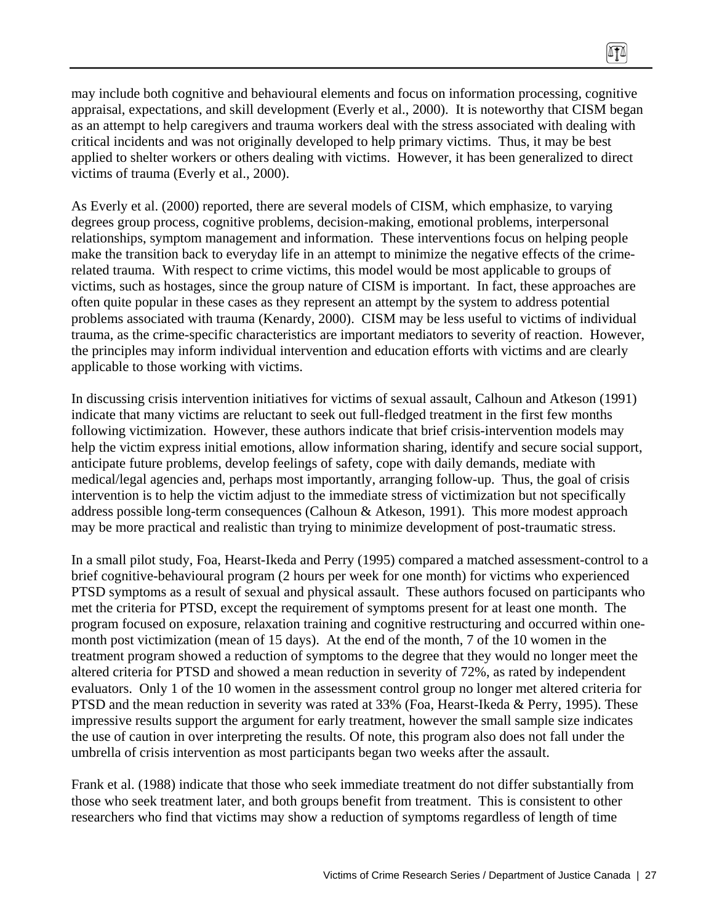may include both cognitive and behavioural elements and focus on information processing, cognitive appraisal, expectations, and skill development (Everly et al., 2000). It is noteworthy that CISM began as an attempt to help caregivers and trauma workers deal with the stress associated with dealing with critical incidents and was not originally developed to help primary victims. Thus, it may be best applied to shelter workers or others dealing with victims. However, it has been generalized to direct victims of trauma (Everly et al., 2000).

 $\sqrt{11}$ 

As Everly et al. (2000) reported, there are several models of CISM, which emphasize, to varying degrees group process, cognitive problems, decision-making, emotional problems, interpersonal relationships, symptom management and information. These interventions focus on helping people make the transition back to everyday life in an attempt to minimize the negative effects of the crimerelated trauma. With respect to crime victims, this model would be most applicable to groups of victims, such as hostages, since the group nature of CISM is important. In fact, these approaches are often quite popular in these cases as they represent an attempt by the system to address potential problems associated with trauma (Kenardy, 2000). CISM may be less useful to victims of individual trauma, as the crime-specific characteristics are important mediators to severity of reaction. However, the principles may inform individual intervention and education efforts with victims and are clearly applicable to those working with victims.

In discussing crisis intervention initiatives for victims of sexual assault, Calhoun and Atkeson (1991) indicate that many victims are reluctant to seek out full-fledged treatment in the first few months following victimization. However, these authors indicate that brief crisis-intervention models may help the victim express initial emotions, allow information sharing, identify and secure social support, anticipate future problems, develop feelings of safety, cope with daily demands, mediate with medical/legal agencies and, perhaps most importantly, arranging follow-up. Thus, the goal of crisis intervention is to help the victim adjust to the immediate stress of victimization but not specifically address possible long-term consequences (Calhoun & Atkeson, 1991). This more modest approach may be more practical and realistic than trying to minimize development of post-traumatic stress.

In a small pilot study, Foa, Hearst-Ikeda and Perry (1995) compared a matched assessment-control to a brief cognitive-behavioural program (2 hours per week for one month) for victims who experienced PTSD symptoms as a result of sexual and physical assault. These authors focused on participants who met the criteria for PTSD, except the requirement of symptoms present for at least one month. The program focused on exposure, relaxation training and cognitive restructuring and occurred within onemonth post victimization (mean of 15 days). At the end of the month, 7 of the 10 women in the treatment program showed a reduction of symptoms to the degree that they would no longer meet the altered criteria for PTSD and showed a mean reduction in severity of 72%, as rated by independent evaluators. Only 1 of the 10 women in the assessment control group no longer met altered criteria for PTSD and the mean reduction in severity was rated at 33% (Foa, Hearst-Ikeda & Perry, 1995). These impressive results support the argument for early treatment, however the small sample size indicates the use of caution in over interpreting the results. Of note, this program also does not fall under the umbrella of crisis intervention as most participants began two weeks after the assault.

Frank et al. (1988) indicate that those who seek immediate treatment do not differ substantially from those who seek treatment later, and both groups benefit from treatment. This is consistent to other researchers who find that victims may show a reduction of symptoms regardless of length of time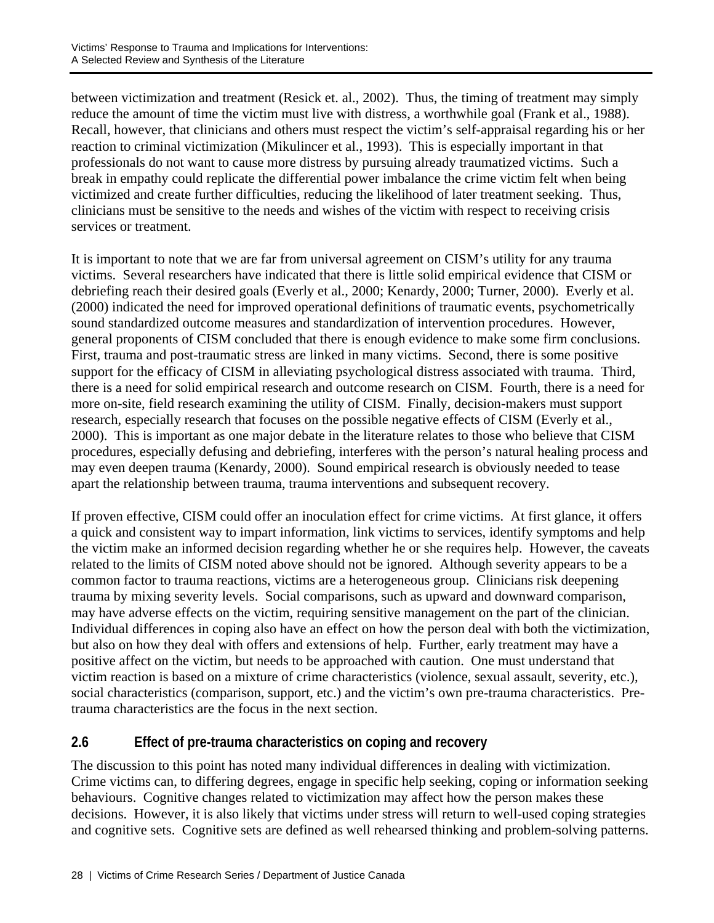between victimization and treatment (Resick et. al., 2002). Thus, the timing of treatment may simply reduce the amount of time the victim must live with distress, a worthwhile goal (Frank et al., 1988). Recall, however, that clinicians and others must respect the victim's self-appraisal regarding his or her reaction to criminal victimization (Mikulincer et al., 1993). This is especially important in that professionals do not want to cause more distress by pursuing already traumatized victims. Such a break in empathy could replicate the differential power imbalance the crime victim felt when being victimized and create further difficulties, reducing the likelihood of later treatment seeking. Thus, clinicians must be sensitive to the needs and wishes of the victim with respect to receiving crisis services or treatment.

It is important to note that we are far from universal agreement on CISM's utility for any trauma victims. Several researchers have indicated that there is little solid empirical evidence that CISM or debriefing reach their desired goals (Everly et al., 2000; Kenardy, 2000; Turner, 2000). Everly et al. (2000) indicated the need for improved operational definitions of traumatic events, psychometrically sound standardized outcome measures and standardization of intervention procedures. However, general proponents of CISM concluded that there is enough evidence to make some firm conclusions. First, trauma and post-traumatic stress are linked in many victims. Second, there is some positive support for the efficacy of CISM in alleviating psychological distress associated with trauma. Third, there is a need for solid empirical research and outcome research on CISM. Fourth, there is a need for more on-site, field research examining the utility of CISM. Finally, decision-makers must support research, especially research that focuses on the possible negative effects of CISM (Everly et al., 2000). This is important as one major debate in the literature relates to those who believe that CISM procedures, especially defusing and debriefing, interferes with the person's natural healing process and may even deepen trauma (Kenardy, 2000). Sound empirical research is obviously needed to tease apart the relationship between trauma, trauma interventions and subsequent recovery.

If proven effective, CISM could offer an inoculation effect for crime victims. At first glance, it offers a quick and consistent way to impart information, link victims to services, identify symptoms and help the victim make an informed decision regarding whether he or she requires help. However, the caveats related to the limits of CISM noted above should not be ignored. Although severity appears to be a common factor to trauma reactions, victims are a heterogeneous group. Clinicians risk deepening trauma by mixing severity levels. Social comparisons, such as upward and downward comparison, may have adverse effects on the victim, requiring sensitive management on the part of the clinician. Individual differences in coping also have an effect on how the person deal with both the victimization, but also on how they deal with offers and extensions of help. Further, early treatment may have a positive affect on the victim, but needs to be approached with caution. One must understand that victim reaction is based on a mixture of crime characteristics (violence, sexual assault, severity, etc.), social characteristics (comparison, support, etc.) and the victim's own pre-trauma characteristics. Pretrauma characteristics are the focus in the next section.

# **2.6 Effect of pre-trauma characteristics on coping and recovery**

The discussion to this point has noted many individual differences in dealing with victimization. Crime victims can, to differing degrees, engage in specific help seeking, coping or information seeking behaviours. Cognitive changes related to victimization may affect how the person makes these decisions. However, it is also likely that victims under stress will return to well-used coping strategies and cognitive sets. Cognitive sets are defined as well rehearsed thinking and problem-solving patterns.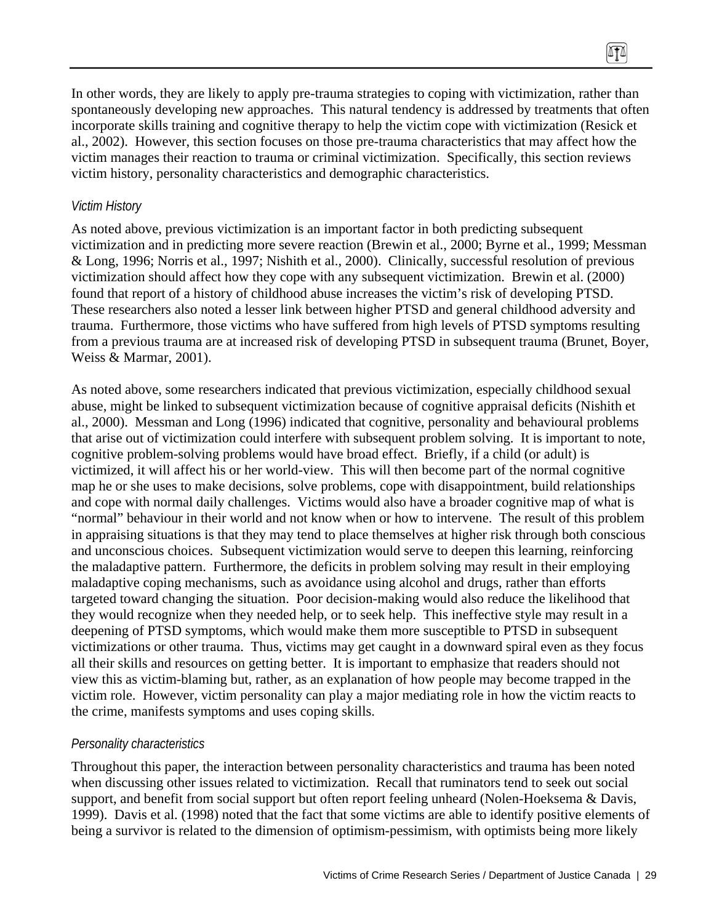In other words, they are likely to apply pre-trauma strategies to coping with victimization, rather than spontaneously developing new approaches. This natural tendency is addressed by treatments that often incorporate skills training and cognitive therapy to help the victim cope with victimization (Resick et al., 2002). However, this section focuses on those pre-trauma characteristics that may affect how the victim manages their reaction to trauma or criminal victimization. Specifically, this section reviews victim history, personality characteristics and demographic characteristics.

 $\sqrt{11}$ 

### *Victim History*

As noted above, previous victimization is an important factor in both predicting subsequent victimization and in predicting more severe reaction (Brewin et al., 2000; Byrne et al., 1999; Messman & Long, 1996; Norris et al., 1997; Nishith et al., 2000). Clinically, successful resolution of previous victimization should affect how they cope with any subsequent victimization. Brewin et al. (2000) found that report of a history of childhood abuse increases the victim's risk of developing PTSD. These researchers also noted a lesser link between higher PTSD and general childhood adversity and trauma. Furthermore, those victims who have suffered from high levels of PTSD symptoms resulting from a previous trauma are at increased risk of developing PTSD in subsequent trauma (Brunet, Boyer, Weiss & Marmar, 2001).

As noted above, some researchers indicated that previous victimization, especially childhood sexual abuse, might be linked to subsequent victimization because of cognitive appraisal deficits (Nishith et al., 2000). Messman and Long (1996) indicated that cognitive, personality and behavioural problems that arise out of victimization could interfere with subsequent problem solving. It is important to note, cognitive problem-solving problems would have broad effect. Briefly, if a child (or adult) is victimized, it will affect his or her world-view. This will then become part of the normal cognitive map he or she uses to make decisions, solve problems, cope with disappointment, build relationships and cope with normal daily challenges. Victims would also have a broader cognitive map of what is "normal" behaviour in their world and not know when or how to intervene. The result of this problem in appraising situations is that they may tend to place themselves at higher risk through both conscious and unconscious choices. Subsequent victimization would serve to deepen this learning, reinforcing the maladaptive pattern. Furthermore, the deficits in problem solving may result in their employing maladaptive coping mechanisms, such as avoidance using alcohol and drugs, rather than efforts targeted toward changing the situation. Poor decision-making would also reduce the likelihood that they would recognize when they needed help, or to seek help. This ineffective style may result in a deepening of PTSD symptoms, which would make them more susceptible to PTSD in subsequent victimizations or other trauma. Thus, victims may get caught in a downward spiral even as they focus all their skills and resources on getting better. It is important to emphasize that readers should not view this as victim-blaming but, rather, as an explanation of how people may become trapped in the victim role. However, victim personality can play a major mediating role in how the victim reacts to the crime, manifests symptoms and uses coping skills.

### *Personality characteristics*

Throughout this paper, the interaction between personality characteristics and trauma has been noted when discussing other issues related to victimization. Recall that ruminators tend to seek out social support, and benefit from social support but often report feeling unheard (Nolen-Hoeksema & Davis, 1999). Davis et al. (1998) noted that the fact that some victims are able to identify positive elements of being a survivor is related to the dimension of optimism-pessimism, with optimists being more likely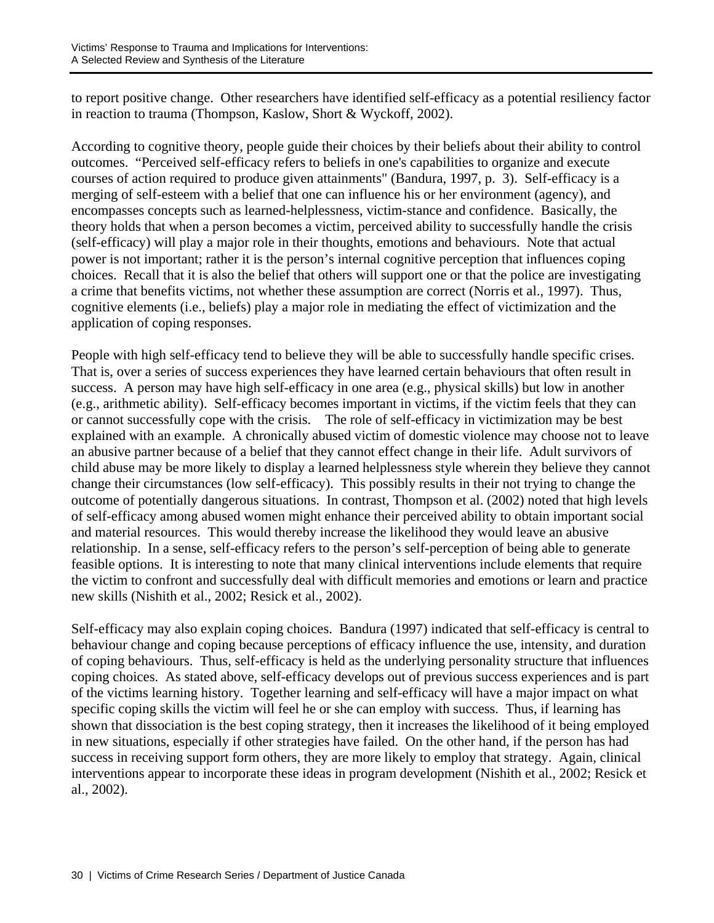to report positive change. Other researchers have identified self-efficacy as a potential resiliency factor in reaction to trauma (Thompson, Kaslow, Short & Wyckoff, 2002).

According to cognitive theory, people guide their choices by their beliefs about their ability to control outcomes. "Perceived self-efficacy refers to beliefs in one's capabilities to organize and execute courses of action required to produce given attainments" (Bandura, 1997, p. 3). Self-efficacy is a merging of self-esteem with a belief that one can influence his or her environment (agency), and encompasses concepts such as learned-helplessness, victim-stance and confidence. Basically, the theory holds that when a person becomes a victim, perceived ability to successfully handle the crisis (self-efficacy) will play a major role in their thoughts, emotions and behaviours. Note that actual power is not important; rather it is the person's internal cognitive perception that influences coping choices. Recall that it is also the belief that others will support one or that the police are investigating a crime that benefits victims, not whether these assumption are correct (Norris et al., 1997). Thus, cognitive elements (i.e., beliefs) play a major role in mediating the effect of victimization and the application of coping responses.

People with high self-efficacy tend to believe they will be able to successfully handle specific crises. That is, over a series of success experiences they have learned certain behaviours that often result in success. A person may have high self-efficacy in one area (e.g., physical skills) but low in another (e.g., arithmetic ability). Self-efficacy becomes important in victims, if the victim feels that they can or cannot successfully cope with the crisis. The role of self-efficacy in victimization may be best explained with an example. A chronically abused victim of domestic violence may choose not to leave an abusive partner because of a belief that they cannot effect change in their life. Adult survivors of child abuse may be more likely to display a learned helplessness style wherein they believe they cannot change their circumstances (low self-efficacy). This possibly results in their not trying to change the outcome of potentially dangerous situations. In contrast, Thompson et al. (2002) noted that high levels of self-efficacy among abused women might enhance their perceived ability to obtain important social and material resources. This would thereby increase the likelihood they would leave an abusive relationship. In a sense, self-efficacy refers to the person's self-perception of being able to generate feasible options. It is interesting to note that many clinical interventions include elements that require the victim to confront and successfully deal with difficult memories and emotions or learn and practice new skills (Nishith et al., 2002; Resick et al., 2002).

Self-efficacy may also explain coping choices. Bandura (1997) indicated that self-efficacy is central to behaviour change and coping because perceptions of efficacy influence the use, intensity, and duration of coping behaviours. Thus, self-efficacy is held as the underlying personality structure that influences coping choices. As stated above, self-efficacy develops out of previous success experiences and is part of the victims learning history. Together learning and self-efficacy will have a major impact on what specific coping skills the victim will feel he or she can employ with success. Thus, if learning has shown that dissociation is the best coping strategy, then it increases the likelihood of it being employed in new situations, especially if other strategies have failed. On the other hand, if the person has had success in receiving support form others, they are more likely to employ that strategy. Again, clinical interventions appear to incorporate these ideas in program development (Nishith et al., 2002; Resick et al., 2002).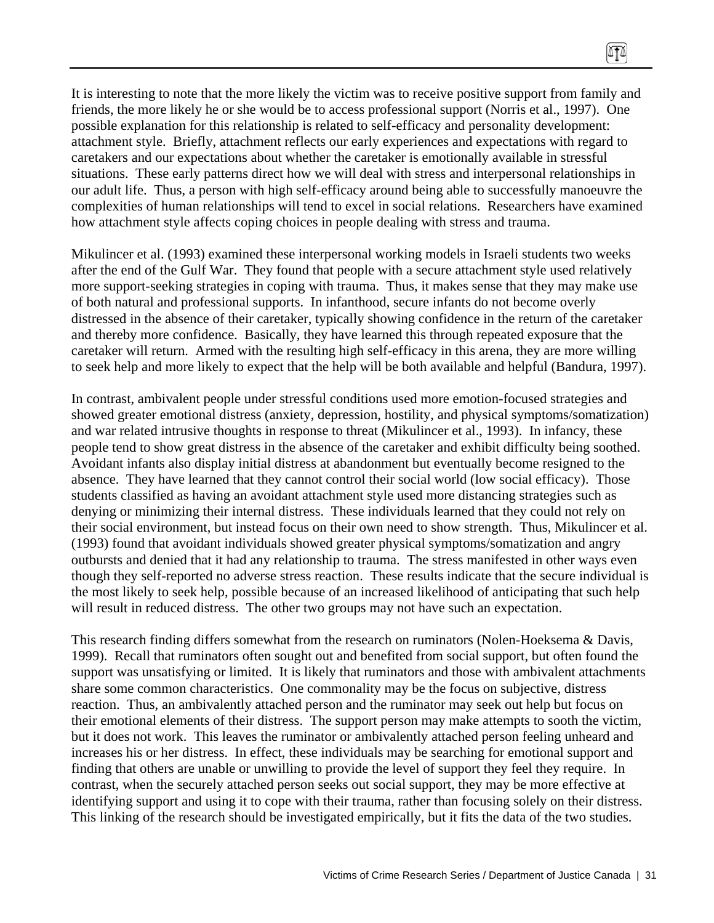It is interesting to note that the more likely the victim was to receive positive support from family and friends, the more likely he or she would be to access professional support (Norris et al., 1997). One possible explanation for this relationship is related to self-efficacy and personality development: attachment style. Briefly, attachment reflects our early experiences and expectations with regard to caretakers and our expectations about whether the caretaker is emotionally available in stressful situations. These early patterns direct how we will deal with stress and interpersonal relationships in our adult life. Thus, a person with high self-efficacy around being able to successfully manoeuvre the complexities of human relationships will tend to excel in social relations. Researchers have examined how attachment style affects coping choices in people dealing with stress and trauma.

Mikulincer et al. (1993) examined these interpersonal working models in Israeli students two weeks after the end of the Gulf War. They found that people with a secure attachment style used relatively more support-seeking strategies in coping with trauma. Thus, it makes sense that they may make use of both natural and professional supports. In infanthood, secure infants do not become overly distressed in the absence of their caretaker, typically showing confidence in the return of the caretaker and thereby more confidence. Basically, they have learned this through repeated exposure that the caretaker will return. Armed with the resulting high self-efficacy in this arena, they are more willing to seek help and more likely to expect that the help will be both available and helpful (Bandura, 1997).

In contrast, ambivalent people under stressful conditions used more emotion-focused strategies and showed greater emotional distress (anxiety, depression, hostility, and physical symptoms/somatization) and war related intrusive thoughts in response to threat (Mikulincer et al., 1993). In infancy, these people tend to show great distress in the absence of the caretaker and exhibit difficulty being soothed. Avoidant infants also display initial distress at abandonment but eventually become resigned to the absence. They have learned that they cannot control their social world (low social efficacy). Those students classified as having an avoidant attachment style used more distancing strategies such as denying or minimizing their internal distress. These individuals learned that they could not rely on their social environment, but instead focus on their own need to show strength. Thus, Mikulincer et al. (1993) found that avoidant individuals showed greater physical symptoms/somatization and angry outbursts and denied that it had any relationship to trauma. The stress manifested in other ways even though they self-reported no adverse stress reaction. These results indicate that the secure individual is the most likely to seek help, possible because of an increased likelihood of anticipating that such help will result in reduced distress. The other two groups may not have such an expectation.

This research finding differs somewhat from the research on ruminators (Nolen-Hoeksema & Davis, 1999). Recall that ruminators often sought out and benefited from social support, but often found the support was unsatisfying or limited. It is likely that ruminators and those with ambivalent attachments share some common characteristics. One commonality may be the focus on subjective, distress reaction. Thus, an ambivalently attached person and the ruminator may seek out help but focus on their emotional elements of their distress. The support person may make attempts to sooth the victim, but it does not work. This leaves the ruminator or ambivalently attached person feeling unheard and increases his or her distress. In effect, these individuals may be searching for emotional support and finding that others are unable or unwilling to provide the level of support they feel they require. In contrast, when the securely attached person seeks out social support, they may be more effective at identifying support and using it to cope with their trauma, rather than focusing solely on their distress. This linking of the research should be investigated empirically, but it fits the data of the two studies.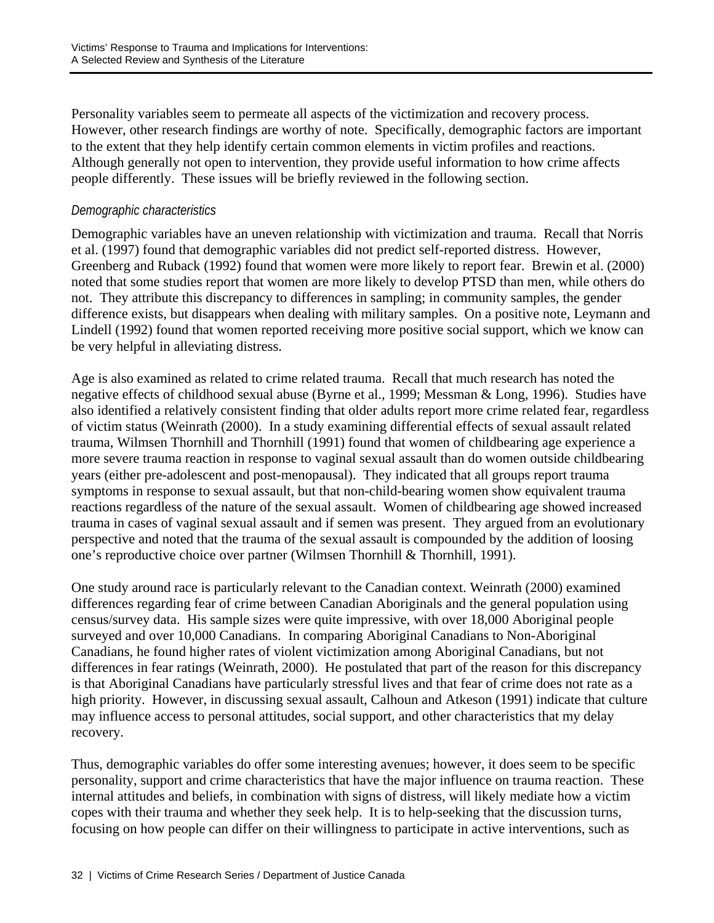Personality variables seem to permeate all aspects of the victimization and recovery process. However, other research findings are worthy of note. Specifically, demographic factors are important to the extent that they help identify certain common elements in victim profiles and reactions. Although generally not open to intervention, they provide useful information to how crime affects people differently. These issues will be briefly reviewed in the following section.

## *Demographic characteristics*

Demographic variables have an uneven relationship with victimization and trauma. Recall that Norris et al. (1997) found that demographic variables did not predict self-reported distress. However, Greenberg and Ruback (1992) found that women were more likely to report fear. Brewin et al. (2000) noted that some studies report that women are more likely to develop PTSD than men, while others do not. They attribute this discrepancy to differences in sampling; in community samples, the gender difference exists, but disappears when dealing with military samples. On a positive note, Leymann and Lindell (1992) found that women reported receiving more positive social support, which we know can be very helpful in alleviating distress.

Age is also examined as related to crime related trauma. Recall that much research has noted the negative effects of childhood sexual abuse (Byrne et al., 1999; Messman & Long, 1996). Studies have also identified a relatively consistent finding that older adults report more crime related fear, regardless of victim status (Weinrath (2000). In a study examining differential effects of sexual assault related trauma, Wilmsen Thornhill and Thornhill (1991) found that women of childbearing age experience a more severe trauma reaction in response to vaginal sexual assault than do women outside childbearing years (either pre-adolescent and post-menopausal). They indicated that all groups report trauma symptoms in response to sexual assault, but that non-child-bearing women show equivalent trauma reactions regardless of the nature of the sexual assault. Women of childbearing age showed increased trauma in cases of vaginal sexual assault and if semen was present. They argued from an evolutionary perspective and noted that the trauma of the sexual assault is compounded by the addition of loosing one's reproductive choice over partner (Wilmsen Thornhill & Thornhill, 1991).

One study around race is particularly relevant to the Canadian context. Weinrath (2000) examined differences regarding fear of crime between Canadian Aboriginals and the general population using census/survey data. His sample sizes were quite impressive, with over 18,000 Aboriginal people surveyed and over 10,000 Canadians. In comparing Aboriginal Canadians to Non-Aboriginal Canadians, he found higher rates of violent victimization among Aboriginal Canadians, but not differences in fear ratings (Weinrath, 2000). He postulated that part of the reason for this discrepancy is that Aboriginal Canadians have particularly stressful lives and that fear of crime does not rate as a high priority. However, in discussing sexual assault, Calhoun and Atkeson (1991) indicate that culture may influence access to personal attitudes, social support, and other characteristics that my delay recovery.

Thus, demographic variables do offer some interesting avenues; however, it does seem to be specific personality, support and crime characteristics that have the major influence on trauma reaction. These internal attitudes and beliefs, in combination with signs of distress, will likely mediate how a victim copes with their trauma and whether they seek help. It is to help-seeking that the discussion turns, focusing on how people can differ on their willingness to participate in active interventions, such as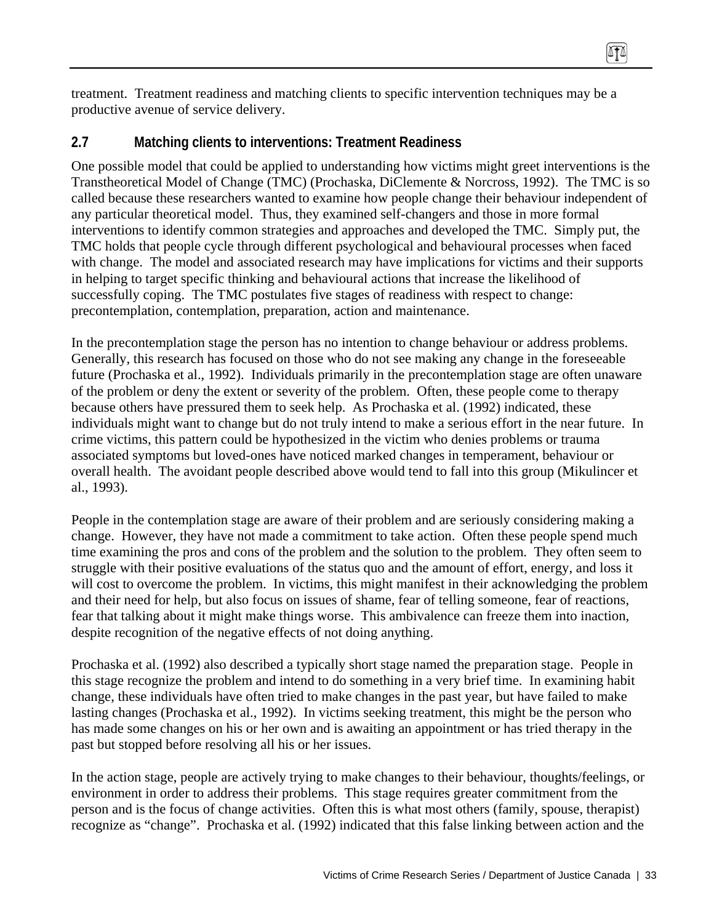treatment. Treatment readiness and matching clients to specific intervention techniques may be a productive avenue of service delivery.

## **2.7 Matching clients to interventions: Treatment Readiness**

One possible model that could be applied to understanding how victims might greet interventions is the Transtheoretical Model of Change (TMC) (Prochaska, DiClemente & Norcross, 1992). The TMC is so called because these researchers wanted to examine how people change their behaviour independent of any particular theoretical model. Thus, they examined self-changers and those in more formal interventions to identify common strategies and approaches and developed the TMC. Simply put, the TMC holds that people cycle through different psychological and behavioural processes when faced with change. The model and associated research may have implications for victims and their supports in helping to target specific thinking and behavioural actions that increase the likelihood of successfully coping. The TMC postulates five stages of readiness with respect to change: precontemplation, contemplation, preparation, action and maintenance.

In the precontemplation stage the person has no intention to change behaviour or address problems. Generally, this research has focused on those who do not see making any change in the foreseeable future (Prochaska et al., 1992). Individuals primarily in the precontemplation stage are often unaware of the problem or deny the extent or severity of the problem. Often, these people come to therapy because others have pressured them to seek help. As Prochaska et al. (1992) indicated, these individuals might want to change but do not truly intend to make a serious effort in the near future. In crime victims, this pattern could be hypothesized in the victim who denies problems or trauma associated symptoms but loved-ones have noticed marked changes in temperament, behaviour or overall health. The avoidant people described above would tend to fall into this group (Mikulincer et al., 1993).

People in the contemplation stage are aware of their problem and are seriously considering making a change. However, they have not made a commitment to take action. Often these people spend much time examining the pros and cons of the problem and the solution to the problem. They often seem to struggle with their positive evaluations of the status quo and the amount of effort, energy, and loss it will cost to overcome the problem. In victims, this might manifest in their acknowledging the problem and their need for help, but also focus on issues of shame, fear of telling someone, fear of reactions, fear that talking about it might make things worse. This ambivalence can freeze them into inaction, despite recognition of the negative effects of not doing anything.

Prochaska et al. (1992) also described a typically short stage named the preparation stage. People in this stage recognize the problem and intend to do something in a very brief time. In examining habit change, these individuals have often tried to make changes in the past year, but have failed to make lasting changes (Prochaska et al., 1992). In victims seeking treatment, this might be the person who has made some changes on his or her own and is awaiting an appointment or has tried therapy in the past but stopped before resolving all his or her issues.

In the action stage, people are actively trying to make changes to their behaviour, thoughts/feelings, or environment in order to address their problems. This stage requires greater commitment from the person and is the focus of change activities. Often this is what most others (family, spouse, therapist) recognize as "change". Prochaska et al. (1992) indicated that this false linking between action and the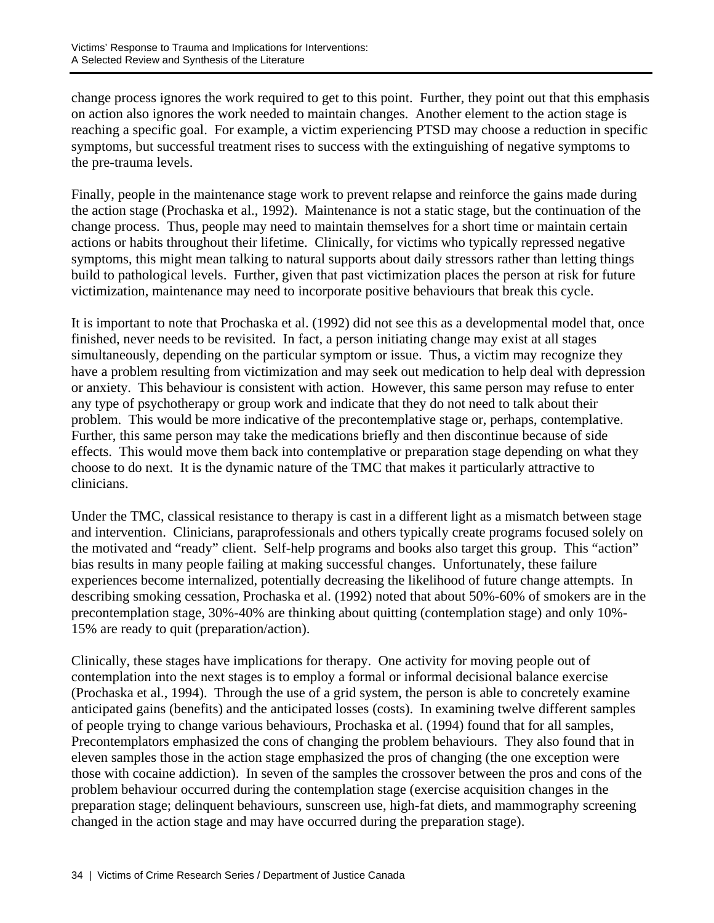change process ignores the work required to get to this point. Further, they point out that this emphasis on action also ignores the work needed to maintain changes. Another element to the action stage is reaching a specific goal. For example, a victim experiencing PTSD may choose a reduction in specific symptoms, but successful treatment rises to success with the extinguishing of negative symptoms to the pre-trauma levels.

Finally, people in the maintenance stage work to prevent relapse and reinforce the gains made during the action stage (Prochaska et al., 1992). Maintenance is not a static stage, but the continuation of the change process. Thus, people may need to maintain themselves for a short time or maintain certain actions or habits throughout their lifetime. Clinically, for victims who typically repressed negative symptoms, this might mean talking to natural supports about daily stressors rather than letting things build to pathological levels. Further, given that past victimization places the person at risk for future victimization, maintenance may need to incorporate positive behaviours that break this cycle.

It is important to note that Prochaska et al. (1992) did not see this as a developmental model that, once finished, never needs to be revisited. In fact, a person initiating change may exist at all stages simultaneously, depending on the particular symptom or issue. Thus, a victim may recognize they have a problem resulting from victimization and may seek out medication to help deal with depression or anxiety. This behaviour is consistent with action. However, this same person may refuse to enter any type of psychotherapy or group work and indicate that they do not need to talk about their problem. This would be more indicative of the precontemplative stage or, perhaps, contemplative. Further, this same person may take the medications briefly and then discontinue because of side effects. This would move them back into contemplative or preparation stage depending on what they choose to do next. It is the dynamic nature of the TMC that makes it particularly attractive to clinicians.

Under the TMC, classical resistance to therapy is cast in a different light as a mismatch between stage and intervention. Clinicians, paraprofessionals and others typically create programs focused solely on the motivated and "ready" client. Self-help programs and books also target this group. This "action" bias results in many people failing at making successful changes. Unfortunately, these failure experiences become internalized, potentially decreasing the likelihood of future change attempts. In describing smoking cessation, Prochaska et al. (1992) noted that about 50%-60% of smokers are in the precontemplation stage, 30%-40% are thinking about quitting (contemplation stage) and only 10%- 15% are ready to quit (preparation/action).

Clinically, these stages have implications for therapy. One activity for moving people out of contemplation into the next stages is to employ a formal or informal decisional balance exercise (Prochaska et al., 1994). Through the use of a grid system, the person is able to concretely examine anticipated gains (benefits) and the anticipated losses (costs). In examining twelve different samples of people trying to change various behaviours, Prochaska et al. (1994) found that for all samples, Precontemplators emphasized the cons of changing the problem behaviours. They also found that in eleven samples those in the action stage emphasized the pros of changing (the one exception were those with cocaine addiction). In seven of the samples the crossover between the pros and cons of the problem behaviour occurred during the contemplation stage (exercise acquisition changes in the preparation stage; delinquent behaviours, sunscreen use, high-fat diets, and mammography screening changed in the action stage and may have occurred during the preparation stage).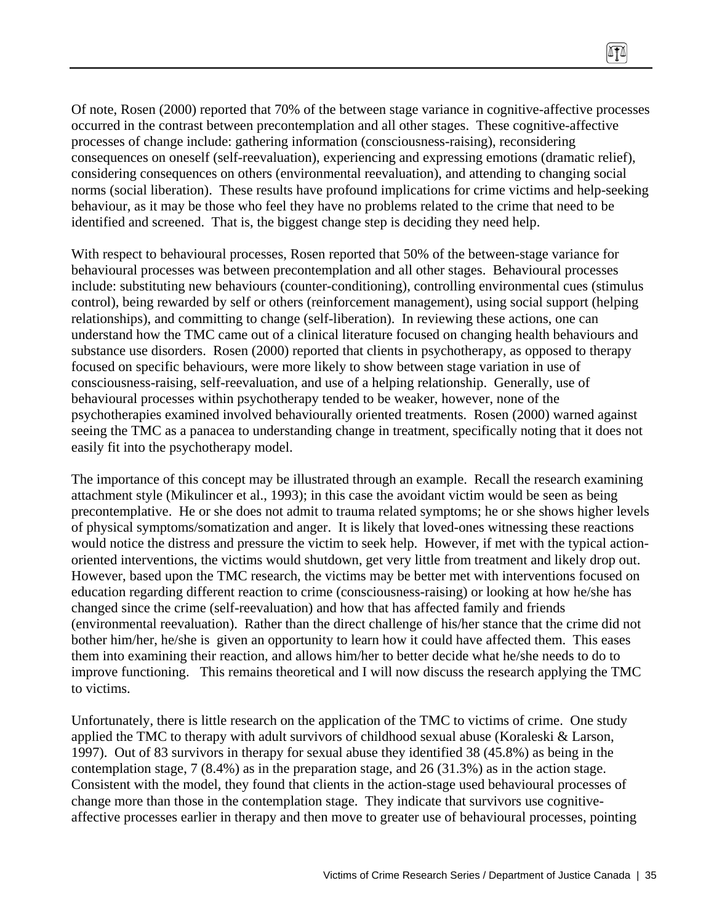Of note, Rosen (2000) reported that 70% of the between stage variance in cognitive-affective processes occurred in the contrast between precontemplation and all other stages. These cognitive-affective processes of change include: gathering information (consciousness-raising), reconsidering consequences on oneself (self-reevaluation), experiencing and expressing emotions (dramatic relief), considering consequences on others (environmental reevaluation), and attending to changing social norms (social liberation). These results have profound implications for crime victims and help-seeking behaviour, as it may be those who feel they have no problems related to the crime that need to be identified and screened. That is, the biggest change step is deciding they need help.

 $\sqrt{11}$ 

With respect to behavioural processes, Rosen reported that 50% of the between-stage variance for behavioural processes was between precontemplation and all other stages. Behavioural processes include: substituting new behaviours (counter-conditioning), controlling environmental cues (stimulus control), being rewarded by self or others (reinforcement management), using social support (helping relationships), and committing to change (self-liberation). In reviewing these actions, one can understand how the TMC came out of a clinical literature focused on changing health behaviours and substance use disorders. Rosen (2000) reported that clients in psychotherapy, as opposed to therapy focused on specific behaviours, were more likely to show between stage variation in use of consciousness-raising, self-reevaluation, and use of a helping relationship. Generally, use of behavioural processes within psychotherapy tended to be weaker, however, none of the psychotherapies examined involved behaviourally oriented treatments. Rosen (2000) warned against seeing the TMC as a panacea to understanding change in treatment, specifically noting that it does not easily fit into the psychotherapy model.

The importance of this concept may be illustrated through an example. Recall the research examining attachment style (Mikulincer et al., 1993); in this case the avoidant victim would be seen as being precontemplative. He or she does not admit to trauma related symptoms; he or she shows higher levels of physical symptoms/somatization and anger. It is likely that loved-ones witnessing these reactions would notice the distress and pressure the victim to seek help. However, if met with the typical actionoriented interventions, the victims would shutdown, get very little from treatment and likely drop out. However, based upon the TMC research, the victims may be better met with interventions focused on education regarding different reaction to crime (consciousness-raising) or looking at how he/she has changed since the crime (self-reevaluation) and how that has affected family and friends (environmental reevaluation). Rather than the direct challenge of his/her stance that the crime did not bother him/her, he/she is given an opportunity to learn how it could have affected them. This eases them into examining their reaction, and allows him/her to better decide what he/she needs to do to improve functioning. This remains theoretical and I will now discuss the research applying the TMC to victims.

Unfortunately, there is little research on the application of the TMC to victims of crime. One study applied the TMC to therapy with adult survivors of childhood sexual abuse (Koraleski & Larson, 1997). Out of 83 survivors in therapy for sexual abuse they identified 38 (45.8%) as being in the contemplation stage, 7 (8.4%) as in the preparation stage, and 26 (31.3%) as in the action stage. Consistent with the model, they found that clients in the action-stage used behavioural processes of change more than those in the contemplation stage. They indicate that survivors use cognitiveaffective processes earlier in therapy and then move to greater use of behavioural processes, pointing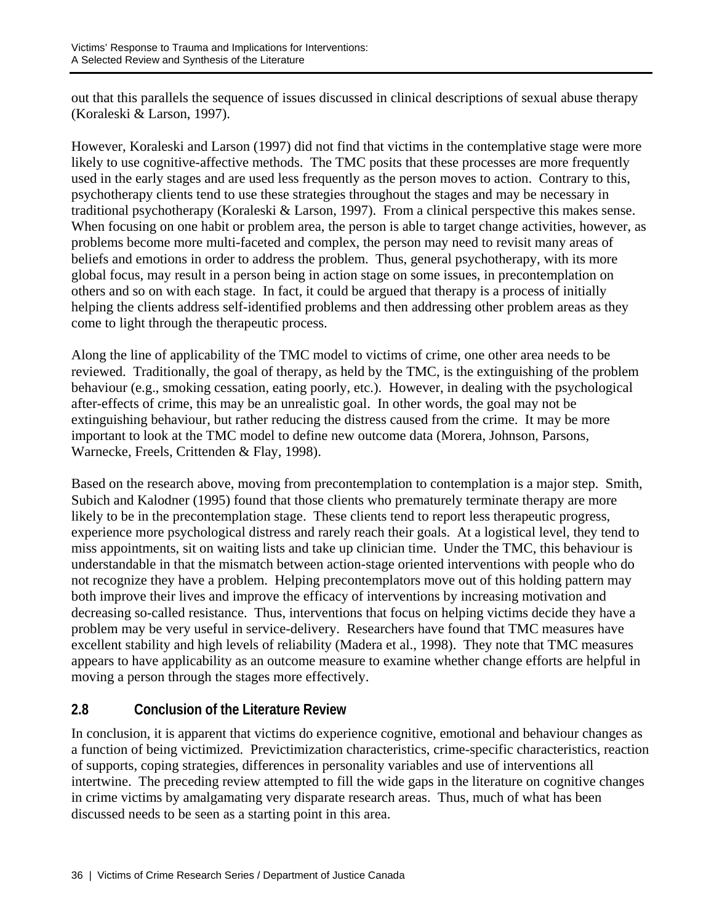out that this parallels the sequence of issues discussed in clinical descriptions of sexual abuse therapy (Koraleski & Larson, 1997).

However, Koraleski and Larson (1997) did not find that victims in the contemplative stage were more likely to use cognitive-affective methods. The TMC posits that these processes are more frequently used in the early stages and are used less frequently as the person moves to action. Contrary to this, psychotherapy clients tend to use these strategies throughout the stages and may be necessary in traditional psychotherapy (Koraleski & Larson, 1997). From a clinical perspective this makes sense. When focusing on one habit or problem area, the person is able to target change activities, however, as problems become more multi-faceted and complex, the person may need to revisit many areas of beliefs and emotions in order to address the problem. Thus, general psychotherapy, with its more global focus, may result in a person being in action stage on some issues, in precontemplation on others and so on with each stage. In fact, it could be argued that therapy is a process of initially helping the clients address self-identified problems and then addressing other problem areas as they come to light through the therapeutic process.

Along the line of applicability of the TMC model to victims of crime, one other area needs to be reviewed. Traditionally, the goal of therapy, as held by the TMC, is the extinguishing of the problem behaviour (e.g., smoking cessation, eating poorly, etc.). However, in dealing with the psychological after-effects of crime, this may be an unrealistic goal. In other words, the goal may not be extinguishing behaviour, but rather reducing the distress caused from the crime. It may be more important to look at the TMC model to define new outcome data (Morera, Johnson, Parsons, Warnecke, Freels, Crittenden & Flay, 1998).

Based on the research above, moving from precontemplation to contemplation is a major step. Smith, Subich and Kalodner (1995) found that those clients who prematurely terminate therapy are more likely to be in the precontemplation stage. These clients tend to report less therapeutic progress, experience more psychological distress and rarely reach their goals. At a logistical level, they tend to miss appointments, sit on waiting lists and take up clinician time. Under the TMC, this behaviour is understandable in that the mismatch between action-stage oriented interventions with people who do not recognize they have a problem. Helping precontemplators move out of this holding pattern may both improve their lives and improve the efficacy of interventions by increasing motivation and decreasing so-called resistance. Thus, interventions that focus on helping victims decide they have a problem may be very useful in service-delivery. Researchers have found that TMC measures have excellent stability and high levels of reliability (Madera et al., 1998). They note that TMC measures appears to have applicability as an outcome measure to examine whether change efforts are helpful in moving a person through the stages more effectively.

# **2.8 Conclusion of the Literature Review**

In conclusion, it is apparent that victims do experience cognitive, emotional and behaviour changes as a function of being victimized. Previctimization characteristics, crime-specific characteristics, reaction of supports, coping strategies, differences in personality variables and use of interventions all intertwine. The preceding review attempted to fill the wide gaps in the literature on cognitive changes in crime victims by amalgamating very disparate research areas. Thus, much of what has been discussed needs to be seen as a starting point in this area.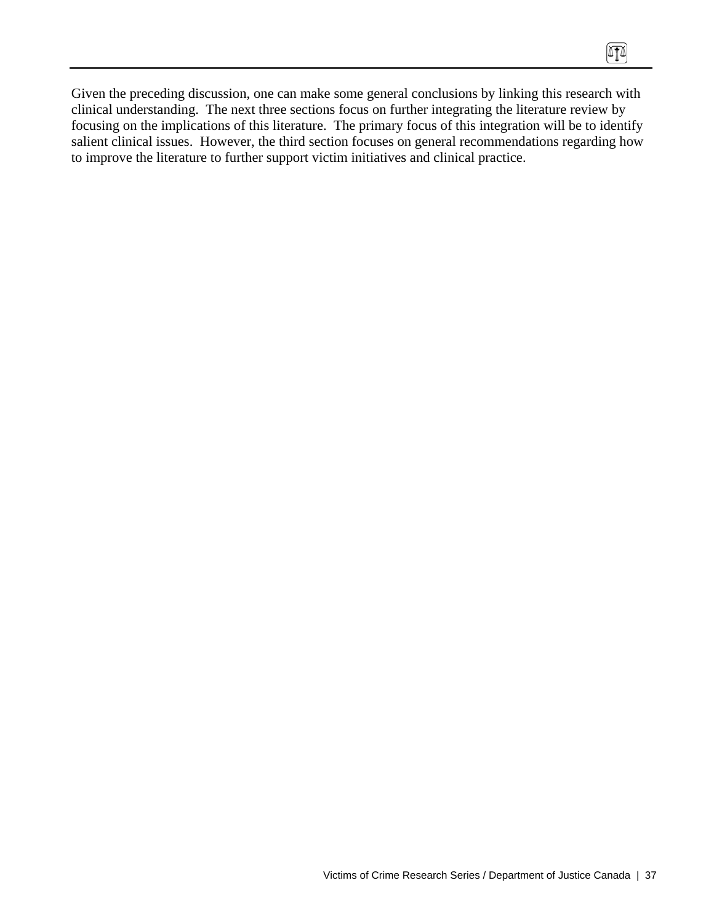Given the preceding discussion, one can make some general conclusions by linking this research with clinical understanding. The next three sections focus on further integrating the literature review by focusing on the implications of this literature. The primary focus of this integration will be to identify salient clinical issues. However, the third section focuses on general recommendations regarding how to improve the literature to further support victim initiatives and clinical practice.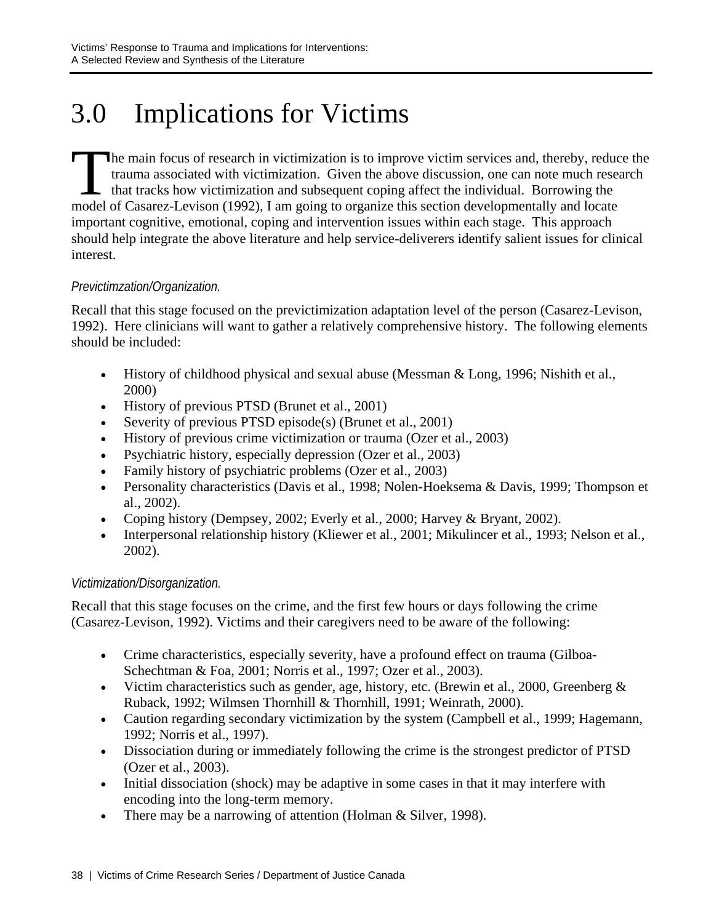# 3.0 Implications for Victims

he main focus of research in victimization is to improve victim services and, thereby, reduce the trauma associated with victimization. Given the above discussion, one can note much research that tracks how victimization and subsequent coping affect the individual. Borrowing the model of Casarez-Levison (1992), I am going to organize this section developmentally and locate important cognitive, emotional, coping and intervention issues within each stage. This approach should help integrate the above literature and help service-deliverers identify salient issues for clinical interest. The transport of the model of the

## *Previctimzation/Organization.*

Recall that this stage focused on the previctimization adaptation level of the person (Casarez-Levison, 1992). Here clinicians will want to gather a relatively comprehensive history. The following elements should be included:

- History of childhood physical and sexual abuse (Messman & Long, 1996; Nishith et al., 2000)
- History of previous PTSD (Brunet et al., 2001)
- Severity of previous PTSD episode(s) (Brunet et al., 2001)
- History of previous crime victimization or trauma (Ozer et al., 2003)
- Psychiatric history, especially depression (Ozer et al., 2003)
- Family history of psychiatric problems (Ozer et al., 2003)
- Personality characteristics (Davis et al., 1998; Nolen-Hoeksema & Davis, 1999; Thompson et al., 2002).
- Coping history (Dempsey, 2002; Everly et al., 2000; Harvey & Bryant, 2002).
- Interpersonal relationship history (Kliewer et al., 2001; Mikulincer et al., 1993; Nelson et al., 2002).

## *Victimization/Disorganization.*

Recall that this stage focuses on the crime, and the first few hours or days following the crime (Casarez-Levison, 1992). Victims and their caregivers need to be aware of the following:

- Crime characteristics, especially severity, have a profound effect on trauma (Gilboa-Schechtman & Foa, 2001; Norris et al., 1997; Ozer et al., 2003).
- Victim characteristics such as gender, age, history, etc. (Brewin et al., 2000, Greenberg  $\&$ Ruback, 1992; Wilmsen Thornhill & Thornhill, 1991; Weinrath, 2000).
- Caution regarding secondary victimization by the system (Campbell et al., 1999; Hagemann, 1992; Norris et al., 1997).
- Dissociation during or immediately following the crime is the strongest predictor of PTSD (Ozer et al., 2003).
- Initial dissociation (shock) may be adaptive in some cases in that it may interfere with encoding into the long-term memory.
- There may be a narrowing of attention (Holman & Silver, 1998).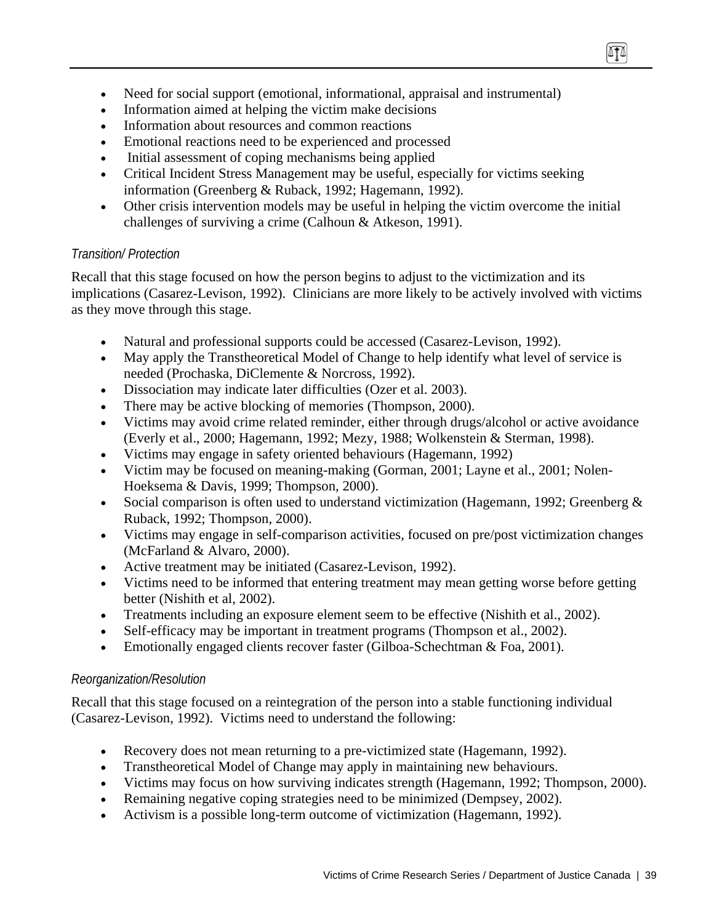- Need for social support (emotional, informational, appraisal and instrumental)
- Information aimed at helping the victim make decisions
- Information about resources and common reactions
- Emotional reactions need to be experienced and processed
- Initial assessment of coping mechanisms being applied
- Critical Incident Stress Management may be useful, especially for victims seeking information (Greenberg & Ruback, 1992; Hagemann, 1992).
- Other crisis intervention models may be useful in helping the victim overcome the initial challenges of surviving a crime (Calhoun & Atkeson, 1991).

m

## *Transition/ Protection*

Recall that this stage focused on how the person begins to adjust to the victimization and its implications (Casarez-Levison, 1992). Clinicians are more likely to be actively involved with victims as they move through this stage.

- Natural and professional supports could be accessed (Casarez-Levison, 1992).
- May apply the Transtheoretical Model of Change to help identify what level of service is needed (Prochaska, DiClemente & Norcross, 1992).
- Dissociation may indicate later difficulties (Ozer et al. 2003).
- There may be active blocking of memories (Thompson, 2000).
- Victims may avoid crime related reminder, either through drugs/alcohol or active avoidance (Everly et al., 2000; Hagemann, 1992; Mezy, 1988; Wolkenstein & Sterman, 1998).
- Victims may engage in safety oriented behaviours (Hagemann, 1992)
- Victim may be focused on meaning-making (Gorman, 2001; Layne et al., 2001; Nolen-Hoeksema & Davis, 1999; Thompson, 2000).
- Social comparison is often used to understand victimization (Hagemann, 1992; Greenberg & Ruback, 1992; Thompson, 2000).
- Victims may engage in self-comparison activities, focused on pre/post victimization changes (McFarland & Alvaro, 2000).
- Active treatment may be initiated (Casarez-Levison, 1992).
- Victims need to be informed that entering treatment may mean getting worse before getting better (Nishith et al, 2002).
- Treatments including an exposure element seem to be effective (Nishith et al., 2002).
- Self-efficacy may be important in treatment programs (Thompson et al., 2002).
- Emotionally engaged clients recover faster (Gilboa-Schechtman & Foa, 2001).

## *Reorganization/Resolution*

Recall that this stage focused on a reintegration of the person into a stable functioning individual (Casarez-Levison, 1992). Victims need to understand the following:

- Recovery does not mean returning to a pre-victimized state (Hagemann, 1992).
- Transtheoretical Model of Change may apply in maintaining new behaviours.
- Victims may focus on how surviving indicates strength (Hagemann, 1992; Thompson, 2000).
- Remaining negative coping strategies need to be minimized (Dempsey, 2002).
- Activism is a possible long-term outcome of victimization (Hagemann, 1992).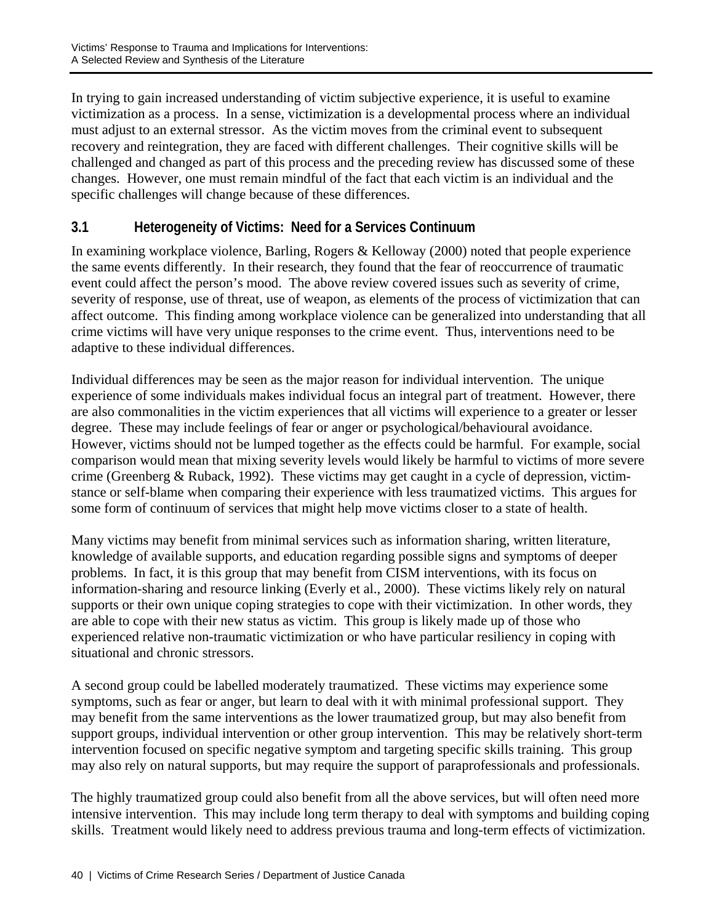In trying to gain increased understanding of victim subjective experience, it is useful to examine victimization as a process. In a sense, victimization is a developmental process where an individual must adjust to an external stressor. As the victim moves from the criminal event to subsequent recovery and reintegration, they are faced with different challenges. Their cognitive skills will be challenged and changed as part of this process and the preceding review has discussed some of these changes. However, one must remain mindful of the fact that each victim is an individual and the specific challenges will change because of these differences.

# **3.1 Heterogeneity of Victims: Need for a Services Continuum**

In examining workplace violence, Barling, Rogers & Kelloway (2000) noted that people experience the same events differently. In their research, they found that the fear of reoccurrence of traumatic event could affect the person's mood. The above review covered issues such as severity of crime, severity of response, use of threat, use of weapon, as elements of the process of victimization that can affect outcome. This finding among workplace violence can be generalized into understanding that all crime victims will have very unique responses to the crime event. Thus, interventions need to be adaptive to these individual differences.

Individual differences may be seen as the major reason for individual intervention. The unique experience of some individuals makes individual focus an integral part of treatment. However, there are also commonalities in the victim experiences that all victims will experience to a greater or lesser degree. These may include feelings of fear or anger or psychological/behavioural avoidance. However, victims should not be lumped together as the effects could be harmful. For example, social comparison would mean that mixing severity levels would likely be harmful to victims of more severe crime (Greenberg & Ruback, 1992). These victims may get caught in a cycle of depression, victimstance or self-blame when comparing their experience with less traumatized victims. This argues for some form of continuum of services that might help move victims closer to a state of health.

Many victims may benefit from minimal services such as information sharing, written literature, knowledge of available supports, and education regarding possible signs and symptoms of deeper problems. In fact, it is this group that may benefit from CISM interventions, with its focus on information-sharing and resource linking (Everly et al., 2000). These victims likely rely on natural supports or their own unique coping strategies to cope with their victimization. In other words, they are able to cope with their new status as victim. This group is likely made up of those who experienced relative non-traumatic victimization or who have particular resiliency in coping with situational and chronic stressors.

A second group could be labelled moderately traumatized. These victims may experience some symptoms, such as fear or anger, but learn to deal with it with minimal professional support. They may benefit from the same interventions as the lower traumatized group, but may also benefit from support groups, individual intervention or other group intervention. This may be relatively short-term intervention focused on specific negative symptom and targeting specific skills training. This group may also rely on natural supports, but may require the support of paraprofessionals and professionals.

The highly traumatized group could also benefit from all the above services, but will often need more intensive intervention. This may include long term therapy to deal with symptoms and building coping skills. Treatment would likely need to address previous trauma and long-term effects of victimization.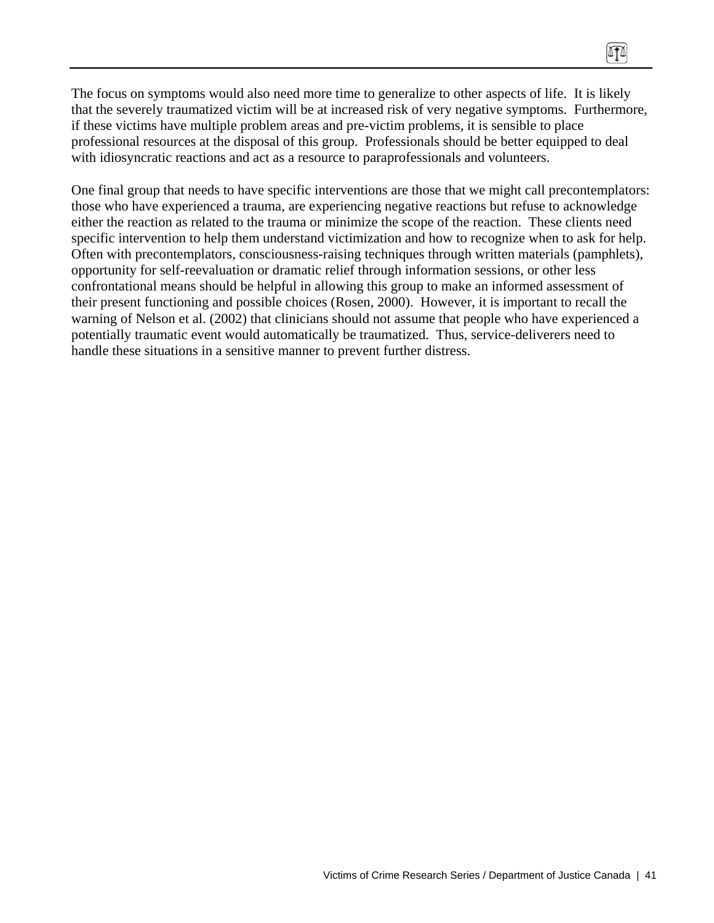The focus on symptoms would also need more time to generalize to other aspects of life. It is likely that the severely traumatized victim will be at increased risk of very negative symptoms. Furthermore, if these victims have multiple problem areas and pre-victim problems, it is sensible to place professional resources at the disposal of this group. Professionals should be better equipped to deal with idiosyncratic reactions and act as a resource to paraprofessionals and volunteers.

One final group that needs to have specific interventions are those that we might call precontemplators: those who have experienced a trauma, are experiencing negative reactions but refuse to acknowledge either the reaction as related to the trauma or minimize the scope of the reaction. These clients need specific intervention to help them understand victimization and how to recognize when to ask for help. Often with precontemplators, consciousness-raising techniques through written materials (pamphlets), opportunity for self-reevaluation or dramatic relief through information sessions, or other less confrontational means should be helpful in allowing this group to make an informed assessment of their present functioning and possible choices (Rosen, 2000). However, it is important to recall the warning of Nelson et al. (2002) that clinicians should not assume that people who have experienced a potentially traumatic event would automatically be traumatized. Thus, service-deliverers need to handle these situations in a sensitive manner to prevent further distress.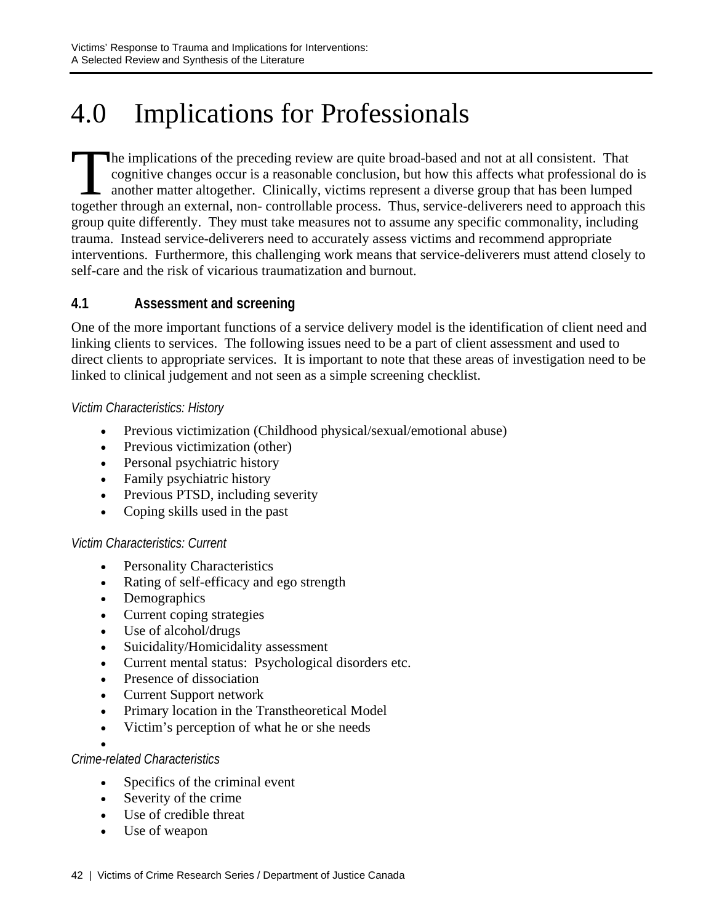# 4.0 Implications for Professionals

he implications of the preceding review are quite broad-based and not at all consistent. That cognitive changes occur is a reasonable conclusion, but how this affects what professional do is another matter altogether. Clinically, victims represent a diverse group that has been lumped The implications of the preceding review are quite broad-based and not at all consistent. That cognitive changes occur is a reasonable conclusion, but how this affects what professional do is another matter altogether. Cli group quite differently. They must take measures not to assume any specific commonality, including trauma. Instead service-deliverers need to accurately assess victims and recommend appropriate interventions. Furthermore, this challenging work means that service-deliverers must attend closely to self-care and the risk of vicarious traumatization and burnout.

## **4.1 Assessment and screening**

One of the more important functions of a service delivery model is the identification of client need and linking clients to services. The following issues need to be a part of client assessment and used to direct clients to appropriate services. It is important to note that these areas of investigation need to be linked to clinical judgement and not seen as a simple screening checklist.

## *Victim Characteristics: History*

- Previous victimization (Childhood physical/sexual/emotional abuse)
- Previous victimization (other)
- Personal psychiatric history
- Family psychiatric history
- Previous PTSD, including severity
- Coping skills used in the past

## *Victim Characteristics: Current*

- Personality Characteristics
- Rating of self-efficacy and ego strength
- Demographics
- Current coping strategies
- Use of alcohol/drugs
- Suicidality/Homicidality assessment
- Current mental status: Psychological disorders etc.
- Presence of dissociation
- Current Support network
- Primary location in the Transtheoretical Model
- Victim's perception of what he or she needs
- •

## *Crime-related Characteristics*

- Specifics of the criminal event
- Severity of the crime
- Use of credible threat
- Use of weapon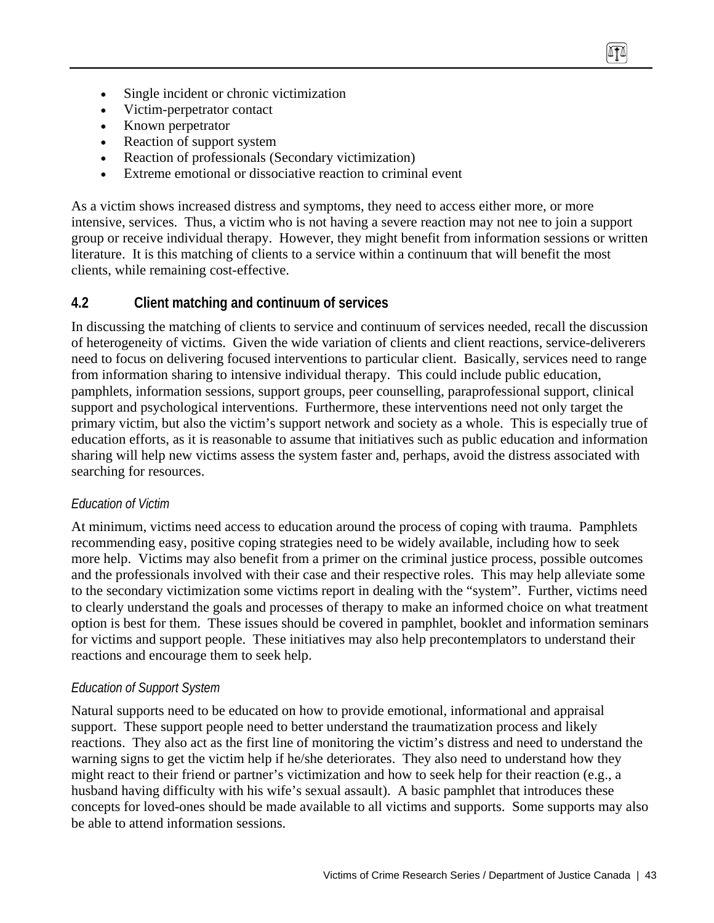- Single incident or chronic victimization
- Victim-perpetrator contact
- Known perpetrator
- Reaction of support system
- Reaction of professionals (Secondary victimization)
- Extreme emotional or dissociative reaction to criminal event

As a victim shows increased distress and symptoms, they need to access either more, or more intensive, services. Thus, a victim who is not having a severe reaction may not nee to join a support group or receive individual therapy. However, they might benefit from information sessions or written literature. It is this matching of clients to a service within a continuum that will benefit the most clients, while remaining cost-effective.

## **4.2 Client matching and continuum of services**

In discussing the matching of clients to service and continuum of services needed, recall the discussion of heterogeneity of victims. Given the wide variation of clients and client reactions, service-deliverers need to focus on delivering focused interventions to particular client. Basically, services need to range from information sharing to intensive individual therapy. This could include public education, pamphlets, information sessions, support groups, peer counselling, paraprofessional support, clinical support and psychological interventions. Furthermore, these interventions need not only target the primary victim, but also the victim's support network and society as a whole. This is especially true of education efforts, as it is reasonable to assume that initiatives such as public education and information sharing will help new victims assess the system faster and, perhaps, avoid the distress associated with searching for resources.

## *Education of Victim*

At minimum, victims need access to education around the process of coping with trauma. Pamphlets recommending easy, positive coping strategies need to be widely available, including how to seek more help. Victims may also benefit from a primer on the criminal justice process, possible outcomes and the professionals involved with their case and their respective roles. This may help alleviate some to the secondary victimization some victims report in dealing with the "system". Further, victims need to clearly understand the goals and processes of therapy to make an informed choice on what treatment option is best for them. These issues should be covered in pamphlet, booklet and information seminars for victims and support people. These initiatives may also help precontemplators to understand their reactions and encourage them to seek help.

## *Education of Support System*

Natural supports need to be educated on how to provide emotional, informational and appraisal support. These support people need to better understand the traumatization process and likely reactions. They also act as the first line of monitoring the victim's distress and need to understand the warning signs to get the victim help if he/she deteriorates. They also need to understand how they might react to their friend or partner's victimization and how to seek help for their reaction (e.g., a husband having difficulty with his wife's sexual assault). A basic pamphlet that introduces these concepts for loved-ones should be made available to all victims and supports. Some supports may also be able to attend information sessions.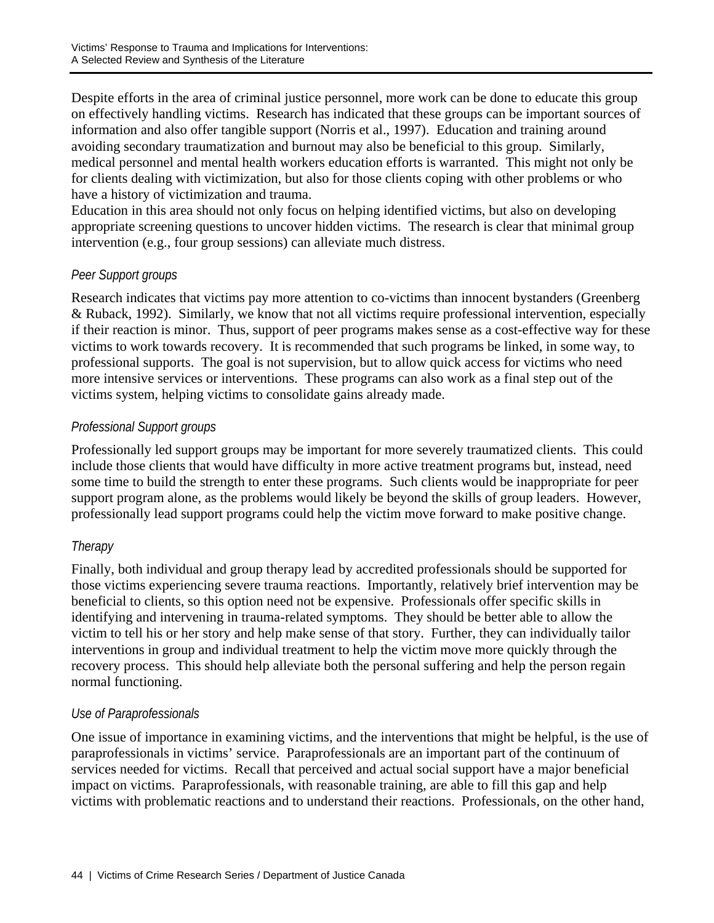Despite efforts in the area of criminal justice personnel, more work can be done to educate this group on effectively handling victims. Research has indicated that these groups can be important sources of information and also offer tangible support (Norris et al., 1997). Education and training around avoiding secondary traumatization and burnout may also be beneficial to this group. Similarly, medical personnel and mental health workers education efforts is warranted. This might not only be for clients dealing with victimization, but also for those clients coping with other problems or who have a history of victimization and trauma.

Education in this area should not only focus on helping identified victims, but also on developing appropriate screening questions to uncover hidden victims. The research is clear that minimal group intervention (e.g., four group sessions) can alleviate much distress.

## *Peer Support groups*

Research indicates that victims pay more attention to co-victims than innocent bystanders (Greenberg & Ruback, 1992). Similarly, we know that not all victims require professional intervention, especially if their reaction is minor. Thus, support of peer programs makes sense as a cost-effective way for these victims to work towards recovery. It is recommended that such programs be linked, in some way, to professional supports. The goal is not supervision, but to allow quick access for victims who need more intensive services or interventions. These programs can also work as a final step out of the victims system, helping victims to consolidate gains already made.

## *Professional Support groups*

Professionally led support groups may be important for more severely traumatized clients. This could include those clients that would have difficulty in more active treatment programs but, instead, need some time to build the strength to enter these programs. Such clients would be inappropriate for peer support program alone, as the problems would likely be beyond the skills of group leaders. However, professionally lead support programs could help the victim move forward to make positive change.

## *Therapy*

Finally, both individual and group therapy lead by accredited professionals should be supported for those victims experiencing severe trauma reactions. Importantly, relatively brief intervention may be beneficial to clients, so this option need not be expensive. Professionals offer specific skills in identifying and intervening in trauma-related symptoms. They should be better able to allow the victim to tell his or her story and help make sense of that story. Further, they can individually tailor interventions in group and individual treatment to help the victim move more quickly through the recovery process. This should help alleviate both the personal suffering and help the person regain normal functioning.

## *Use of Paraprofessionals*

One issue of importance in examining victims, and the interventions that might be helpful, is the use of paraprofessionals in victims' service. Paraprofessionals are an important part of the continuum of services needed for victims. Recall that perceived and actual social support have a major beneficial impact on victims. Paraprofessionals, with reasonable training, are able to fill this gap and help victims with problematic reactions and to understand their reactions. Professionals, on the other hand,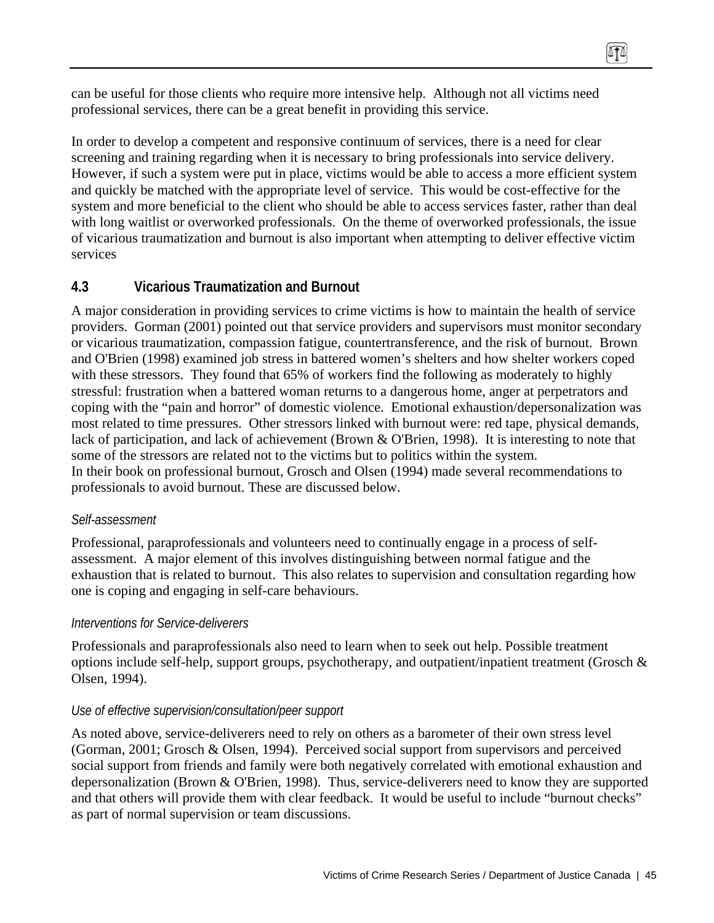can be useful for those clients who require more intensive help. Although not all victims need professional services, there can be a great benefit in providing this service.

In order to develop a competent and responsive continuum of services, there is a need for clear screening and training regarding when it is necessary to bring professionals into service delivery. However, if such a system were put in place, victims would be able to access a more efficient system and quickly be matched with the appropriate level of service. This would be cost-effective for the system and more beneficial to the client who should be able to access services faster, rather than deal with long waitlist or overworked professionals. On the theme of overworked professionals, the issue of vicarious traumatization and burnout is also important when attempting to deliver effective victim services

## **4.3 Vicarious Traumatization and Burnout**

A major consideration in providing services to crime victims is how to maintain the health of service providers. Gorman (2001) pointed out that service providers and supervisors must monitor secondary or vicarious traumatization, compassion fatigue, countertransference, and the risk of burnout. Brown and O'Brien (1998) examined job stress in battered women's shelters and how shelter workers coped with these stressors. They found that 65% of workers find the following as moderately to highly stressful: frustration when a battered woman returns to a dangerous home, anger at perpetrators and coping with the "pain and horror" of domestic violence. Emotional exhaustion/depersonalization was most related to time pressures. Other stressors linked with burnout were: red tape, physical demands, lack of participation, and lack of achievement (Brown & O'Brien, 1998). It is interesting to note that some of the stressors are related not to the victims but to politics within the system. In their book on professional burnout, Grosch and Olsen (1994) made several recommendations to professionals to avoid burnout. These are discussed below.

### *Self-assessment*

Professional, paraprofessionals and volunteers need to continually engage in a process of selfassessment. A major element of this involves distinguishing between normal fatigue and the exhaustion that is related to burnout. This also relates to supervision and consultation regarding how one is coping and engaging in self-care behaviours.

### *Interventions for Service-deliverers*

Professionals and paraprofessionals also need to learn when to seek out help. Possible treatment options include self-help, support groups, psychotherapy, and outpatient/inpatient treatment (Grosch & Olsen, 1994).

### *Use of effective supervision/consultation/peer support*

As noted above, service-deliverers need to rely on others as a barometer of their own stress level (Gorman, 2001; Grosch & Olsen, 1994). Perceived social support from supervisors and perceived social support from friends and family were both negatively correlated with emotional exhaustion and depersonalization (Brown & O'Brien, 1998). Thus, service-deliverers need to know they are supported and that others will provide them with clear feedback. It would be useful to include "burnout checks" as part of normal supervision or team discussions.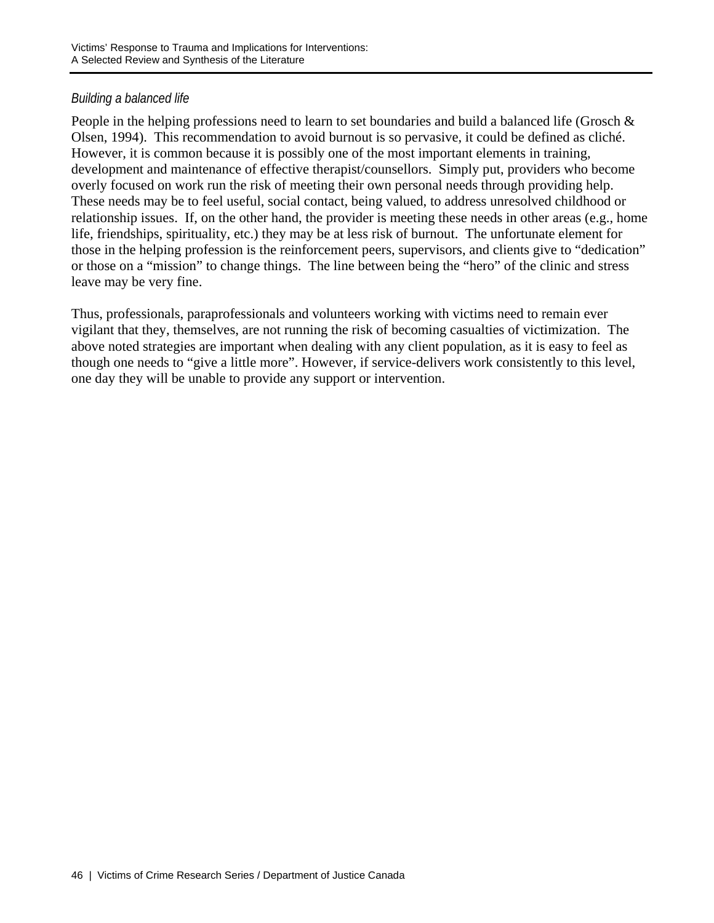## *Building a balanced life*

People in the helping professions need to learn to set boundaries and build a balanced life (Grosch & Olsen, 1994). This recommendation to avoid burnout is so pervasive, it could be defined as cliché. However, it is common because it is possibly one of the most important elements in training, development and maintenance of effective therapist/counsellors. Simply put, providers who become overly focused on work run the risk of meeting their own personal needs through providing help. These needs may be to feel useful, social contact, being valued, to address unresolved childhood or relationship issues. If, on the other hand, the provider is meeting these needs in other areas (e.g., home life, friendships, spirituality, etc.) they may be at less risk of burnout. The unfortunate element for those in the helping profession is the reinforcement peers, supervisors, and clients give to "dedication" or those on a "mission" to change things. The line between being the "hero" of the clinic and stress leave may be very fine.

Thus, professionals, paraprofessionals and volunteers working with victims need to remain ever vigilant that they, themselves, are not running the risk of becoming casualties of victimization. The above noted strategies are important when dealing with any client population, as it is easy to feel as though one needs to "give a little more". However, if service-delivers work consistently to this level, one day they will be unable to provide any support or intervention.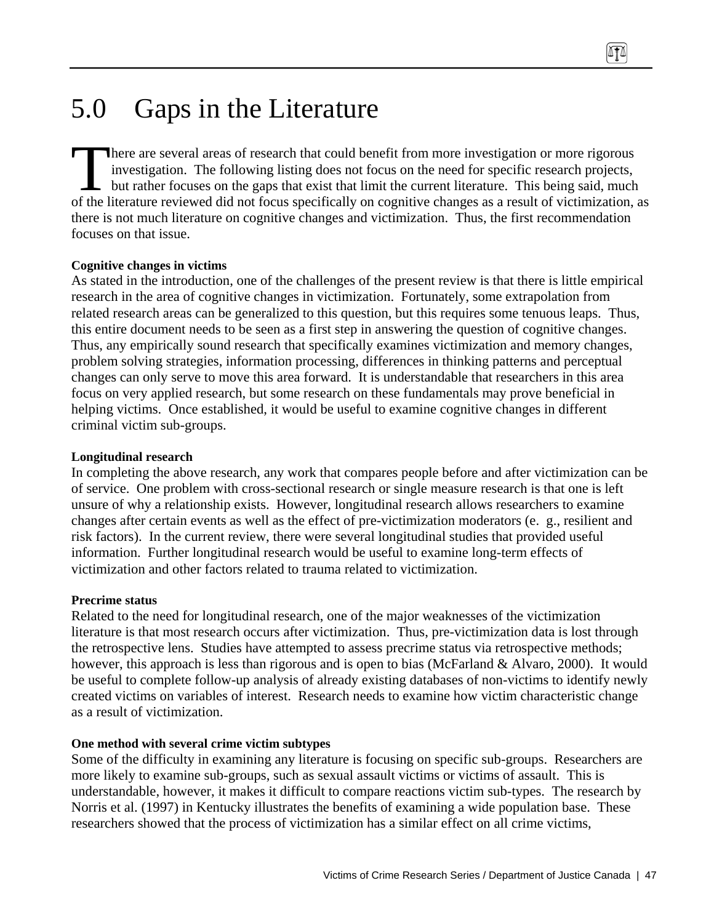here are several areas of research that could benefit from more investigation or more rigorous investigation. The following listing does not focus on the need for specific research projects, but rather focuses on the gaps that exist that limit the current literature. This being said, much of the literature reviewed did not focus specifically on cognitive changes as a result of victimization, as there is not much literature on cognitive changes and victimization. Thus, the first recommendation focuses on that issue. Then<br>the liter<br>of the liter

### **Cognitive changes in victims**

As stated in the introduction, one of the challenges of the present review is that there is little empirical research in the area of cognitive changes in victimization. Fortunately, some extrapolation from related research areas can be generalized to this question, but this requires some tenuous leaps. Thus, this entire document needs to be seen as a first step in answering the question of cognitive changes. Thus, any empirically sound research that specifically examines victimization and memory changes, problem solving strategies, information processing, differences in thinking patterns and perceptual changes can only serve to move this area forward. It is understandable that researchers in this area focus on very applied research, but some research on these fundamentals may prove beneficial in helping victims. Once established, it would be useful to examine cognitive changes in different criminal victim sub-groups.

#### **Longitudinal research**

In completing the above research, any work that compares people before and after victimization can be of service. One problem with cross-sectional research or single measure research is that one is left unsure of why a relationship exists. However, longitudinal research allows researchers to examine changes after certain events as well as the effect of pre-victimization moderators (e. g., resilient and risk factors). In the current review, there were several longitudinal studies that provided useful information. Further longitudinal research would be useful to examine long-term effects of victimization and other factors related to trauma related to victimization.

#### **Precrime status**

Related to the need for longitudinal research, one of the major weaknesses of the victimization literature is that most research occurs after victimization. Thus, pre-victimization data is lost through the retrospective lens. Studies have attempted to assess precrime status via retrospective methods; however, this approach is less than rigorous and is open to bias (McFarland & Alvaro, 2000). It would be useful to complete follow-up analysis of already existing databases of non-victims to identify newly created victims on variables of interest. Research needs to examine how victim characteristic change as a result of victimization.

### **One method with several crime victim subtypes**

Some of the difficulty in examining any literature is focusing on specific sub-groups. Researchers are more likely to examine sub-groups, such as sexual assault victims or victims of assault. This is understandable, however, it makes it difficult to compare reactions victim sub-types. The research by Norris et al. (1997) in Kentucky illustrates the benefits of examining a wide population base. These researchers showed that the process of victimization has a similar effect on all crime victims,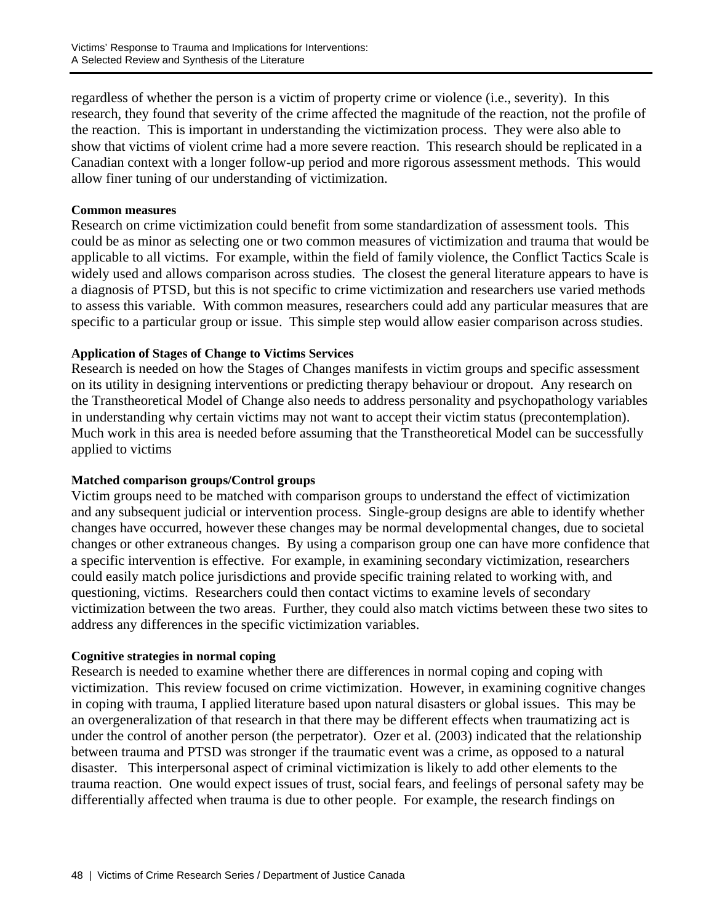regardless of whether the person is a victim of property crime or violence (i.e., severity). In this research, they found that severity of the crime affected the magnitude of the reaction, not the profile of the reaction. This is important in understanding the victimization process. They were also able to show that victims of violent crime had a more severe reaction. This research should be replicated in a Canadian context with a longer follow-up period and more rigorous assessment methods. This would allow finer tuning of our understanding of victimization.

#### **Common measures**

Research on crime victimization could benefit from some standardization of assessment tools. This could be as minor as selecting one or two common measures of victimization and trauma that would be applicable to all victims. For example, within the field of family violence, the Conflict Tactics Scale is widely used and allows comparison across studies. The closest the general literature appears to have is a diagnosis of PTSD, but this is not specific to crime victimization and researchers use varied methods to assess this variable. With common measures, researchers could add any particular measures that are specific to a particular group or issue. This simple step would allow easier comparison across studies.

### **Application of Stages of Change to Victims Services**

Research is needed on how the Stages of Changes manifests in victim groups and specific assessment on its utility in designing interventions or predicting therapy behaviour or dropout. Any research on the Transtheoretical Model of Change also needs to address personality and psychopathology variables in understanding why certain victims may not want to accept their victim status (precontemplation). Much work in this area is needed before assuming that the Transtheoretical Model can be successfully applied to victims

### **Matched comparison groups/Control groups**

Victim groups need to be matched with comparison groups to understand the effect of victimization and any subsequent judicial or intervention process. Single-group designs are able to identify whether changes have occurred, however these changes may be normal developmental changes, due to societal changes or other extraneous changes. By using a comparison group one can have more confidence that a specific intervention is effective. For example, in examining secondary victimization, researchers could easily match police jurisdictions and provide specific training related to working with, and questioning, victims. Researchers could then contact victims to examine levels of secondary victimization between the two areas. Further, they could also match victims between these two sites to address any differences in the specific victimization variables.

### **Cognitive strategies in normal coping**

Research is needed to examine whether there are differences in normal coping and coping with victimization. This review focused on crime victimization. However, in examining cognitive changes in coping with trauma, I applied literature based upon natural disasters or global issues. This may be an overgeneralization of that research in that there may be different effects when traumatizing act is under the control of another person (the perpetrator). Ozer et al. (2003) indicated that the relationship between trauma and PTSD was stronger if the traumatic event was a crime, as opposed to a natural disaster. This interpersonal aspect of criminal victimization is likely to add other elements to the trauma reaction. One would expect issues of trust, social fears, and feelings of personal safety may be differentially affected when trauma is due to other people. For example, the research findings on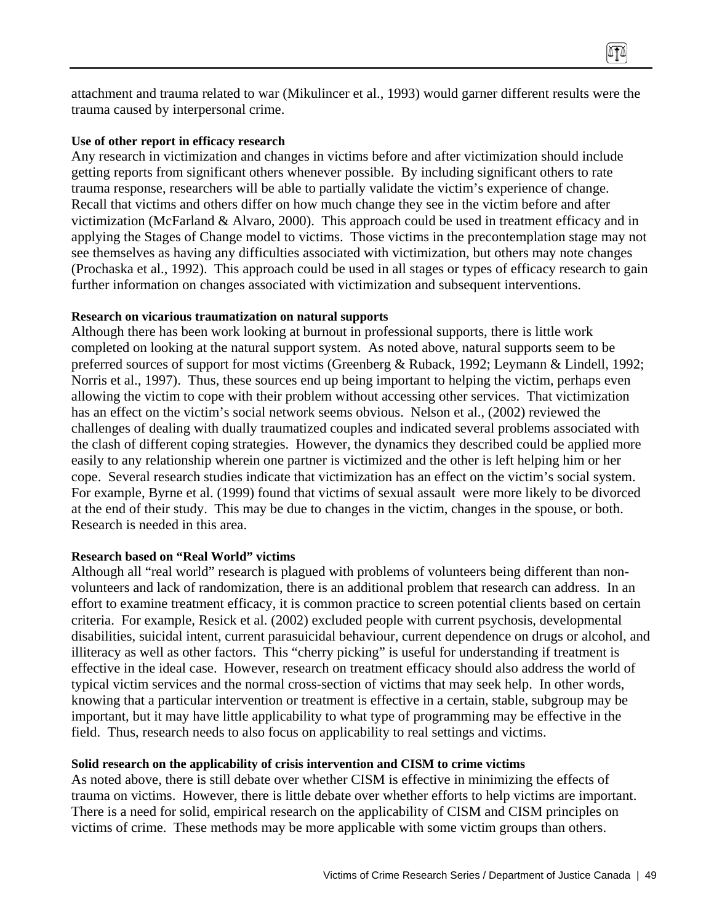attachment and trauma related to war (Mikulincer et al., 1993) would garner different results were the trauma caused by interpersonal crime.

#### **Use of other report in efficacy research**

Any research in victimization and changes in victims before and after victimization should include getting reports from significant others whenever possible. By including significant others to rate trauma response, researchers will be able to partially validate the victim's experience of change. Recall that victims and others differ on how much change they see in the victim before and after victimization (McFarland & Alvaro, 2000). This approach could be used in treatment efficacy and in applying the Stages of Change model to victims. Those victims in the precontemplation stage may not see themselves as having any difficulties associated with victimization, but others may note changes (Prochaska et al., 1992). This approach could be used in all stages or types of efficacy research to gain further information on changes associated with victimization and subsequent interventions.

#### **Research on vicarious traumatization on natural supports**

Although there has been work looking at burnout in professional supports, there is little work completed on looking at the natural support system. As noted above, natural supports seem to be preferred sources of support for most victims (Greenberg & Ruback, 1992; Leymann & Lindell, 1992; Norris et al., 1997). Thus, these sources end up being important to helping the victim, perhaps even allowing the victim to cope with their problem without accessing other services. That victimization has an effect on the victim's social network seems obvious. Nelson et al., (2002) reviewed the challenges of dealing with dually traumatized couples and indicated several problems associated with the clash of different coping strategies. However, the dynamics they described could be applied more easily to any relationship wherein one partner is victimized and the other is left helping him or her cope. Several research studies indicate that victimization has an effect on the victim's social system. For example, Byrne et al. (1999) found that victims of sexual assault were more likely to be divorced at the end of their study. This may be due to changes in the victim, changes in the spouse, or both. Research is needed in this area.

#### **Research based on "Real World" victims**

Although all "real world" research is plagued with problems of volunteers being different than nonvolunteers and lack of randomization, there is an additional problem that research can address. In an effort to examine treatment efficacy, it is common practice to screen potential clients based on certain criteria. For example, Resick et al. (2002) excluded people with current psychosis, developmental disabilities, suicidal intent, current parasuicidal behaviour, current dependence on drugs or alcohol, and illiteracy as well as other factors. This "cherry picking" is useful for understanding if treatment is effective in the ideal case. However, research on treatment efficacy should also address the world of typical victim services and the normal cross-section of victims that may seek help. In other words, knowing that a particular intervention or treatment is effective in a certain, stable, subgroup may be important, but it may have little applicability to what type of programming may be effective in the field. Thus, research needs to also focus on applicability to real settings and victims.

#### **Solid research on the applicability of crisis intervention and CISM to crime victims**

As noted above, there is still debate over whether CISM is effective in minimizing the effects of trauma on victims. However, there is little debate over whether efforts to help victims are important. There is a need for solid, empirical research on the applicability of CISM and CISM principles on victims of crime. These methods may be more applicable with some victim groups than others.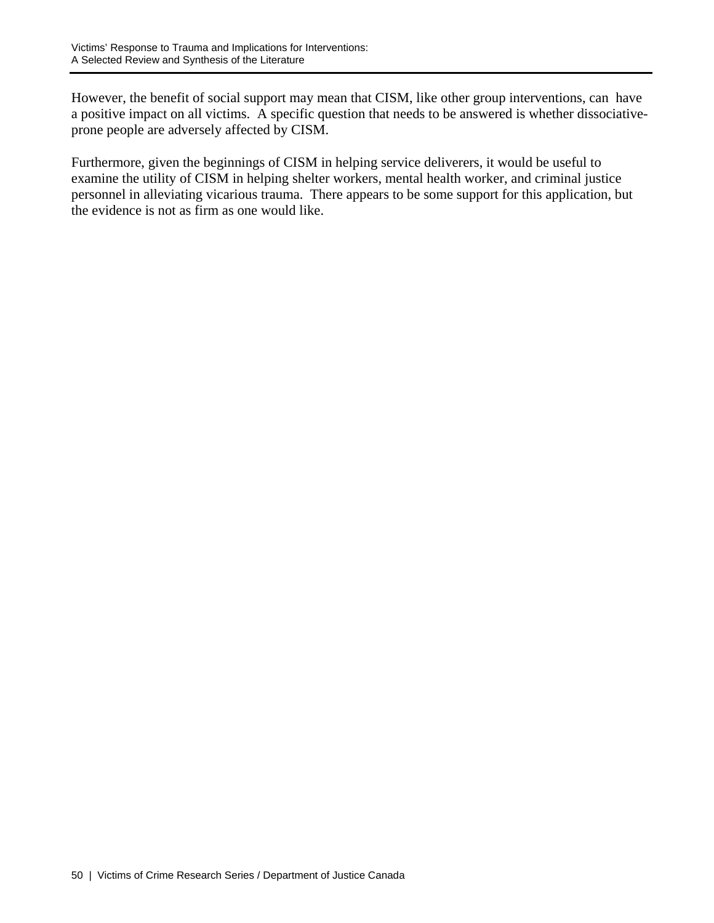However, the benefit of social support may mean that CISM, like other group interventions, can have a positive impact on all victims. A specific question that needs to be answered is whether dissociativeprone people are adversely affected by CISM.

Furthermore, given the beginnings of CISM in helping service deliverers, it would be useful to examine the utility of CISM in helping shelter workers, mental health worker, and criminal justice personnel in alleviating vicarious trauma. There appears to be some support for this application, but the evidence is not as firm as one would like.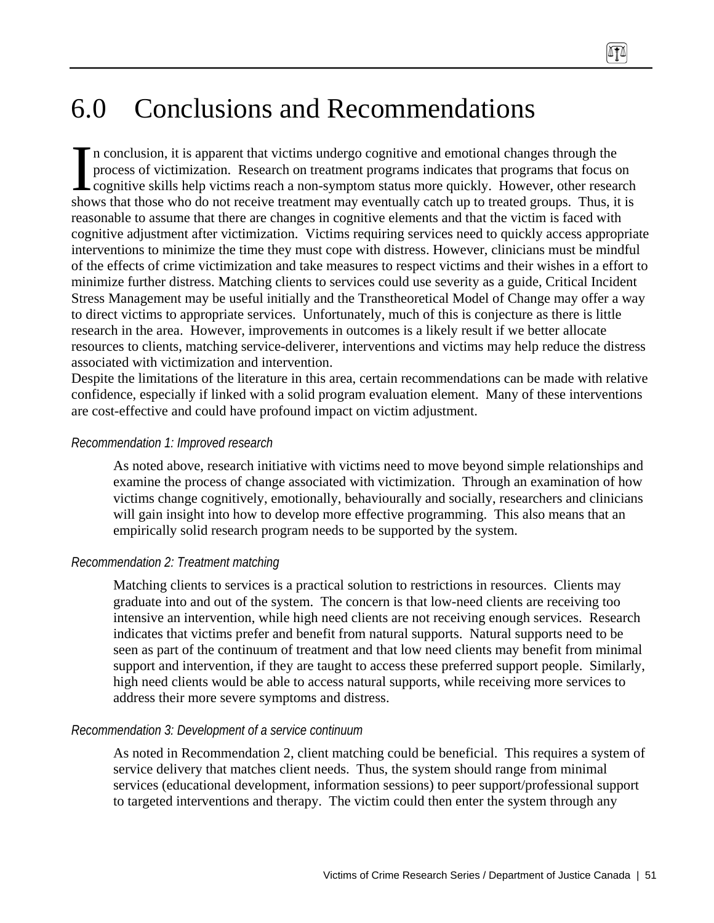n conclusion, it is apparent that victims undergo cognitive and emotional changes through the process of victimization. Research on treatment programs indicates that programs that focus on cognitive skills help victims reach a non-symptom status more quickly. However, other research shows that those who do not receive treatment may eventually catch up to treated groups. Thus, it is reasonable to assume that there are changes in cognitive elements and that the victim is faced with cognitive adjustment after victimization. Victims requiring services need to quickly access appropriate interventions to minimize the time they must cope with distress. However, clinicians must be mindful of the effects of crime victimization and take measures to respect victims and their wishes in a effort to minimize further distress. Matching clients to services could use severity as a guide, Critical Incident Stress Management may be useful initially and the Transtheoretical Model of Change may offer a way to direct victims to appropriate services. Unfortunately, much of this is conjecture as there is little research in the area. However, improvements in outcomes is a likely result if we better allocate resources to clients, matching service-deliverer, interventions and victims may help reduce the distress associated with victimization and intervention.  $\left[\begin{array}{c}\n\text{n c} \\
\text{prc} \\
\text{cog} \\
\text{shows}\n\end{array}\right]$ 

Despite the limitations of the literature in this area, certain recommendations can be made with relative confidence, especially if linked with a solid program evaluation element. Many of these interventions are cost-effective and could have profound impact on victim adjustment.

### *Recommendation 1: Improved research*

As noted above, research initiative with victims need to move beyond simple relationships and examine the process of change associated with victimization. Through an examination of how victims change cognitively, emotionally, behaviourally and socially, researchers and clinicians will gain insight into how to develop more effective programming. This also means that an empirically solid research program needs to be supported by the system.

## *Recommendation 2: Treatment matching*

Matching clients to services is a practical solution to restrictions in resources. Clients may graduate into and out of the system. The concern is that low-need clients are receiving too intensive an intervention, while high need clients are not receiving enough services. Research indicates that victims prefer and benefit from natural supports. Natural supports need to be seen as part of the continuum of treatment and that low need clients may benefit from minimal support and intervention, if they are taught to access these preferred support people. Similarly, high need clients would be able to access natural supports, while receiving more services to address their more severe symptoms and distress.

## *Recommendation 3: Development of a service continuum*

As noted in Recommendation 2, client matching could be beneficial. This requires a system of service delivery that matches client needs. Thus, the system should range from minimal services (educational development, information sessions) to peer support/professional support to targeted interventions and therapy. The victim could then enter the system through any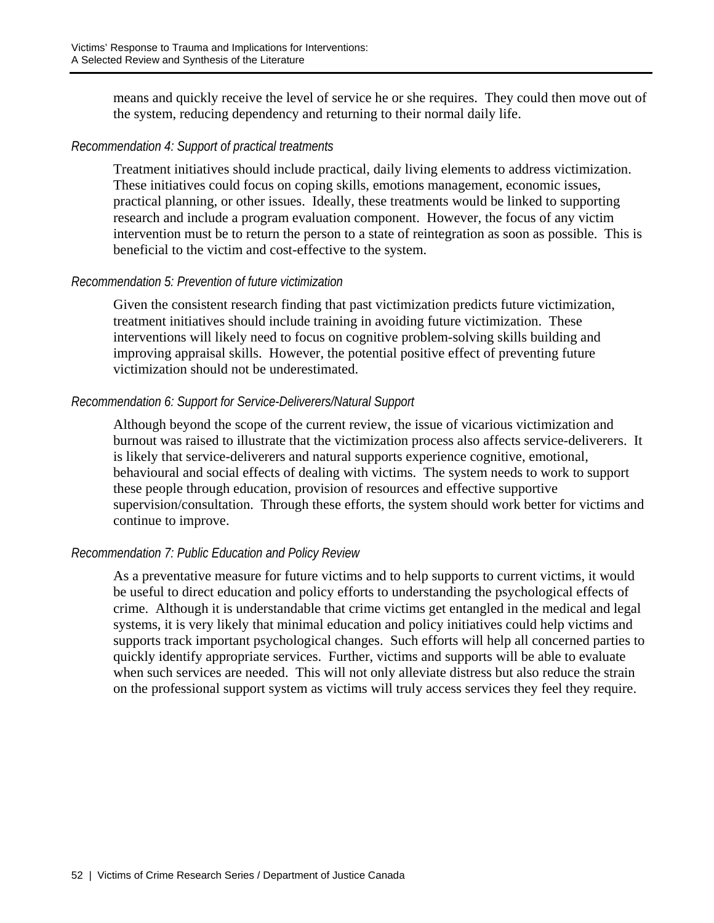means and quickly receive the level of service he or she requires. They could then move out of the system, reducing dependency and returning to their normal daily life.

### *Recommendation 4: Support of practical treatments*

Treatment initiatives should include practical, daily living elements to address victimization. These initiatives could focus on coping skills, emotions management, economic issues, practical planning, or other issues. Ideally, these treatments would be linked to supporting research and include a program evaluation component. However, the focus of any victim intervention must be to return the person to a state of reintegration as soon as possible. This is beneficial to the victim and cost-effective to the system.

### *Recommendation 5: Prevention of future victimization*

Given the consistent research finding that past victimization predicts future victimization, treatment initiatives should include training in avoiding future victimization. These interventions will likely need to focus on cognitive problem-solving skills building and improving appraisal skills. However, the potential positive effect of preventing future victimization should not be underestimated.

### *Recommendation 6: Support for Service-Deliverers/Natural Support*

Although beyond the scope of the current review, the issue of vicarious victimization and burnout was raised to illustrate that the victimization process also affects service-deliverers. It is likely that service-deliverers and natural supports experience cognitive, emotional, behavioural and social effects of dealing with victims. The system needs to work to support these people through education, provision of resources and effective supportive supervision/consultation. Through these efforts, the system should work better for victims and continue to improve.

## *Recommendation 7: Public Education and Policy Review*

As a preventative measure for future victims and to help supports to current victims, it would be useful to direct education and policy efforts to understanding the psychological effects of crime. Although it is understandable that crime victims get entangled in the medical and legal systems, it is very likely that minimal education and policy initiatives could help victims and supports track important psychological changes. Such efforts will help all concerned parties to quickly identify appropriate services. Further, victims and supports will be able to evaluate when such services are needed. This will not only alleviate distress but also reduce the strain on the professional support system as victims will truly access services they feel they require.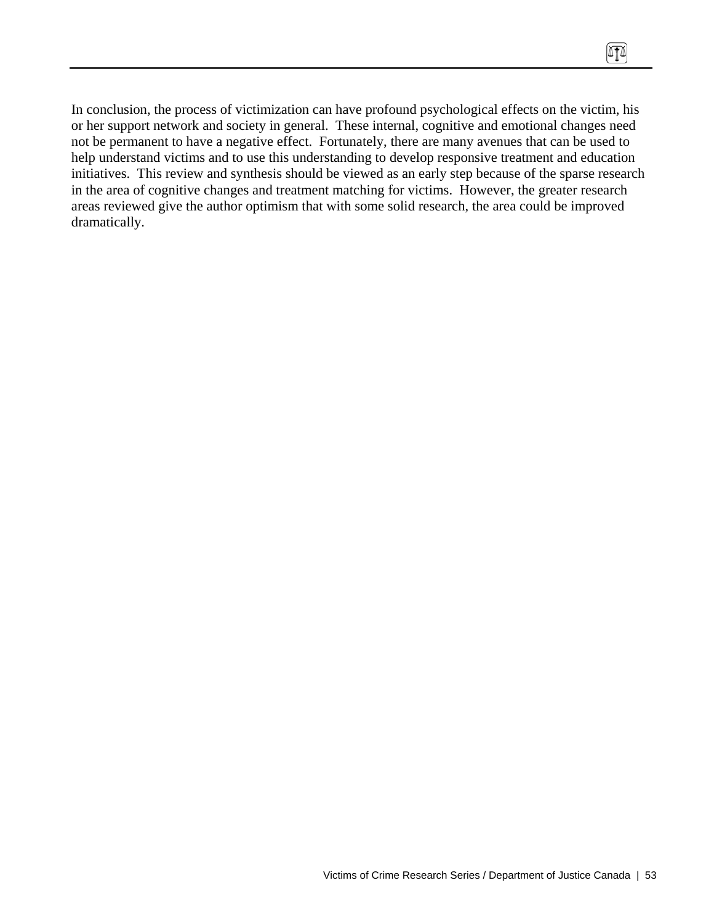In conclusion, the process of victimization can have profound psychological effects on the victim, his or her support network and society in general. These internal, cognitive and emotional changes need not be permanent to have a negative effect. Fortunately, there are many avenues that can be used to help understand victims and to use this understanding to develop responsive treatment and education initiatives. This review and synthesis should be viewed as an early step because of the sparse research in the area of cognitive changes and treatment matching for victims. However, the greater research areas reviewed give the author optimism that with some solid research, the area could be improved dramatically.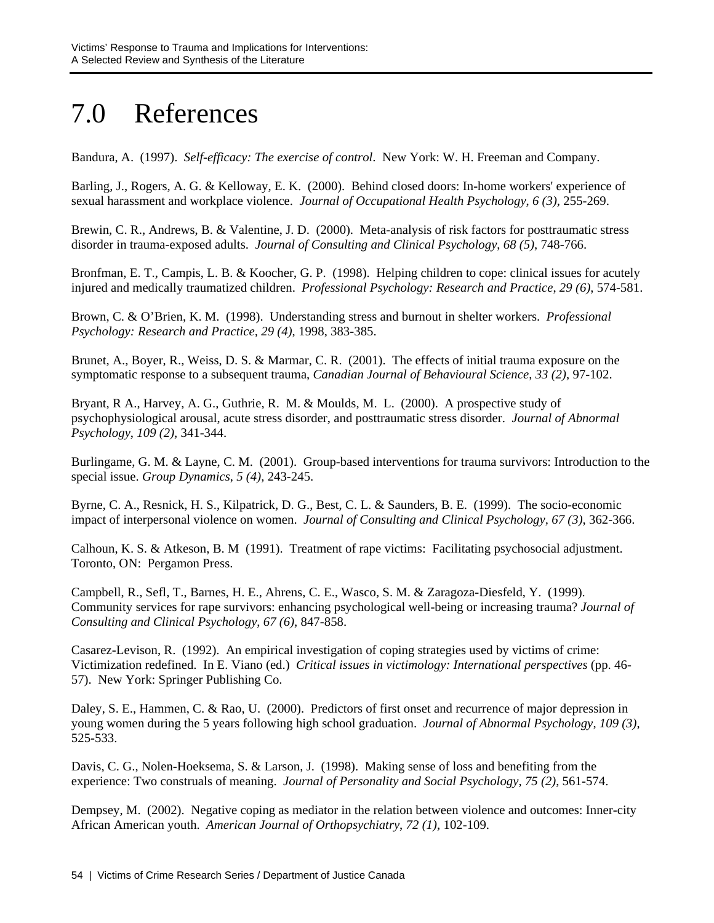# 7.0 References

Bandura, A. (1997). *Self-efficacy: The exercise of control*. New York: W. H. Freeman and Company.

Barling, J., Rogers, A. G. & Kelloway, E. K. (2000). Behind closed doors: In-home workers' experience of sexual harassment and workplace violence. *Journal of Occupational Health Psychology*, *6 (3)*, 255-269.

Brewin, C. R., Andrews, B. & Valentine, J. D. (2000). Meta-analysis of risk factors for posttraumatic stress disorder in trauma-exposed adults. *Journal of Consulting and Clinical Psychology*, *68 (5)*, 748-766.

Bronfman, E. T., Campis, L. B. & Koocher, G. P. (1998). Helping children to cope: clinical issues for acutely injured and medically traumatized children. *Professional Psychology: Research and Practice*, *29 (6)*, 574-581.

Brown, C. & O'Brien, K. M. (1998). Understanding stress and burnout in shelter workers. *Professional Psychology: Research and Practice, 29 (4)*, 1998, 383-385.

Brunet, A., Boyer, R., Weiss, D. S. & Marmar, C. R. (2001). The effects of initial trauma exposure on the symptomatic response to a subsequent trauma, *Canadian Journal of Behavioural Science*, *33 (2)*, 97-102.

Bryant, R A., Harvey, A. G., Guthrie, R. M. & Moulds, M. L. (2000). A prospective study of psychophysiological arousal, acute stress disorder, and posttraumatic stress disorder. *Journal of Abnormal Psychology*, *109 (2)*, 341-344.

Burlingame, G. M. & Layne, C. M. (2001). Group-based interventions for trauma survivors: Introduction to the special issue. *Group Dynamics*, *5 (4),* 243-245.

Byrne, C. A., Resnick, H. S., Kilpatrick, D. G., Best, C. L. & Saunders, B. E. (1999). The socio-economic impact of interpersonal violence on women. *Journal of Consulting and Clinical Psychology, 67 (3)*, 362-366.

Calhoun, K. S. & Atkeson, B. M (1991). Treatment of rape victims: Facilitating psychosocial adjustment. Toronto, ON: Pergamon Press.

Campbell, R., Sefl, T., Barnes, H. E., Ahrens, C. E., Wasco, S. M. & Zaragoza-Diesfeld, Y. (1999). Community services for rape survivors: enhancing psychological well-being or increasing trauma? *Journal of Consulting and Clinical Psychology*, *67 (6)*, 847-858.

Casarez-Levison, R. (1992). An empirical investigation of coping strategies used by victims of crime: Victimization redefined. In E. Viano (ed.) *Critical issues in victimology: International perspectives* (pp. 46- 57). New York: Springer Publishing Co.

Daley, S. E., Hammen, C. & Rao, U. (2000). Predictors of first onset and recurrence of major depression in young women during the 5 years following high school graduation. *Journal of Abnormal Psychology*, *109 (3)*, 525-533.

Davis, C. G., Nolen-Hoeksema, S. & Larson, J. (1998). Making sense of loss and benefiting from the experience: Two construals of meaning. *Journal of Personality and Social Psychology*, *75 (2)*, 561-574.

Dempsey, M. (2002). Negative coping as mediator in the relation between violence and outcomes: Inner-city African American youth. *American Journal of Orthopsychiatry*, *72 (1)*, 102-109.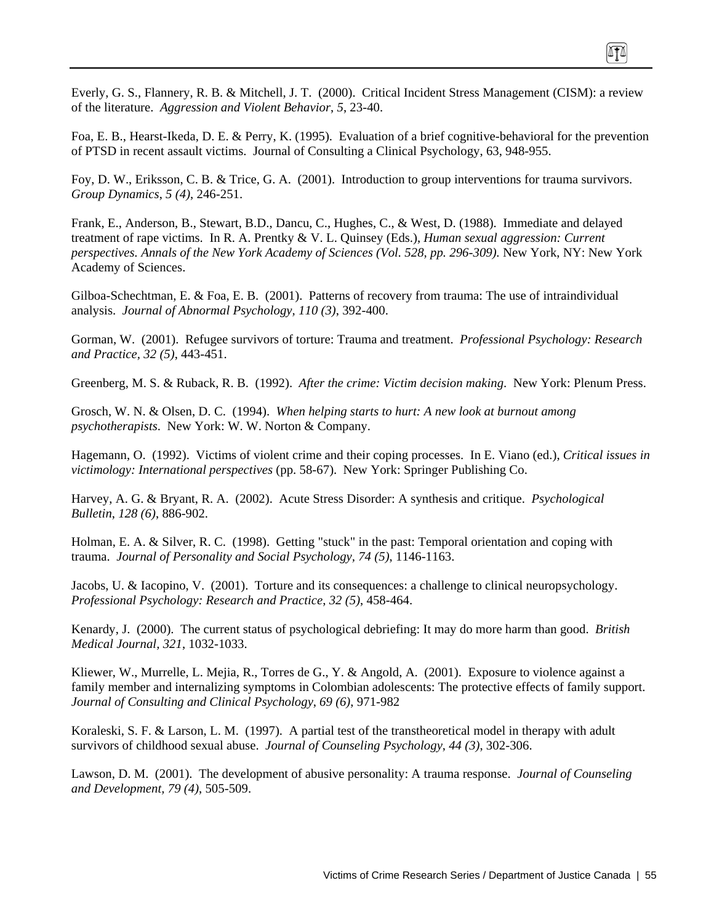Everly, G. S., Flannery, R. B. & Mitchell, J. T. (2000). Critical Incident Stress Management (CISM): a review of the literature. *Aggression and Violent Behavior*, *5*, 23-40.

Foa, E. B., Hearst-Ikeda, D. E. & Perry, K. (1995). Evaluation of a brief cognitive-behavioral for the prevention of PTSD in recent assault victims. Journal of Consulting a Clinical Psychology, 63, 948-955.

Foy, D. W., Eriksson, C. B. & Trice, G. A. (2001). Introduction to group interventions for trauma survivors. *Group Dynamics*, *5 (4)*, 246-251.

Frank, E., Anderson, B., Stewart, B.D., Dancu, C., Hughes, C., & West, D. (1988). Immediate and delayed treatment of rape victims. In R. A. Prentky & V. L. Quinsey (Eds.), *Human sexual aggression: Current perspectives. Annals of the New York Academy of Sciences (Vol. 528, pp. 296-309).* New York, NY: New York Academy of Sciences.

Gilboa-Schechtman, E. & Foa, E. B. (2001). Patterns of recovery from trauma: The use of intraindividual analysis. *Journal of Abnormal Psychology, 110 (3)*, 392-400.

Gorman, W. (2001). Refugee survivors of torture: Trauma and treatment. *Professional Psychology: Research and Practice, 32 (5)*, 443-451.

Greenberg, M. S. & Ruback, R. B. (1992). *After the crime: Victim decision making*. New York: Plenum Press.

Grosch, W. N. & Olsen, D. C. (1994). *When helping starts to hurt: A new look at burnout among psychotherapists*. New York: W. W. Norton & Company.

Hagemann, O. (1992). Victims of violent crime and their coping processes. In E. Viano (ed.), *Critical issues in victimology: International perspectives* (pp. 58-67). New York: Springer Publishing Co.

Harvey, A. G. & Bryant, R. A. (2002). Acute Stress Disorder: A synthesis and critique. *Psychological Bulletin*, *128 (6)*, 886-902.

Holman, E. A. & Silver, R. C. (1998). Getting "stuck" in the past: Temporal orientation and coping with trauma. *Journal of Personality and Social Psychology, 74 (5)*, 1146-1163.

Jacobs, U. & Iacopino, V. (2001). Torture and its consequences: a challenge to clinical neuropsychology. *Professional Psychology: Research and Practice*, *32 (5)*, 458-464.

Kenardy, J. (2000). The current status of psychological debriefing: It may do more harm than good. *British Medical Journal, 321*, 1032-1033.

Kliewer, W., Murrelle, L. Mejia, R., Torres de G., Y. & Angold, A. (2001). Exposure to violence against a family member and internalizing symptoms in Colombian adolescents: The protective effects of family support. *Journal of Consulting and Clinical Psychology*, *69 (6)*, 971-982

Koraleski, S. F. & Larson, L. M. (1997). A partial test of the transtheoretical model in therapy with adult survivors of childhood sexual abuse. *Journal of Counseling Psychology*, *44 (3)*, 302-306.

Lawson, D. M. (2001). The development of abusive personality: A trauma response. *Journal of Counseling and Development, 79 (4)*, 505-509.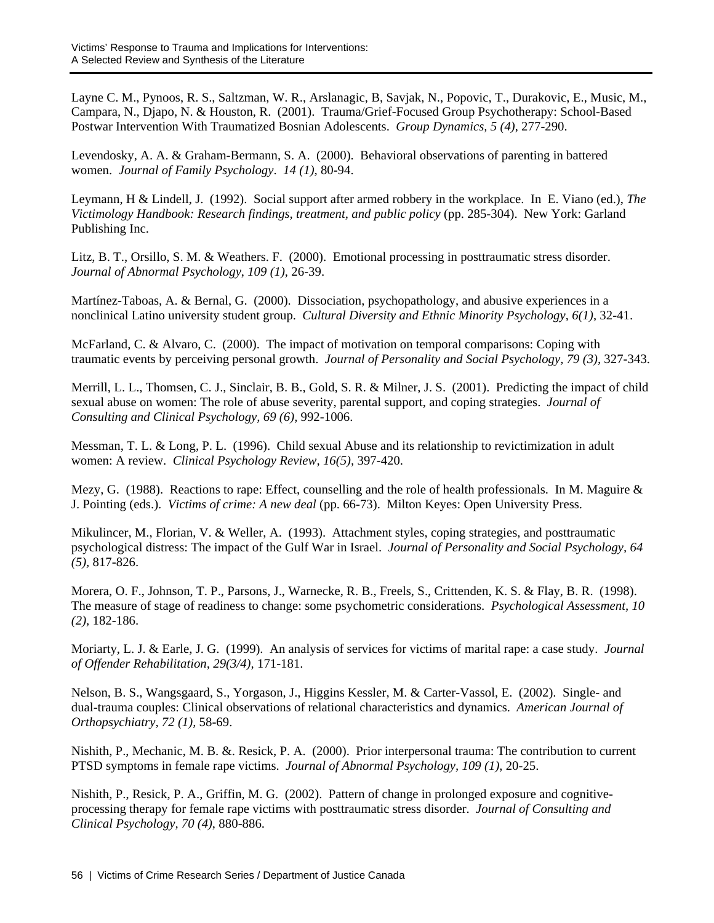Layne C. M., Pynoos, R. S., Saltzman, W. R., Arslanagic, B, Savjak, N., Popovic, T., Durakovic, E., Music, M., Campara, N., Djapo, N. & Houston, R. (2001). Trauma/Grief-Focused Group Psychotherapy: School-Based Postwar Intervention With Traumatized Bosnian Adolescents. *Group Dynamics, 5 (4)*, 277-290.

Levendosky, A. A. & Graham-Bermann, S. A. (2000). Behavioral observations of parenting in battered women. *Journal of Family Psychology*. *14 (1)*, 80-94.

Leymann, H & Lindell, J. (1992). Social support after armed robbery in the workplace. InE. Viano (ed.), *The Victimology Handbook: Research findings, treatment, and public policy* (pp. 285-304). New York: Garland Publishing Inc.

Litz, B. T., Orsillo, S. M. & Weathers. F. (2000). Emotional processing in posttraumatic stress disorder. *Journal of Abnormal Psychology*, *109 (1)*, 26-39.

Martínez-Taboas, A. & Bernal, G. (2000). Dissociation, psychopathology, and abusive experiences in a nonclinical Latino university student group. *Cultural Diversity and Ethnic Minority Psychology*, *6(1)*, 32-41.

McFarland, C. & Alvaro, C. (2000). The impact of motivation on temporal comparisons: Coping with traumatic events by perceiving personal growth. *Journal of Personality and Social Psychology, 79 (3),* 327-343.

Merrill, L. L., Thomsen, C. J., Sinclair, B. B., Gold, S. R. & Milner, J. S. (2001). Predicting the impact of child sexual abuse on women: The role of abuse severity, parental support, and coping strategies. *Journal of Consulting and Clinical Psychology, 69 (6),* 992-1006.

Messman, T. L. & Long, P. L. (1996). Child sexual Abuse and its relationship to revictimization in adult women: A review. *Clinical Psychology Review, 16(5),* 397-420.

Mezy, G. (1988). Reactions to rape: Effect, counselling and the role of health professionals. In M. Maguire & J. Pointing (eds.). *Victims of crime: A new deal* (pp. 66-73). Milton Keyes: Open University Press.

Mikulincer, M., Florian, V. & Weller, A. (1993). Attachment styles, coping strategies, and posttraumatic psychological distress: The impact of the Gulf War in Israel. *Journal of Personality and Social Psychology, 64 (5),* 817-826.

Morera, O. F., Johnson, T. P., Parsons, J., Warnecke, R. B., Freels, S., Crittenden, K. S. & Flay, B. R. (1998). The measure of stage of readiness to change: some psychometric considerations. *Psychological Assessment, 10 (2),* 182-186.

Moriarty, L. J. & Earle, J. G. (1999). An analysis of services for victims of marital rape: a case study. *Journal of Offender Rehabilitation, 29(3/4),* 171-181.

Nelson, B. S., Wangsgaard, S., Yorgason, J., Higgins Kessler, M. & Carter-Vassol, E. (2002). Single- and dual-trauma couples: Clinical observations of relational characteristics and dynamics. *American Journal of Orthopsychiatry, 72 (1),* 58-69.

Nishith, P., Mechanic, M. B. &. Resick, P. A. (2000). Prior interpersonal trauma: The contribution to current PTSD symptoms in female rape victims. *Journal of Abnormal Psychology, 109 (1)*, 20-25.

Nishith, P., Resick, P. A., Griffin, M. G. (2002). Pattern of change in prolonged exposure and cognitiveprocessing therapy for female rape victims with posttraumatic stress disorder. *Journal of Consulting and Clinical Psychology, 70 (4)*, 880-886.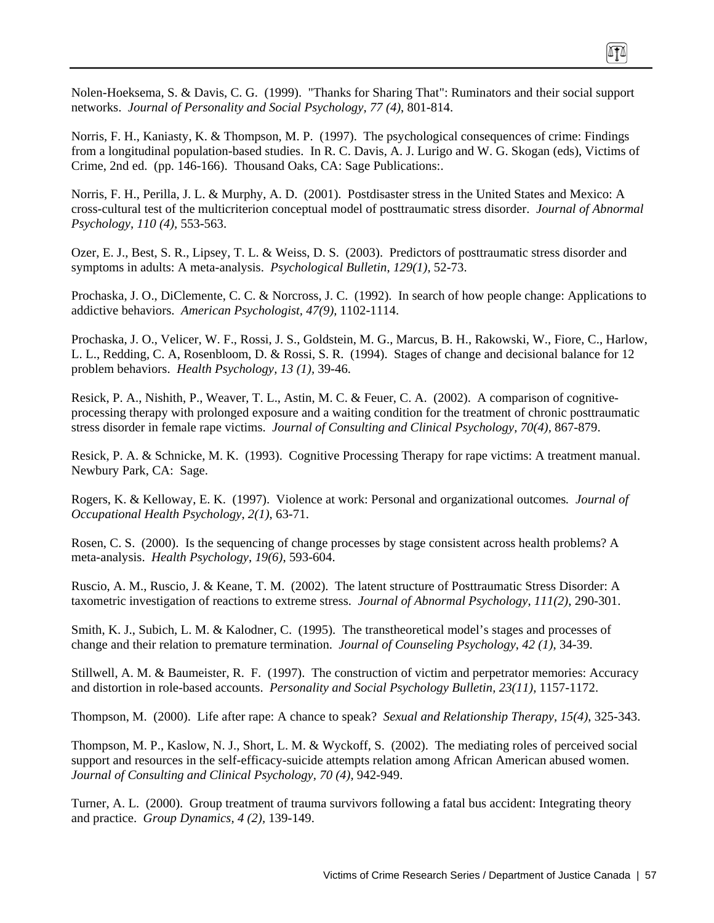Nolen-Hoeksema, S. & Davis, C. G. (1999). "Thanks for Sharing That": Ruminators and their social support networks. *Journal of Personality and Social Psychology, 77 (4)*, 801-814.

Norris, F. H., Kaniasty, K. & Thompson, M. P. (1997). The psychological consequences of crime: Findings from a longitudinal population-based studies. In R. C. Davis, A. J. Lurigo and W. G. Skogan (eds), Victims of Crime, 2nd ed. (pp. 146-166). Thousand Oaks, CA: Sage Publications:.

Norris, F. H., Perilla, J. L. & Murphy, A. D. (2001). Postdisaster stress in the United States and Mexico: A cross-cultural test of the multicriterion conceptual model of posttraumatic stress disorder. *Journal of Abnormal Psychology, 110 (4),* 553-563.

Ozer, E. J., Best, S. R., Lipsey, T. L. & Weiss, D. S. (2003). Predictors of posttraumatic stress disorder and symptoms in adults: A meta-analysis. *Psychological Bulletin*, *129(1),* 52-73.

Prochaska, J. O., DiClemente, C. C. & Norcross, J. C. (1992). In search of how people change: Applications to addictive behaviors. *American Psychologist, 47(9),* 1102-1114.

Prochaska, J. O., Velicer, W. F., Rossi, J. S., Goldstein, M. G., Marcus, B. H., Rakowski, W., Fiore, C., Harlow, L. L., Redding, C. A, Rosenbloom, D. & Rossi, S. R. (1994). Stages of change and decisional balance for 12 problem behaviors. *Health Psychology, 13 (1),* 39-46.

Resick, P. A., Nishith, P., Weaver, T. L., Astin, M. C. & Feuer, C. A. (2002). A comparison of cognitiveprocessing therapy with prolonged exposure and a waiting condition for the treatment of chronic posttraumatic stress disorder in female rape victims. *Journal of Consulting and Clinical Psychology, 70(4),* 867-879.

Resick, P. A. & Schnicke, M. K. (1993). Cognitive Processing Therapy for rape victims: A treatment manual. Newbury Park, CA: Sage.

Rogers, K. & Kelloway, E. K. (1997). Violence at work: Personal and organizational outcomes*. Journal of Occupational Health Psychology*, *2(1)*, 63-71.

Rosen, C. S. (2000). Is the sequencing of change processes by stage consistent across health problems? A meta-analysis. *Health Psychology*, *19(6)*, 593-604.

Ruscio, A. M., Ruscio, J. & Keane, T. M. (2002). The latent structure of Posttraumatic Stress Disorder: A taxometric investigation of reactions to extreme stress. *Journal of Abnormal Psychology*, *111(2)*, 290-301.

Smith, K. J., Subich, L. M. & Kalodner, C. (1995). The transtheoretical model's stages and processes of change and their relation to premature termination. *Journal of Counseling Psychology*, *42 (1)*, 34-39.

Stillwell, A. M. & Baumeister, R. F. (1997). The construction of victim and perpetrator memories: Accuracy and distortion in role-based accounts. *Personality and Social Psychology Bulletin, 23(11),* 1157-1172.

Thompson, M. (2000). Life after rape: A chance to speak? *Sexual and Relationship Therapy, 15(4)*, 325-343.

Thompson, M. P., Kaslow, N. J., Short, L. M. & Wyckoff, S. (2002). The mediating roles of perceived social support and resources in the self-efficacy-suicide attempts relation among African American abused women. *Journal of Consulting and Clinical Psychology, 70 (4),* 942-949.

Turner, A. L. (2000). Group treatment of trauma survivors following a fatal bus accident: Integrating theory and practice. *Group Dynamics, 4 (2),* 139-149.